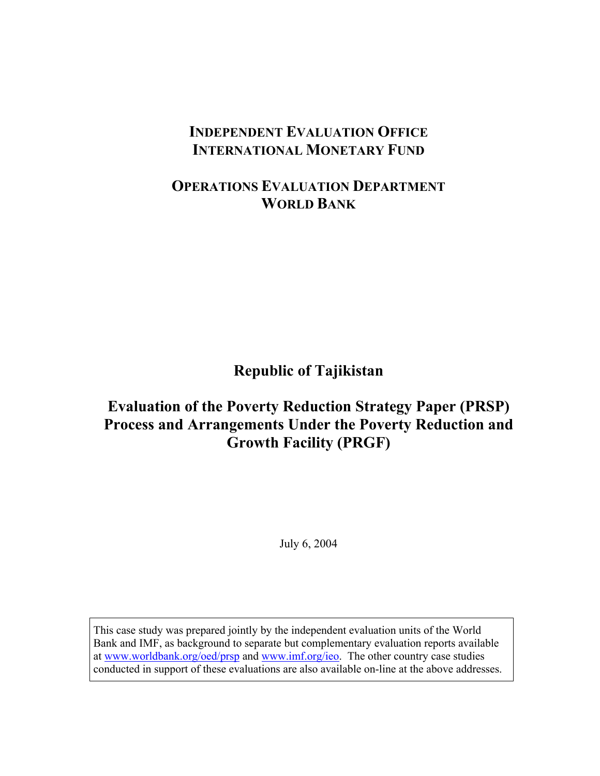# **INDEPENDENT EVALUATION OFFICE INTERNATIONAL MONETARY FUND**

# **OPERATIONS EVALUATION DEPARTMENT WORLD BANK**

**Republic of Tajikistan** 

# **Evaluation of the Poverty Reduction Strategy Paper (PRSP) Process and Arrangements Under the Poverty Reduction and Growth Facility (PRGF)**

July 6, 2004

This case study was prepared jointly by the independent evaluation units of the World Bank and IMF, as background to separate but complementary evaluation reports available at www.worldbank.org/oed/prsp and www.imf.org/ieo. The other country case studies conducted in support of these evaluations are also available on-line at the above addresses.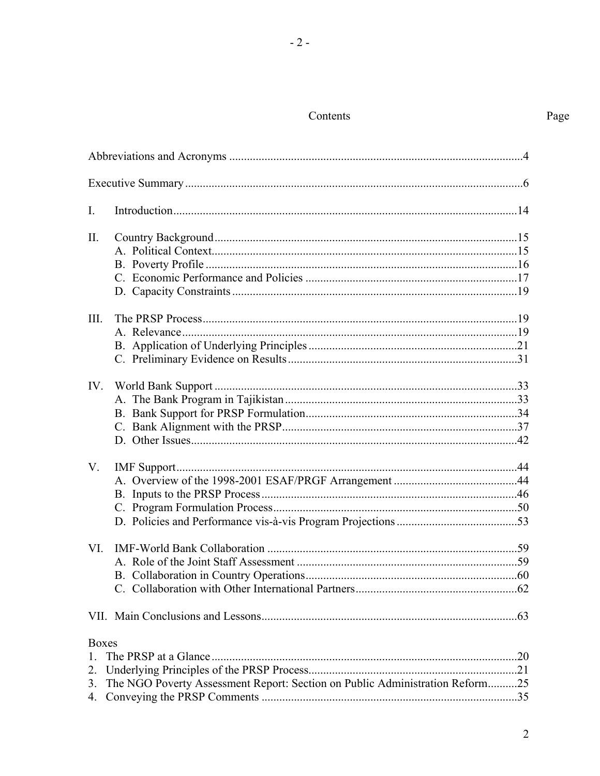## Contents

| $\overline{I}$ .                     |                                                                              |  |
|--------------------------------------|------------------------------------------------------------------------------|--|
| II.                                  |                                                                              |  |
| III.                                 |                                                                              |  |
| IV.                                  |                                                                              |  |
| V.                                   |                                                                              |  |
| VI.                                  |                                                                              |  |
|                                      |                                                                              |  |
| <b>Boxes</b><br>1.<br>2.<br>3.<br>4. | The NGO Poverty Assessment Report: Section on Public Administration Reform25 |  |

 $\overline{2}$ 

Page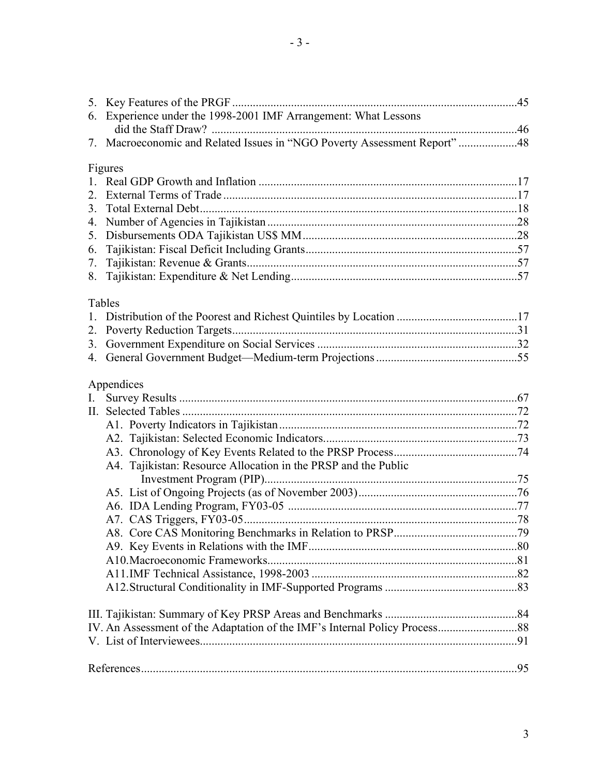| Experience under the 1998-2001 IMF Arrangement: What Lessons<br>6.        |  |
|---------------------------------------------------------------------------|--|
|                                                                           |  |
| 7. Macroeconomic and Related Issues in "NGO Poverty Assessment Report" 48 |  |
| Figures                                                                   |  |
|                                                                           |  |
| 2                                                                         |  |
| 3.                                                                        |  |
| 4.                                                                        |  |
| 5.                                                                        |  |
| 6.<br>7.                                                                  |  |
| 8.                                                                        |  |
|                                                                           |  |
| Tables                                                                    |  |
|                                                                           |  |
| 2.<br>3.                                                                  |  |
| 4.                                                                        |  |
|                                                                           |  |
| Appendices                                                                |  |
| $\mathbf{I}$ .                                                            |  |
|                                                                           |  |
|                                                                           |  |
|                                                                           |  |
| A4. Tajikistan: Resource Allocation in the PRSP and the Public            |  |
|                                                                           |  |
|                                                                           |  |
|                                                                           |  |
|                                                                           |  |
|                                                                           |  |
|                                                                           |  |
|                                                                           |  |
|                                                                           |  |
|                                                                           |  |
|                                                                           |  |
|                                                                           |  |
|                                                                           |  |
|                                                                           |  |
|                                                                           |  |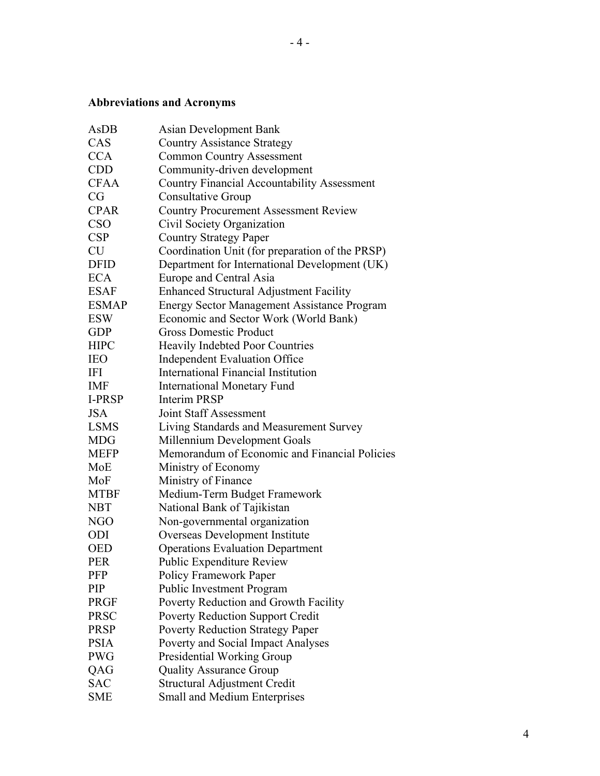## **Abbreviations and Acronyms**

| AsDB          | Asian Development Bank                             |
|---------------|----------------------------------------------------|
| CAS           | <b>Country Assistance Strategy</b>                 |
| <b>CCA</b>    | <b>Common Country Assessment</b>                   |
| <b>CDD</b>    | Community-driven development                       |
| <b>CFAA</b>   | <b>Country Financial Accountability Assessment</b> |
| CG            | <b>Consultative Group</b>                          |
| <b>CPAR</b>   | <b>Country Procurement Assessment Review</b>       |
| <b>CSO</b>    | Civil Society Organization                         |
| <b>CSP</b>    | <b>Country Strategy Paper</b>                      |
| <b>CU</b>     | Coordination Unit (for preparation of the PRSP)    |
| <b>DFID</b>   | Department for International Development (UK)      |
| <b>ECA</b>    | Europe and Central Asia                            |
| <b>ESAF</b>   | <b>Enhanced Structural Adjustment Facility</b>     |
| <b>ESMAP</b>  | <b>Energy Sector Management Assistance Program</b> |
| <b>ESW</b>    | Economic and Sector Work (World Bank)              |
| <b>GDP</b>    | <b>Gross Domestic Product</b>                      |
| <b>HIPC</b>   | <b>Heavily Indebted Poor Countries</b>             |
| <b>IEO</b>    | <b>Independent Evaluation Office</b>               |
| <b>IFI</b>    | International Financial Institution                |
| <b>IMF</b>    | <b>International Monetary Fund</b>                 |
| <b>I-PRSP</b> | <b>Interim PRSP</b>                                |
| <b>JSA</b>    | Joint Staff Assessment                             |
| <b>LSMS</b>   | Living Standards and Measurement Survey            |
| <b>MDG</b>    | Millennium Development Goals                       |
| <b>MEFP</b>   | Memorandum of Economic and Financial Policies      |
| MoE           | Ministry of Economy                                |
| MoF           | Ministry of Finance                                |
| <b>MTBF</b>   | Medium-Term Budget Framework                       |
| <b>NBT</b>    | National Bank of Tajikistan                        |
| <b>NGO</b>    | Non-governmental organization                      |
| <b>ODI</b>    | Overseas Development Institute                     |
| <b>OED</b>    | <b>Operations Evaluation Department</b>            |
| <b>PER</b>    | Public Expenditure Review                          |
| PFP           | Policy Framework Paper                             |
| <b>PIP</b>    | <b>Public Investment Program</b>                   |
| <b>PRGF</b>   | Poverty Reduction and Growth Facility              |
| <b>PRSC</b>   | <b>Poverty Reduction Support Credit</b>            |
| <b>PRSP</b>   | <b>Poverty Reduction Strategy Paper</b>            |
| <b>PSIA</b>   | Poverty and Social Impact Analyses                 |
| <b>PWG</b>    | <b>Presidential Working Group</b>                  |
| QAG           | <b>Quality Assurance Group</b>                     |
| <b>SAC</b>    | Structural Adjustment Credit                       |
| <b>SME</b>    | Small and Medium Enterprises                       |
|               |                                                    |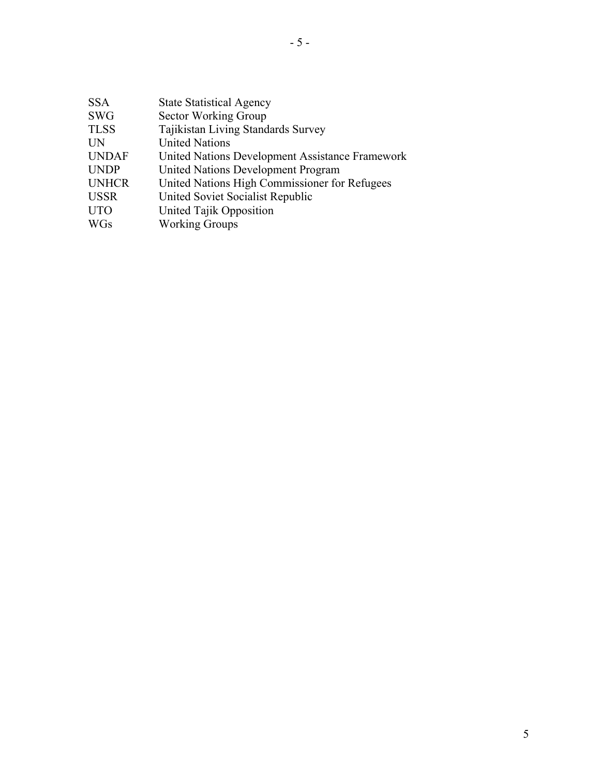| <b>SSA</b>   | <b>State Statistical Agency</b>                 |
|--------------|-------------------------------------------------|
| <b>SWG</b>   | Sector Working Group                            |
| <b>TLSS</b>  | Tajikistan Living Standards Survey              |
| <b>UN</b>    | <b>United Nations</b>                           |
| <b>UNDAF</b> | United Nations Development Assistance Framework |
| <b>UNDP</b>  | United Nations Development Program              |
| <b>UNHCR</b> | United Nations High Commissioner for Refugees   |
| <b>USSR</b>  | United Soviet Socialist Republic                |
| <b>UTO</b>   | United Tajik Opposition                         |
| <b>WGs</b>   | <b>Working Groups</b>                           |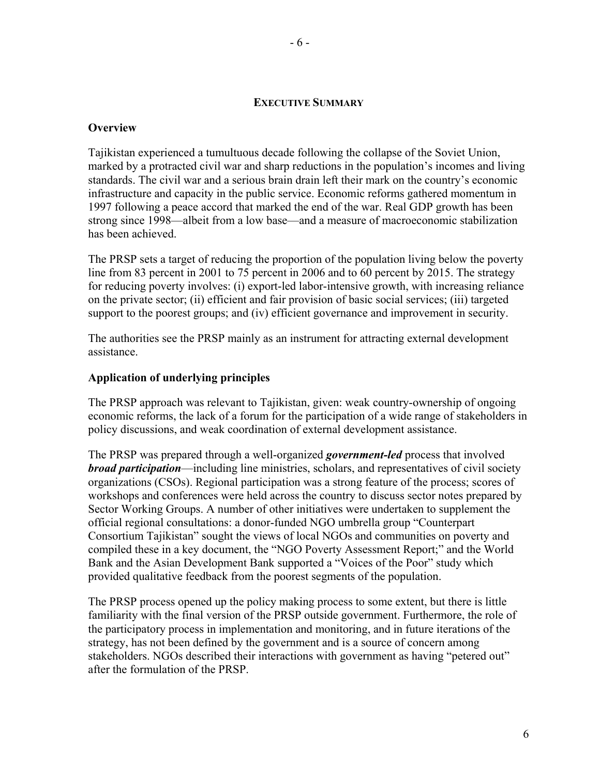#### **EXECUTIVE SUMMARY**

#### **Overview**

Tajikistan experienced a tumultuous decade following the collapse of the Soviet Union, marked by a protracted civil war and sharp reductions in the population's incomes and living standards. The civil war and a serious brain drain left their mark on the country's economic infrastructure and capacity in the public service. Economic reforms gathered momentum in 1997 following a peace accord that marked the end of the war. Real GDP growth has been strong since 1998—albeit from a low base—and a measure of macroeconomic stabilization has been achieved.

The PRSP sets a target of reducing the proportion of the population living below the poverty line from 83 percent in 2001 to 75 percent in 2006 and to 60 percent by 2015. The strategy for reducing poverty involves: (i) export-led labor-intensive growth, with increasing reliance on the private sector; (ii) efficient and fair provision of basic social services; (iii) targeted support to the poorest groups; and (iv) efficient governance and improvement in security.

The authorities see the PRSP mainly as an instrument for attracting external development assistance.

#### **Application of underlying principles**

The PRSP approach was relevant to Tajikistan, given: weak country-ownership of ongoing economic reforms, the lack of a forum for the participation of a wide range of stakeholders in policy discussions, and weak coordination of external development assistance.

The PRSP was prepared through a well-organized *government-led* process that involved *broad participation*—including line ministries, scholars, and representatives of civil society organizations (CSOs). Regional participation was a strong feature of the process; scores of workshops and conferences were held across the country to discuss sector notes prepared by Sector Working Groups. A number of other initiatives were undertaken to supplement the official regional consultations: a donor-funded NGO umbrella group "Counterpart Consortium Tajikistan" sought the views of local NGOs and communities on poverty and compiled these in a key document, the "NGO Poverty Assessment Report;" and the World Bank and the Asian Development Bank supported a "Voices of the Poor" study which provided qualitative feedback from the poorest segments of the population.

The PRSP process opened up the policy making process to some extent, but there is little familiarity with the final version of the PRSP outside government. Furthermore, the role of the participatory process in implementation and monitoring, and in future iterations of the strategy, has not been defined by the government and is a source of concern among stakeholders. NGOs described their interactions with government as having "petered out" after the formulation of the PRSP.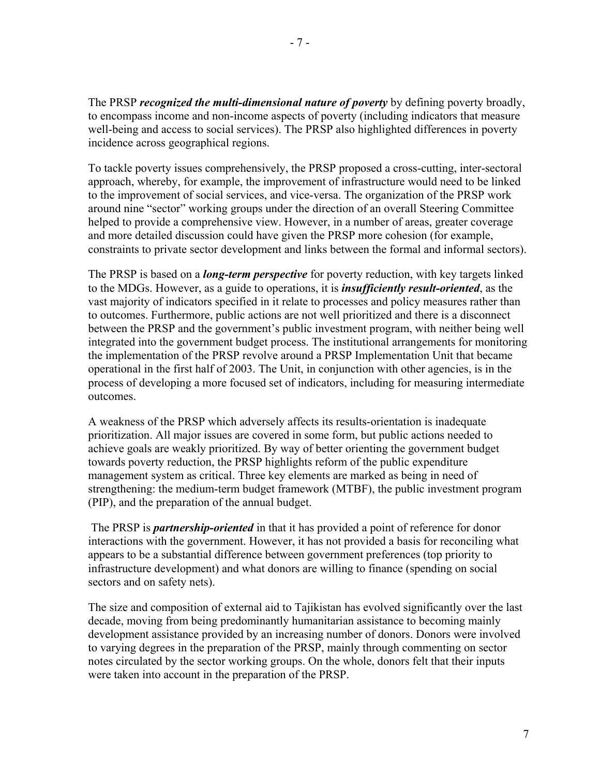The PRSP *recognized the multi-dimensional nature of poverty* by defining poverty broadly, to encompass income and non-income aspects of poverty (including indicators that measure well-being and access to social services). The PRSP also highlighted differences in poverty incidence across geographical regions.

To tackle poverty issues comprehensively, the PRSP proposed a cross-cutting, inter-sectoral approach, whereby, for example, the improvement of infrastructure would need to be linked to the improvement of social services, and vice-versa. The organization of the PRSP work around nine "sector" working groups under the direction of an overall Steering Committee helped to provide a comprehensive view. However, in a number of areas, greater coverage and more detailed discussion could have given the PRSP more cohesion (for example, constraints to private sector development and links between the formal and informal sectors).

The PRSP is based on a *long-term perspective* for poverty reduction, with key targets linked to the MDGs. However, as a guide to operations, it is *insufficiently result-oriented*, as the vast majority of indicators specified in it relate to processes and policy measures rather than to outcomes. Furthermore, public actions are not well prioritized and there is a disconnect between the PRSP and the government's public investment program, with neither being well integrated into the government budget process. The institutional arrangements for monitoring the implementation of the PRSP revolve around a PRSP Implementation Unit that became operational in the first half of 2003. The Unit, in conjunction with other agencies, is in the process of developing a more focused set of indicators, including for measuring intermediate outcomes.

A weakness of the PRSP which adversely affects its results-orientation is inadequate prioritization. All major issues are covered in some form, but public actions needed to achieve goals are weakly prioritized. By way of better orienting the government budget towards poverty reduction, the PRSP highlights reform of the public expenditure management system as critical. Three key elements are marked as being in need of strengthening: the medium-term budget framework (MTBF), the public investment program (PIP), and the preparation of the annual budget.

 The PRSP is *partnership-oriented* in that it has provided a point of reference for donor interactions with the government. However, it has not provided a basis for reconciling what appears to be a substantial difference between government preferences (top priority to infrastructure development) and what donors are willing to finance (spending on social sectors and on safety nets).

The size and composition of external aid to Tajikistan has evolved significantly over the last decade, moving from being predominantly humanitarian assistance to becoming mainly development assistance provided by an increasing number of donors. Donors were involved to varying degrees in the preparation of the PRSP, mainly through commenting on sector notes circulated by the sector working groups. On the whole, donors felt that their inputs were taken into account in the preparation of the PRSP.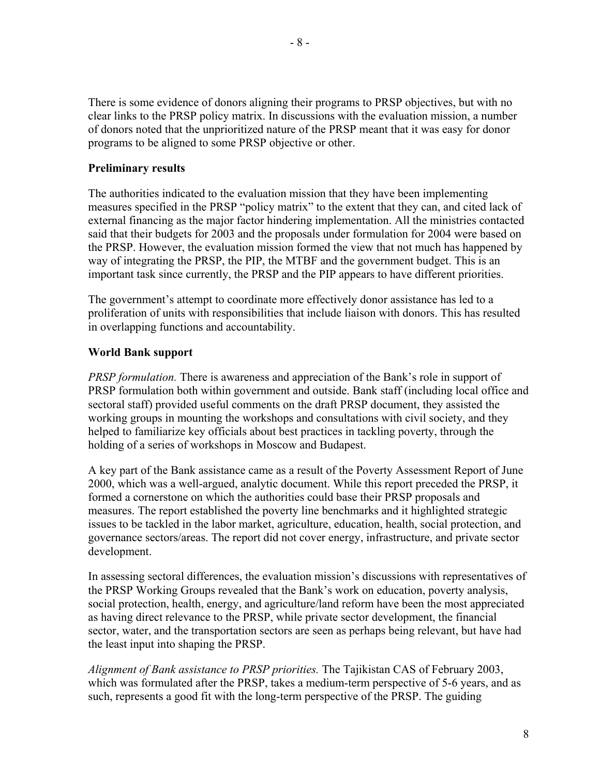There is some evidence of donors aligning their programs to PRSP objectives, but with no clear links to the PRSP policy matrix. In discussions with the evaluation mission, a number of donors noted that the unprioritized nature of the PRSP meant that it was easy for donor programs to be aligned to some PRSP objective or other.

#### **Preliminary results**

The authorities indicated to the evaluation mission that they have been implementing measures specified in the PRSP "policy matrix" to the extent that they can, and cited lack of external financing as the major factor hindering implementation. All the ministries contacted said that their budgets for 2003 and the proposals under formulation for 2004 were based on the PRSP. However, the evaluation mission formed the view that not much has happened by way of integrating the PRSP, the PIP, the MTBF and the government budget. This is an important task since currently, the PRSP and the PIP appears to have different priorities.

The government's attempt to coordinate more effectively donor assistance has led to a proliferation of units with responsibilities that include liaison with donors. This has resulted in overlapping functions and accountability.

#### **World Bank support**

*PRSP formulation.* There is awareness and appreciation of the Bank's role in support of PRSP formulation both within government and outside. Bank staff (including local office and sectoral staff) provided useful comments on the draft PRSP document, they assisted the working groups in mounting the workshops and consultations with civil society, and they helped to familiarize key officials about best practices in tackling poverty, through the holding of a series of workshops in Moscow and Budapest.

A key part of the Bank assistance came as a result of the Poverty Assessment Report of June 2000, which was a well-argued, analytic document. While this report preceded the PRSP, it formed a cornerstone on which the authorities could base their PRSP proposals and measures. The report established the poverty line benchmarks and it highlighted strategic issues to be tackled in the labor market, agriculture, education, health, social protection, and governance sectors/areas. The report did not cover energy, infrastructure, and private sector development.

In assessing sectoral differences, the evaluation mission's discussions with representatives of the PRSP Working Groups revealed that the Bank's work on education, poverty analysis, social protection, health, energy, and agriculture/land reform have been the most appreciated as having direct relevance to the PRSP, while private sector development, the financial sector, water, and the transportation sectors are seen as perhaps being relevant, but have had the least input into shaping the PRSP.

*Alignment of Bank assistance to PRSP priorities.* The Tajikistan CAS of February 2003, which was formulated after the PRSP, takes a medium-term perspective of 5-6 years, and as such, represents a good fit with the long-term perspective of the PRSP. The guiding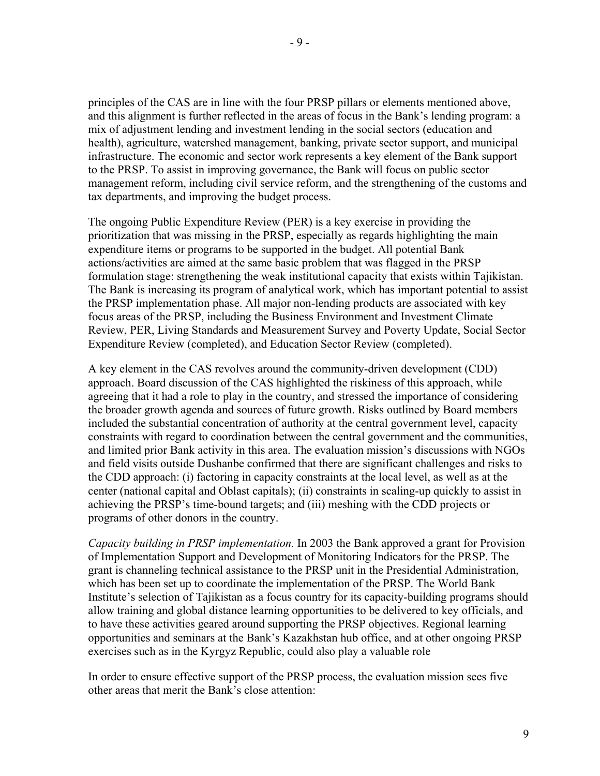principles of the CAS are in line with the four PRSP pillars or elements mentioned above, and this alignment is further reflected in the areas of focus in the Bank's lending program: a mix of adjustment lending and investment lending in the social sectors (education and health), agriculture, watershed management, banking, private sector support, and municipal infrastructure. The economic and sector work represents a key element of the Bank support to the PRSP. To assist in improving governance, the Bank will focus on public sector management reform, including civil service reform, and the strengthening of the customs and tax departments, and improving the budget process.

The ongoing Public Expenditure Review (PER) is a key exercise in providing the prioritization that was missing in the PRSP, especially as regards highlighting the main expenditure items or programs to be supported in the budget. All potential Bank actions/activities are aimed at the same basic problem that was flagged in the PRSP formulation stage: strengthening the weak institutional capacity that exists within Tajikistan. The Bank is increasing its program of analytical work, which has important potential to assist the PRSP implementation phase. All major non-lending products are associated with key focus areas of the PRSP, including the Business Environment and Investment Climate Review, PER, Living Standards and Measurement Survey and Poverty Update, Social Sector Expenditure Review (completed), and Education Sector Review (completed).

A key element in the CAS revolves around the community-driven development (CDD) approach. Board discussion of the CAS highlighted the riskiness of this approach, while agreeing that it had a role to play in the country, and stressed the importance of considering the broader growth agenda and sources of future growth. Risks outlined by Board members included the substantial concentration of authority at the central government level, capacity constraints with regard to coordination between the central government and the communities, and limited prior Bank activity in this area. The evaluation mission's discussions with NGOs and field visits outside Dushanbe confirmed that there are significant challenges and risks to the CDD approach: (i) factoring in capacity constraints at the local level, as well as at the center (national capital and Oblast capitals); (ii) constraints in scaling-up quickly to assist in achieving the PRSP's time-bound targets; and (iii) meshing with the CDD projects or programs of other donors in the country.

*Capacity building in PRSP implementation.* In 2003 the Bank approved a grant for Provision of Implementation Support and Development of Monitoring Indicators for the PRSP. The grant is channeling technical assistance to the PRSP unit in the Presidential Administration, which has been set up to coordinate the implementation of the PRSP. The World Bank Institute's selection of Tajikistan as a focus country for its capacity-building programs should allow training and global distance learning opportunities to be delivered to key officials, and to have these activities geared around supporting the PRSP objectives. Regional learning opportunities and seminars at the Bank's Kazakhstan hub office, and at other ongoing PRSP exercises such as in the Kyrgyz Republic, could also play a valuable role

In order to ensure effective support of the PRSP process, the evaluation mission sees five other areas that merit the Bank's close attention: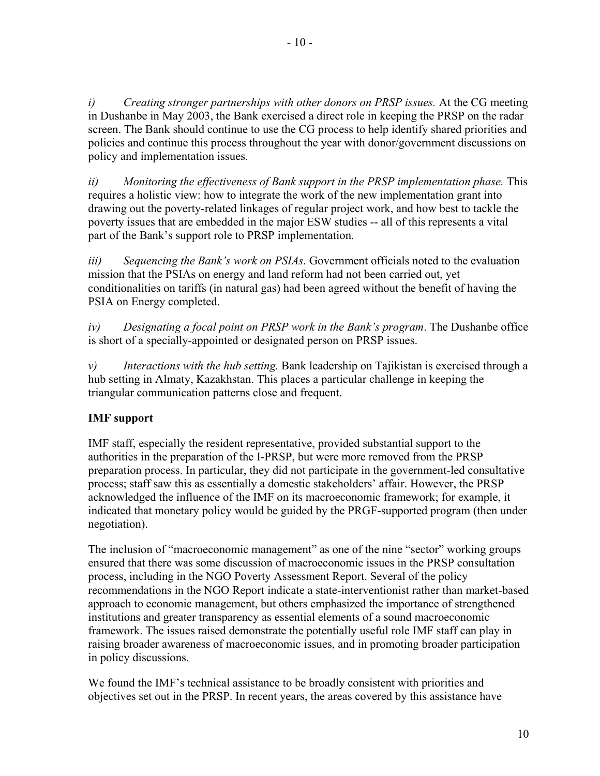*i) Creating stronger partnerships with other donors on PRSP issues.* At the CG meeting in Dushanbe in May 2003, the Bank exercised a direct role in keeping the PRSP on the radar screen. The Bank should continue to use the CG process to help identify shared priorities and policies and continue this process throughout the year with donor/government discussions on policy and implementation issues.

*ii) Monitoring the effectiveness of Bank support in the PRSP implementation phase.* This requires a holistic view: how to integrate the work of the new implementation grant into drawing out the poverty-related linkages of regular project work, and how best to tackle the poverty issues that are embedded in the major ESW studies -- all of this represents a vital part of the Bank's support role to PRSP implementation.

*iii) Sequencing the Bank's work on PSIAs*. Government officials noted to the evaluation mission that the PSIAs on energy and land reform had not been carried out, yet conditionalities on tariffs (in natural gas) had been agreed without the benefit of having the PSIA on Energy completed.

*iv) Designating a focal point on PRSP work in the Bank's program*. The Dushanbe office is short of a specially-appointed or designated person on PRSP issues.

*v) Interactions with the hub setting.* Bank leadership on Tajikistan is exercised through a hub setting in Almaty, Kazakhstan. This places a particular challenge in keeping the triangular communication patterns close and frequent.

## **IMF support**

IMF staff, especially the resident representative, provided substantial support to the authorities in the preparation of the I-PRSP, but were more removed from the PRSP preparation process. In particular, they did not participate in the government-led consultative process; staff saw this as essentially a domestic stakeholders' affair. However, the PRSP acknowledged the influence of the IMF on its macroeconomic framework; for example, it indicated that monetary policy would be guided by the PRGF-supported program (then under negotiation).

The inclusion of "macroeconomic management" as one of the nine "sector" working groups ensured that there was some discussion of macroeconomic issues in the PRSP consultation process, including in the NGO Poverty Assessment Report. Several of the policy recommendations in the NGO Report indicate a state-interventionist rather than market-based approach to economic management, but others emphasized the importance of strengthened institutions and greater transparency as essential elements of a sound macroeconomic framework. The issues raised demonstrate the potentially useful role IMF staff can play in raising broader awareness of macroeconomic issues, and in promoting broader participation in policy discussions.

We found the IMF's technical assistance to be broadly consistent with priorities and objectives set out in the PRSP. In recent years, the areas covered by this assistance have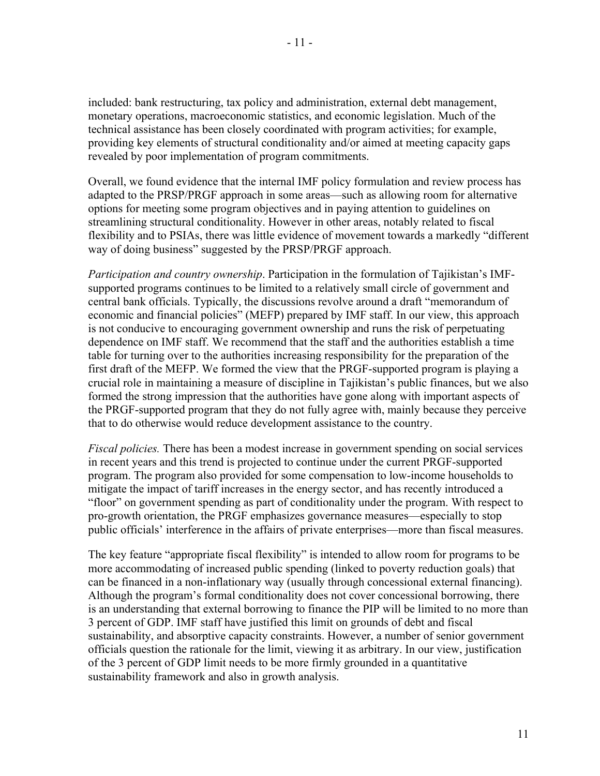included: bank restructuring, tax policy and administration, external debt management, monetary operations, macroeconomic statistics, and economic legislation. Much of the technical assistance has been closely coordinated with program activities; for example, providing key elements of structural conditionality and/or aimed at meeting capacity gaps revealed by poor implementation of program commitments.

Overall, we found evidence that the internal IMF policy formulation and review process has adapted to the PRSP/PRGF approach in some areas—such as allowing room for alternative options for meeting some program objectives and in paying attention to guidelines on streamlining structural conditionality. However in other areas, notably related to fiscal flexibility and to PSIAs, there was little evidence of movement towards a markedly "different way of doing business" suggested by the PRSP/PRGF approach.

*Participation and country ownership*. Participation in the formulation of Tajikistan's IMFsupported programs continues to be limited to a relatively small circle of government and central bank officials. Typically, the discussions revolve around a draft "memorandum of economic and financial policies" (MEFP) prepared by IMF staff. In our view, this approach is not conducive to encouraging government ownership and runs the risk of perpetuating dependence on IMF staff. We recommend that the staff and the authorities establish a time table for turning over to the authorities increasing responsibility for the preparation of the first draft of the MEFP. We formed the view that the PRGF-supported program is playing a crucial role in maintaining a measure of discipline in Tajikistan's public finances, but we also formed the strong impression that the authorities have gone along with important aspects of the PRGF-supported program that they do not fully agree with, mainly because they perceive that to do otherwise would reduce development assistance to the country.

*Fiscal policies.* There has been a modest increase in government spending on social services in recent years and this trend is projected to continue under the current PRGF-supported program. The program also provided for some compensation to low-income households to mitigate the impact of tariff increases in the energy sector, and has recently introduced a "floor" on government spending as part of conditionality under the program. With respect to pro-growth orientation, the PRGF emphasizes governance measures—especially to stop public officials' interference in the affairs of private enterprises—more than fiscal measures.

The key feature "appropriate fiscal flexibility" is intended to allow room for programs to be more accommodating of increased public spending (linked to poverty reduction goals) that can be financed in a non-inflationary way (usually through concessional external financing). Although the program's formal conditionality does not cover concessional borrowing, there is an understanding that external borrowing to finance the PIP will be limited to no more than 3 percent of GDP. IMF staff have justified this limit on grounds of debt and fiscal sustainability, and absorptive capacity constraints. However, a number of senior government officials question the rationale for the limit, viewing it as arbitrary. In our view, justification of the 3 percent of GDP limit needs to be more firmly grounded in a quantitative sustainability framework and also in growth analysis.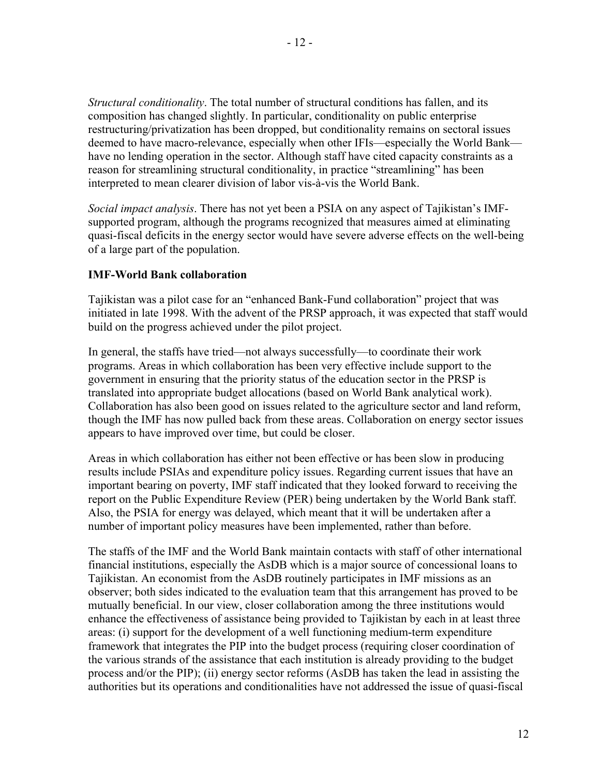*Structural conditionality*. The total number of structural conditions has fallen, and its composition has changed slightly. In particular, conditionality on public enterprise restructuring/privatization has been dropped, but conditionality remains on sectoral issues deemed to have macro-relevance, especially when other IFIs—especially the World Bank have no lending operation in the sector. Although staff have cited capacity constraints as a reason for streamlining structural conditionality, in practice "streamlining" has been interpreted to mean clearer division of labor vis-à-vis the World Bank.

*Social impact analysis*. There has not yet been a PSIA on any aspect of Tajikistan's IMFsupported program, although the programs recognized that measures aimed at eliminating quasi-fiscal deficits in the energy sector would have severe adverse effects on the well-being of a large part of the population.

#### **IMF-World Bank collaboration**

Tajikistan was a pilot case for an "enhanced Bank-Fund collaboration" project that was initiated in late 1998. With the advent of the PRSP approach, it was expected that staff would build on the progress achieved under the pilot project.

In general, the staffs have tried—not always successfully—to coordinate their work programs. Areas in which collaboration has been very effective include support to the government in ensuring that the priority status of the education sector in the PRSP is translated into appropriate budget allocations (based on World Bank analytical work). Collaboration has also been good on issues related to the agriculture sector and land reform, though the IMF has now pulled back from these areas. Collaboration on energy sector issues appears to have improved over time, but could be closer.

Areas in which collaboration has either not been effective or has been slow in producing results include PSIAs and expenditure policy issues. Regarding current issues that have an important bearing on poverty, IMF staff indicated that they looked forward to receiving the report on the Public Expenditure Review (PER) being undertaken by the World Bank staff. Also, the PSIA for energy was delayed, which meant that it will be undertaken after a number of important policy measures have been implemented, rather than before.

The staffs of the IMF and the World Bank maintain contacts with staff of other international financial institutions, especially the AsDB which is a major source of concessional loans to Tajikistan. An economist from the AsDB routinely participates in IMF missions as an observer; both sides indicated to the evaluation team that this arrangement has proved to be mutually beneficial. In our view, closer collaboration among the three institutions would enhance the effectiveness of assistance being provided to Tajikistan by each in at least three areas: (i) support for the development of a well functioning medium-term expenditure framework that integrates the PIP into the budget process (requiring closer coordination of the various strands of the assistance that each institution is already providing to the budget process and/or the PIP); (ii) energy sector reforms (AsDB has taken the lead in assisting the authorities but its operations and conditionalities have not addressed the issue of quasi-fiscal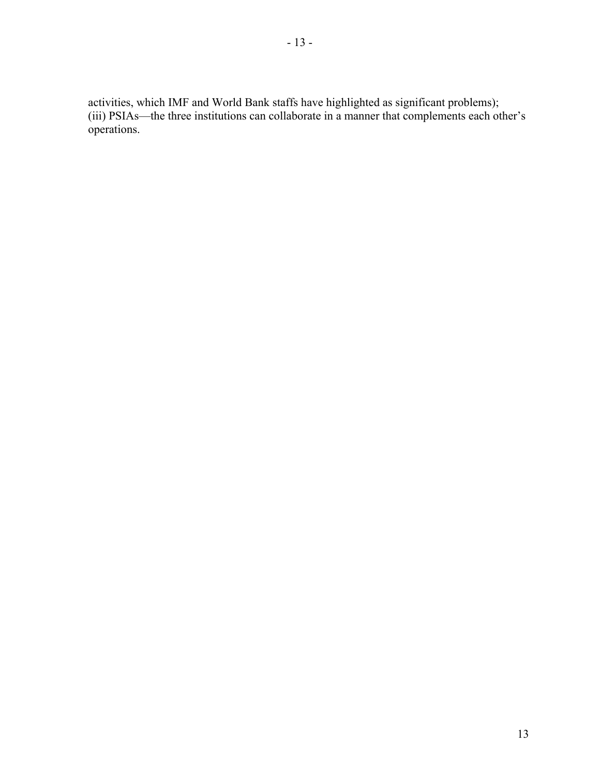activities, which IMF and World Bank staffs have highlighted as significant problems); (iii) PSIAs—the three institutions can collaborate in a manner that complements each other's operations.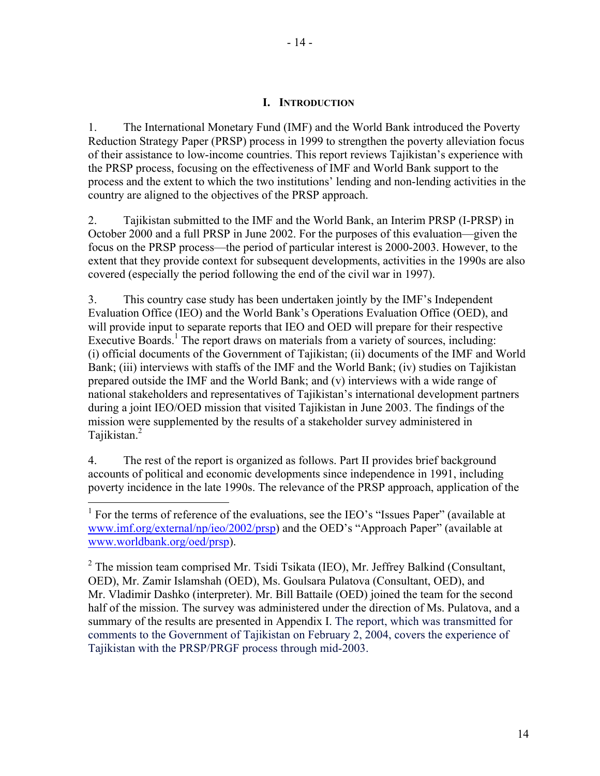- 14 -

#### **I. INTRODUCTION**

1. The International Monetary Fund (IMF) and the World Bank introduced the Poverty Reduction Strategy Paper (PRSP) process in 1999 to strengthen the poverty alleviation focus of their assistance to low-income countries. This report reviews Tajikistan's experience with the PRSP process, focusing on the effectiveness of IMF and World Bank support to the process and the extent to which the two institutions' lending and non-lending activities in the country are aligned to the objectives of the PRSP approach.

2. Tajikistan submitted to the IMF and the World Bank, an Interim PRSP (I-PRSP) in October 2000 and a full PRSP in June 2002. For the purposes of this evaluation—given the focus on the PRSP process—the period of particular interest is 2000-2003. However, to the extent that they provide context for subsequent developments, activities in the 1990s are also covered (especially the period following the end of the civil war in 1997).

3. This country case study has been undertaken jointly by the IMF's Independent Evaluation Office (IEO) and the World Bank's Operations Evaluation Office (OED), and will provide input to separate reports that IEO and OED will prepare for their respective Executive Boards.<sup>1</sup> The report draws on materials from a variety of sources, including: (i) official documents of the Government of Tajikistan; (ii) documents of the IMF and World Bank; (iii) interviews with staffs of the IMF and the World Bank; (iv) studies on Tajikistan prepared outside the IMF and the World Bank; and (v) interviews with a wide range of national stakeholders and representatives of Tajikistan's international development partners during a joint IEO/OED mission that visited Tajikistan in June 2003. The findings of the mission were supplemented by the results of a stakeholder survey administered in Tajikistan.<sup>2</sup>

4. The rest of the report is organized as follows. Part II provides brief background accounts of political and economic developments since independence in 1991, including poverty incidence in the late 1990s. The relevance of the PRSP approach, application of the

1

<sup>&</sup>lt;sup>1</sup> For the terms of reference of the evaluations, see the IEO's "Issues Paper" (available at www.imf.org/external/np/ieo/2002/prsp) and the OED's "Approach Paper" (available at www.worldbank.org/oed/prsp).

 $2$  The mission team comprised Mr. Tsidi Tsikata (IEO), Mr. Jeffrey Balkind (Consultant, OED), Mr. Zamir Islamshah (OED), Ms. Goulsara Pulatova (Consultant, OED), and Mr. Vladimir Dashko (interpreter). Mr. Bill Battaile (OED) joined the team for the second half of the mission. The survey was administered under the direction of Ms. Pulatova, and a summary of the results are presented in Appendix I. The report, which was transmitted for comments to the Government of Tajikistan on February 2, 2004, covers the experience of Tajikistan with the PRSP/PRGF process through mid-2003.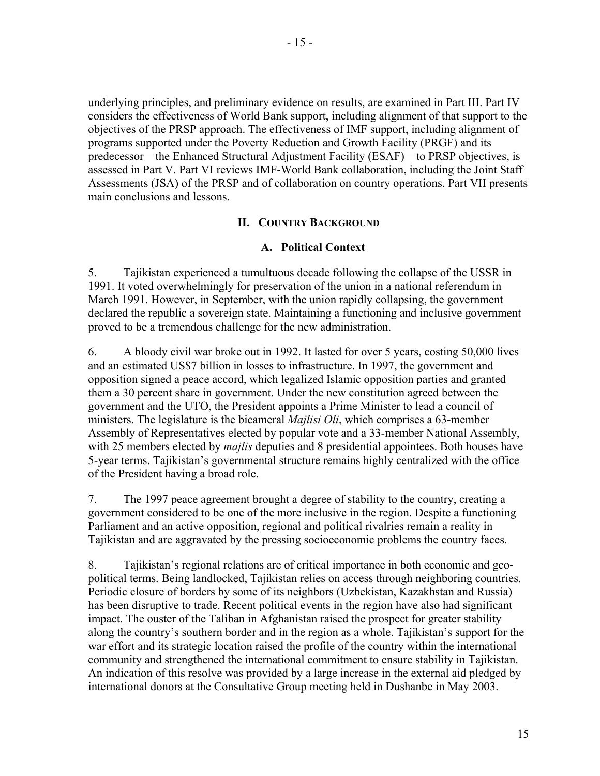- 15 -

underlying principles, and preliminary evidence on results, are examined in Part III. Part IV considers the effectiveness of World Bank support, including alignment of that support to the objectives of the PRSP approach. The effectiveness of IMF support, including alignment of programs supported under the Poverty Reduction and Growth Facility (PRGF) and its predecessor—the Enhanced Structural Adjustment Facility (ESAF)—to PRSP objectives, is assessed in Part V. Part VI reviews IMF-World Bank collaboration, including the Joint Staff Assessments (JSA) of the PRSP and of collaboration on country operations. Part VII presents main conclusions and lessons.

#### **II. COUNTRY BACKGROUND**

#### **A. Political Context**

5. Tajikistan experienced a tumultuous decade following the collapse of the USSR in 1991. It voted overwhelmingly for preservation of the union in a national referendum in March 1991. However, in September, with the union rapidly collapsing, the government declared the republic a sovereign state. Maintaining a functioning and inclusive government proved to be a tremendous challenge for the new administration.

6. A bloody civil war broke out in 1992. It lasted for over 5 years, costing 50,000 lives and an estimated US\$7 billion in losses to infrastructure. In 1997, the government and opposition signed a peace accord, which legalized Islamic opposition parties and granted them a 30 percent share in government. Under the new constitution agreed between the government and the UTO, the President appoints a Prime Minister to lead a council of ministers. The legislature is the bicameral *Majlisi Oli*, which comprises a 63-member Assembly of Representatives elected by popular vote and a 33-member National Assembly, with 25 members elected by *majlis* deputies and 8 presidential appointees. Both houses have 5-year terms. Tajikistan's governmental structure remains highly centralized with the office of the President having a broad role.

7. The 1997 peace agreement brought a degree of stability to the country, creating a government considered to be one of the more inclusive in the region. Despite a functioning Parliament and an active opposition, regional and political rivalries remain a reality in Tajikistan and are aggravated by the pressing socioeconomic problems the country faces.

8. Tajikistan's regional relations are of critical importance in both economic and geopolitical terms. Being landlocked, Tajikistan relies on access through neighboring countries. Periodic closure of borders by some of its neighbors (Uzbekistan, Kazakhstan and Russia) has been disruptive to trade. Recent political events in the region have also had significant impact. The ouster of the Taliban in Afghanistan raised the prospect for greater stability along the country's southern border and in the region as a whole. Tajikistan's support for the war effort and its strategic location raised the profile of the country within the international community and strengthened the international commitment to ensure stability in Tajikistan. An indication of this resolve was provided by a large increase in the external aid pledged by international donors at the Consultative Group meeting held in Dushanbe in May 2003.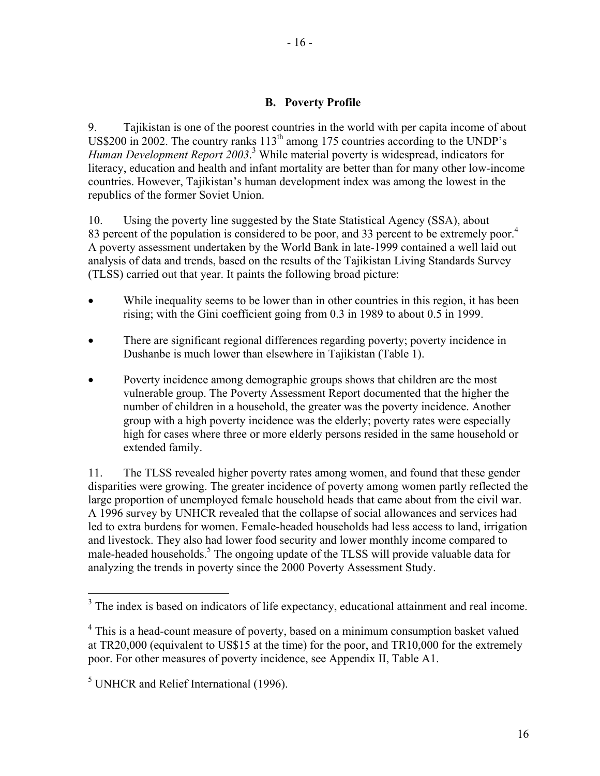#### **B. Poverty Profile**

9. Tajikistan is one of the poorest countries in the world with per capita income of about US\$200 in 2002. The country ranks  $113<sup>th</sup>$  among 175 countries according to the UNDP's *Human Development Report 2003*. 3 While material poverty is widespread, indicators for literacy, education and health and infant mortality are better than for many other low-income countries. However, Tajikistan's human development index was among the lowest in the republics of the former Soviet Union.

10. Using the poverty line suggested by the State Statistical Agency (SSA), about 83 percent of the population is considered to be poor, and 33 percent to be extremely poor.<sup>4</sup> A poverty assessment undertaken by the World Bank in late-1999 contained a well laid out analysis of data and trends, based on the results of the Tajikistan Living Standards Survey (TLSS) carried out that year. It paints the following broad picture:

- While inequality seems to be lower than in other countries in this region, it has been rising; with the Gini coefficient going from 0.3 in 1989 to about 0.5 in 1999.
- There are significant regional differences regarding poverty; poverty incidence in Dushanbe is much lower than elsewhere in Tajikistan (Table 1).
- Poverty incidence among demographic groups shows that children are the most vulnerable group. The Poverty Assessment Report documented that the higher the number of children in a household, the greater was the poverty incidence. Another group with a high poverty incidence was the elderly; poverty rates were especially high for cases where three or more elderly persons resided in the same household or extended family.

11. The TLSS revealed higher poverty rates among women, and found that these gender disparities were growing. The greater incidence of poverty among women partly reflected the large proportion of unemployed female household heads that came about from the civil war. A 1996 survey by UNHCR revealed that the collapse of social allowances and services had led to extra burdens for women. Female-headed households had less access to land, irrigation and livestock. They also had lower food security and lower monthly income compared to male-headed households.<sup>5</sup> The ongoing update of the TLSS will provide valuable data for analyzing the trends in poverty since the 2000 Poverty Assessment Study.

<sup>&</sup>lt;sup>3</sup> The index is based on indicators of life expectancy, educational attainment and real income.

<sup>&</sup>lt;sup>4</sup> This is a head-count measure of poverty, based on a minimum consumption basket valued at TR20,000 (equivalent to US\$15 at the time) for the poor, and TR10,000 for the extremely poor. For other measures of poverty incidence, see Appendix II, Table A1.

<sup>&</sup>lt;sup>5</sup> UNHCR and Relief International (1996).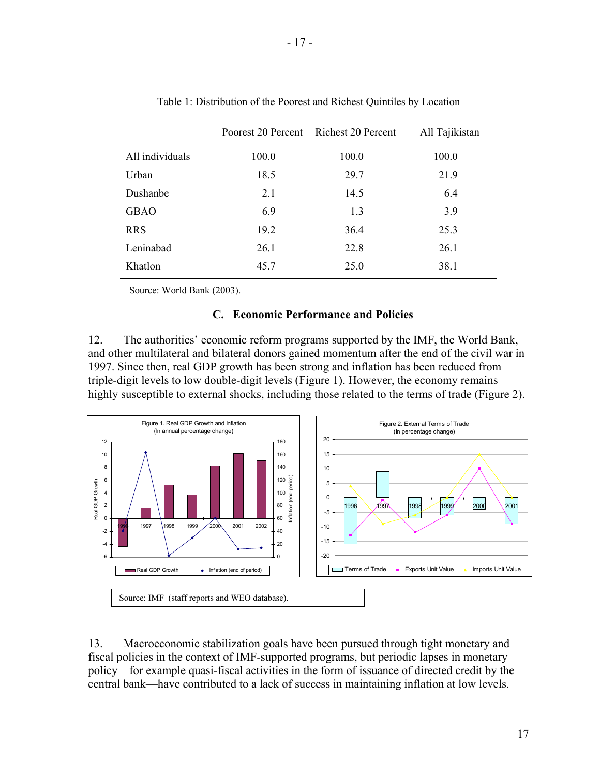|                 |       | Poorest 20 Percent Richest 20 Percent | All Tajikistan |  |  |
|-----------------|-------|---------------------------------------|----------------|--|--|
| All individuals | 100.0 | 100.0                                 | 100.0          |  |  |
| Urban           | 18.5  | 29.7                                  | 21.9           |  |  |
| Dushanbe        | 2.1   | 14.5                                  | 6.4            |  |  |
| <b>GBAO</b>     | 6.9   | 1.3                                   | 3.9            |  |  |
| <b>RRS</b>      | 19.2  | 36.4                                  | 25.3           |  |  |
| Leninabad       | 26.1  | 22.8                                  | 26.1           |  |  |
| Khatlon         | 45.7  | 25.0                                  | 38.1           |  |  |
|                 |       |                                       |                |  |  |

Table 1: Distribution of the Poorest and Richest Quintiles by Location

Source: World Bank (2003).

#### **C. Economic Performance and Policies**

12. The authorities' economic reform programs supported by the IMF, the World Bank, and other multilateral and bilateral donors gained momentum after the end of the civil war in 1997. Since then, real GDP growth has been strong and inflation has been reduced from triple-digit levels to low double-digit levels (Figure 1). However, the economy remains highly susceptible to external shocks, including those related to the terms of trade (Figure 2).



13. Macroeconomic stabilization goals have been pursued through tight monetary and fiscal policies in the context of IMF-supported programs, but periodic lapses in monetary policy—for example quasi-fiscal activities in the form of issuance of directed credit by the central bank—have contributed to a lack of success in maintaining inflation at low levels.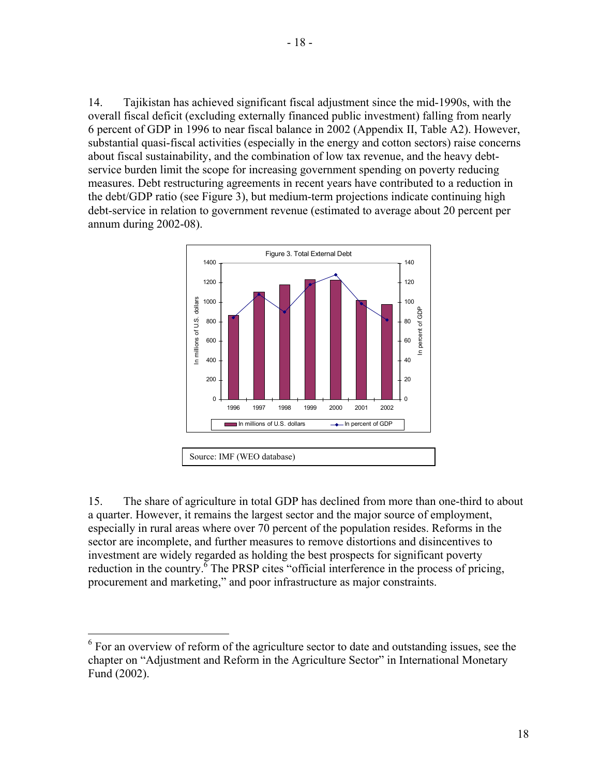14. Tajikistan has achieved significant fiscal adjustment since the mid-1990s, with the overall fiscal deficit (excluding externally financed public investment) falling from nearly 6 percent of GDP in 1996 to near fiscal balance in 2002 (Appendix II, Table A2). However, substantial quasi-fiscal activities (especially in the energy and cotton sectors) raise concerns about fiscal sustainability, and the combination of low tax revenue, and the heavy debtservice burden limit the scope for increasing government spending on poverty reducing measures. Debt restructuring agreements in recent years have contributed to a reduction in the debt/GDP ratio (see Figure 3), but medium-term projections indicate continuing high debt-service in relation to government revenue (estimated to average about 20 percent per annum during 2002-08).



15. The share of agriculture in total GDP has declined from more than one-third to about a quarter. However, it remains the largest sector and the major source of employment, especially in rural areas where over 70 percent of the population resides. Reforms in the sector are incomplete, and further measures to remove distortions and disincentives to investment are widely regarded as holding the best prospects for significant poverty reduction in the country.  $\frac{6}{5}$  The PRSP cites "official interference in the process of pricing, procurement and marketing," and poor infrastructure as major constraints.

<sup>&</sup>lt;sup>6</sup> For an overview of reform of the agriculture sector to date and outstanding issues, see the chapter on "Adjustment and Reform in the Agriculture Sector" in International Monetary Fund (2002).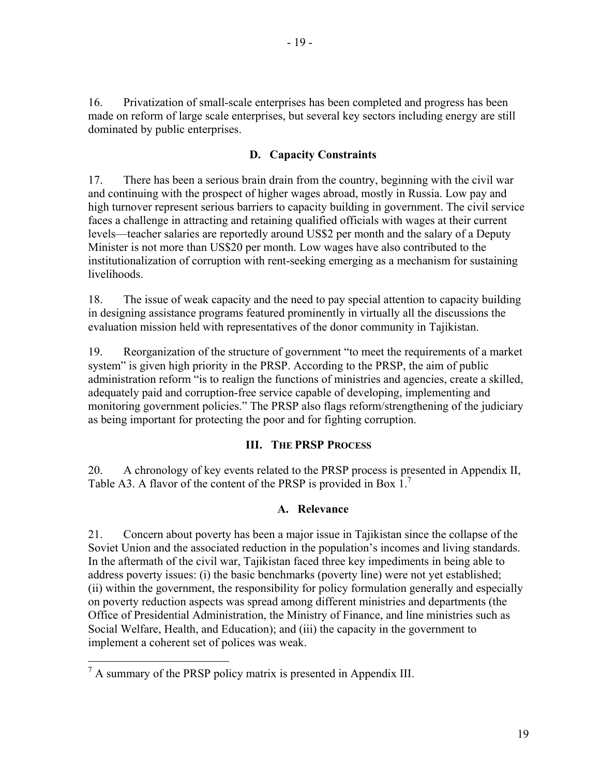- 19 -

16. Privatization of small-scale enterprises has been completed and progress has been made on reform of large scale enterprises, but several key sectors including energy are still dominated by public enterprises.

### **D. Capacity Constraints**

17. There has been a serious brain drain from the country, beginning with the civil war and continuing with the prospect of higher wages abroad, mostly in Russia. Low pay and high turnover represent serious barriers to capacity building in government. The civil service faces a challenge in attracting and retaining qualified officials with wages at their current levels—teacher salaries are reportedly around US\$2 per month and the salary of a Deputy Minister is not more than US\$20 per month. Low wages have also contributed to the institutionalization of corruption with rent-seeking emerging as a mechanism for sustaining livelihoods.

18. The issue of weak capacity and the need to pay special attention to capacity building in designing assistance programs featured prominently in virtually all the discussions the evaluation mission held with representatives of the donor community in Tajikistan.

19. Reorganization of the structure of government "to meet the requirements of a market system" is given high priority in the PRSP. According to the PRSP, the aim of public administration reform "is to realign the functions of ministries and agencies, create a skilled, adequately paid and corruption-free service capable of developing, implementing and monitoring government policies." The PRSP also flags reform/strengthening of the judiciary as being important for protecting the poor and for fighting corruption.

#### **III. THE PRSP PROCESS**

20. A chronology of key events related to the PRSP process is presented in Appendix II, Table A3. A flavor of the content of the PRSP is provided in Box 1.<sup>7</sup>

## **A. Relevance**

21. Concern about poverty has been a major issue in Tajikistan since the collapse of the Soviet Union and the associated reduction in the population's incomes and living standards. In the aftermath of the civil war, Tajikistan faced three key impediments in being able to address poverty issues: (i) the basic benchmarks (poverty line) were not yet established; (ii) within the government, the responsibility for policy formulation generally and especially on poverty reduction aspects was spread among different ministries and departments (the Office of Presidential Administration, the Ministry of Finance, and line ministries such as Social Welfare, Health, and Education); and (iii) the capacity in the government to implement a coherent set of polices was weak.

<sup>&</sup>lt;sup>7</sup> A summary of the PRSP policy matrix is presented in Appendix III.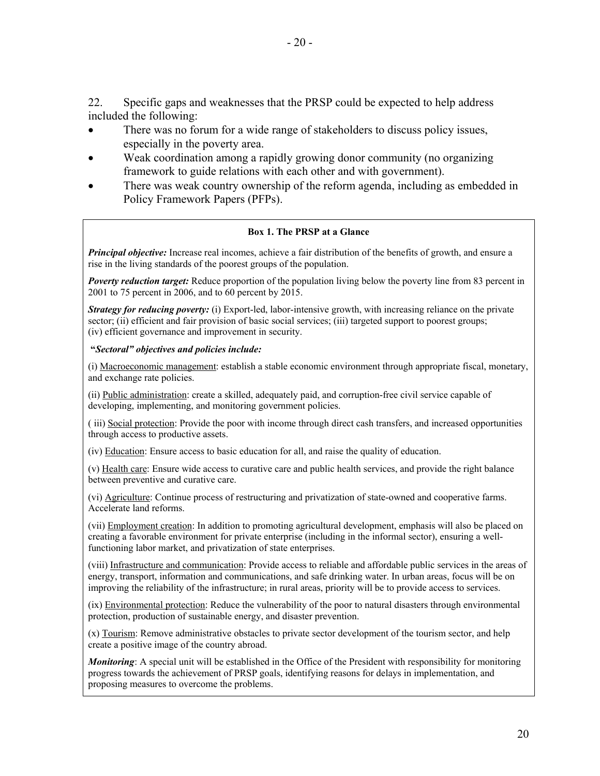22. Specific gaps and weaknesses that the PRSP could be expected to help address included the following:

- There was no forum for a wide range of stakeholders to discuss policy issues, especially in the poverty area.
- Weak coordination among a rapidly growing donor community (no organizing framework to guide relations with each other and with government).
- There was weak country ownership of the reform agenda, including as embedded in Policy Framework Papers (PFPs).

#### **Box 1. The PRSP at a Glance**

*Principal objective:* Increase real incomes, achieve a fair distribution of the benefits of growth, and ensure a rise in the living standards of the poorest groups of the population.

*Poverty reduction target:* Reduce proportion of the population living below the poverty line from 83 percent in 2001 to 75 percent in 2006, and to 60 percent by 2015.

*Strategy for reducing poverty:* (i) Export-led, labor-intensive growth, with increasing reliance on the private sector; (ii) efficient and fair provision of basic social services; (iii) targeted support to poorest groups; (iv) efficient governance and improvement in security.

#### **"***Sectoral" objectives and policies include:*

(i) Macroeconomic management: establish a stable economic environment through appropriate fiscal, monetary, and exchange rate policies.

(ii) Public administration: create a skilled, adequately paid, and corruption-free civil service capable of developing, implementing, and monitoring government policies.

( iii) Social protection: Provide the poor with income through direct cash transfers, and increased opportunities through access to productive assets.

(iv) Education: Ensure access to basic education for all, and raise the quality of education.

(v) Health care: Ensure wide access to curative care and public health services, and provide the right balance between preventive and curative care.

(vi) Agriculture: Continue process of restructuring and privatization of state-owned and cooperative farms. Accelerate land reforms.

(vii) Employment creation: In addition to promoting agricultural development, emphasis will also be placed on creating a favorable environment for private enterprise (including in the informal sector), ensuring a wellfunctioning labor market, and privatization of state enterprises.

(viii) Infrastructure and communication: Provide access to reliable and affordable public services in the areas of energy, transport, information and communications, and safe drinking water. In urban areas, focus will be on improving the reliability of the infrastructure; in rural areas, priority will be to provide access to services.

(ix) Environmental protection: Reduce the vulnerability of the poor to natural disasters through environmental protection, production of sustainable energy, and disaster prevention.

(x) Tourism: Remove administrative obstacles to private sector development of the tourism sector, and help create a positive image of the country abroad.

*Monitoring*: A special unit will be established in the Office of the President with responsibility for monitoring progress towards the achievement of PRSP goals, identifying reasons for delays in implementation, and proposing measures to overcome the problems.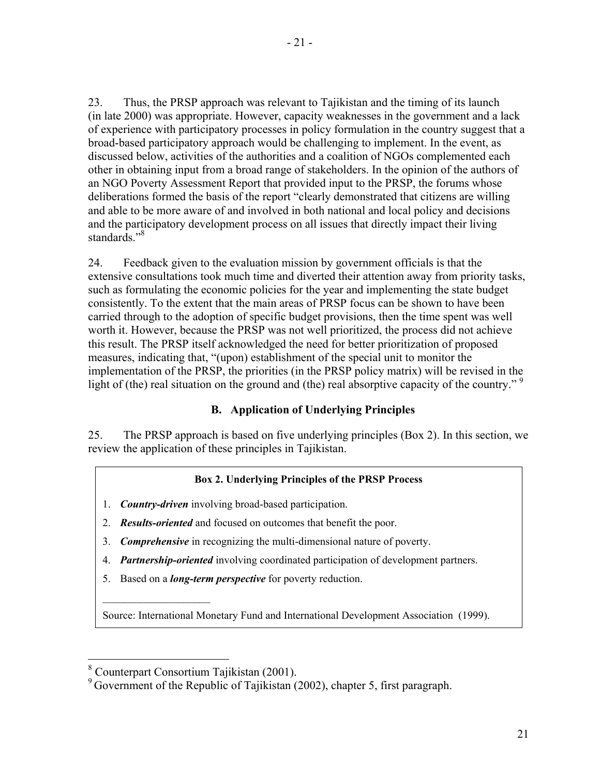23. Thus, the PRSP approach was relevant to Tajikistan and the timing of its launch (in late 2000) was appropriate. However, capacity weaknesses in the government and a lack of experience with participatory processes in policy formulation in the country suggest that a broad-based participatory approach would be challenging to implement. In the event, as discussed below, activities of the authorities and a coalition of NGOs complemented each other in obtaining input from a broad range of stakeholders. In the opinion of the authors of an NGO Poverty Assessment Report that provided input to the PRSP, the forums whose deliberations formed the basis of the report "clearly demonstrated that citizens are willing and able to be more aware of and involved in both national and local policy and decisions and the participatory development process on all issues that directly impact their living standards."<sup>8</sup>

24. Feedback given to the evaluation mission by government officials is that the extensive consultations took much time and diverted their attention away from priority tasks, such as formulating the economic policies for the year and implementing the state budget consistently. To the extent that the main areas of PRSP focus can be shown to have been carried through to the adoption of specific budget provisions, then the time spent was well worth it. However, because the PRSP was not well prioritized, the process did not achieve this result. The PRSP itself acknowledged the need for better prioritization of proposed measures, indicating that, "(upon) establishment of the special unit to monitor the implementation of the PRSP, the priorities (in the PRSP policy matrix) will be revised in the light of (the) real situation on the ground and (the) real absorptive capacity of the country."<sup>9</sup>

## **B. Application of Underlying Principles**

25. The PRSP approach is based on five underlying principles (Box 2). In this section, we review the application of these principles in Tajikistan.

#### **Box 2. Underlying Principles of the PRSP Process**

- 1. *Country-driven* involving broad-based participation.
- 2. *Results-oriented* and focused on outcomes that benefit the poor.
- 3. *Comprehensive* in recognizing the multi-dimensional nature of poverty.
- 4. *Partnership-oriented* involving coordinated participation of development partners.
- 5. Based on a *long-term perspective* for poverty reduction.

Source: International Monetary Fund and International Development Association (1999).

 $\overline{a}$ 

<sup>8</sup> Counterpart Consortium Tajikistan (2001).

<sup>&</sup>lt;sup>9</sup> Government of the Republic of Tajikistan (2002), chapter 5, first paragraph.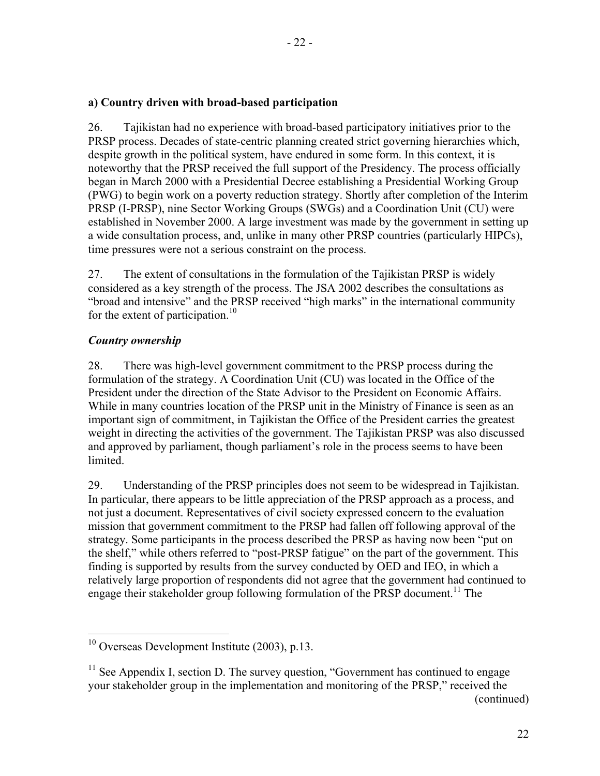### **a) Country driven with broad-based participation**

26. Tajikistan had no experience with broad-based participatory initiatives prior to the PRSP process. Decades of state-centric planning created strict governing hierarchies which, despite growth in the political system, have endured in some form. In this context, it is noteworthy that the PRSP received the full support of the Presidency. The process officially began in March 2000 with a Presidential Decree establishing a Presidential Working Group (PWG) to begin work on a poverty reduction strategy. Shortly after completion of the Interim PRSP (I-PRSP), nine Sector Working Groups (SWGs) and a Coordination Unit (CU) were established in November 2000. A large investment was made by the government in setting up a wide consultation process, and, unlike in many other PRSP countries (particularly HIPCs), time pressures were not a serious constraint on the process.

27. The extent of consultations in the formulation of the Tajikistan PRSP is widely considered as a key strength of the process. The JSA 2002 describes the consultations as "broad and intensive" and the PRSP received "high marks" in the international community for the extent of participation.<sup>10</sup>

## *Country ownership*

 $\overline{a}$ 

28. There was high-level government commitment to the PRSP process during the formulation of the strategy. A Coordination Unit (CU) was located in the Office of the President under the direction of the State Advisor to the President on Economic Affairs. While in many countries location of the PRSP unit in the Ministry of Finance is seen as an important sign of commitment, in Tajikistan the Office of the President carries the greatest weight in directing the activities of the government. The Tajikistan PRSP was also discussed and approved by parliament, though parliament's role in the process seems to have been limited.

29. Understanding of the PRSP principles does not seem to be widespread in Tajikistan. In particular, there appears to be little appreciation of the PRSP approach as a process, and not just a document. Representatives of civil society expressed concern to the evaluation mission that government commitment to the PRSP had fallen off following approval of the strategy. Some participants in the process described the PRSP as having now been "put on the shelf," while others referred to "post-PRSP fatigue" on the part of the government. This finding is supported by results from the survey conducted by OED and IEO, in which a relatively large proportion of respondents did not agree that the government had continued to engage their stakeholder group following formulation of the PRSP document.<sup>11</sup> The

 $10$  Overseas Development Institute (2003), p.13.

 $11$  See Appendix I, section D. The survey question, "Government has continued to engage your stakeholder group in the implementation and monitoring of the PRSP," received the (continued)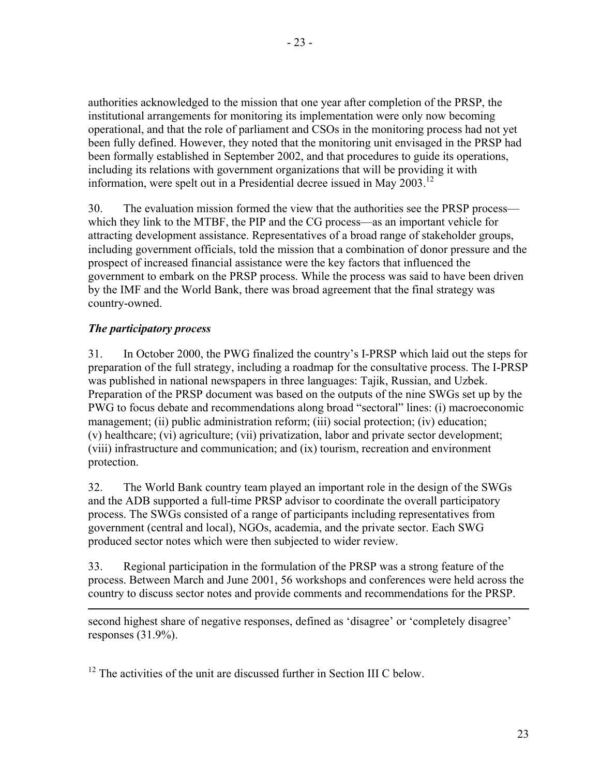- 23 -

authorities acknowledged to the mission that one year after completion of the PRSP, the institutional arrangements for monitoring its implementation were only now becoming operational, and that the role of parliament and CSOs in the monitoring process had not yet been fully defined. However, they noted that the monitoring unit envisaged in the PRSP had been formally established in September 2002, and that procedures to guide its operations, including its relations with government organizations that will be providing it with information, were spelt out in a Presidential decree issued in May  $2003$ .<sup>12</sup>

30. The evaluation mission formed the view that the authorities see the PRSP process which they link to the MTBF, the PIP and the CG process—as an important vehicle for attracting development assistance. Representatives of a broad range of stakeholder groups, including government officials, told the mission that a combination of donor pressure and the prospect of increased financial assistance were the key factors that influenced the government to embark on the PRSP process. While the process was said to have been driven by the IMF and the World Bank, there was broad agreement that the final strategy was country-owned.

## *The participatory process*

 $\overline{a}$ 

31. In October 2000, the PWG finalized the country's I-PRSP which laid out the steps for preparation of the full strategy, including a roadmap for the consultative process. The I-PRSP was published in national newspapers in three languages: Tajik, Russian, and Uzbek. Preparation of the PRSP document was based on the outputs of the nine SWGs set up by the PWG to focus debate and recommendations along broad "sectoral" lines: (i) macroeconomic management; (ii) public administration reform; (iii) social protection; (iv) education; (v) healthcare; (vi) agriculture; (vii) privatization, labor and private sector development; (viii) infrastructure and communication; and (ix) tourism, recreation and environment protection.

32. The World Bank country team played an important role in the design of the SWGs and the ADB supported a full-time PRSP advisor to coordinate the overall participatory process. The SWGs consisted of a range of participants including representatives from government (central and local), NGOs, academia, and the private sector. Each SWG produced sector notes which were then subjected to wider review.

33. Regional participation in the formulation of the PRSP was a strong feature of the process. Between March and June 2001, 56 workshops and conferences were held across the country to discuss sector notes and provide comments and recommendations for the PRSP.

second highest share of negative responses, defined as 'disagree' or 'completely disagree' responses (31.9%).

 $12$  The activities of the unit are discussed further in Section III C below.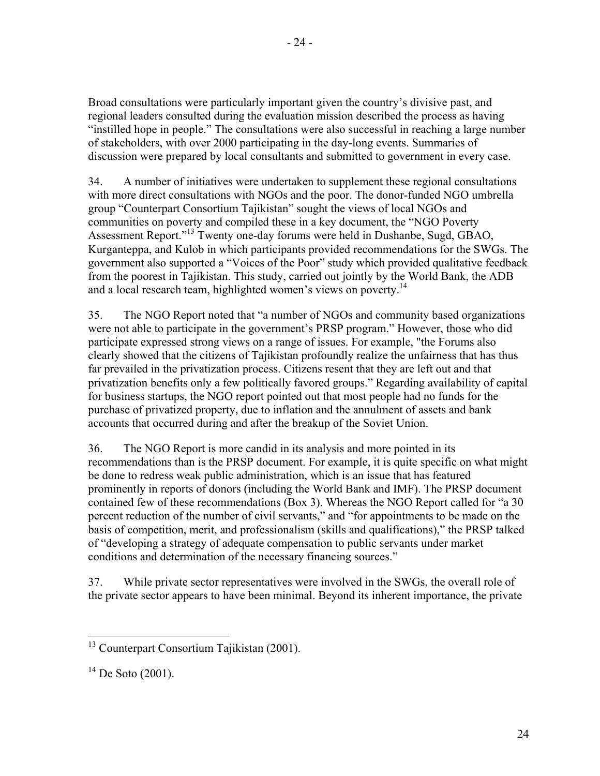Broad consultations were particularly important given the country's divisive past, and regional leaders consulted during the evaluation mission described the process as having "instilled hope in people." The consultations were also successful in reaching a large number of stakeholders, with over 2000 participating in the day-long events. Summaries of discussion were prepared by local consultants and submitted to government in every case.

34. A number of initiatives were undertaken to supplement these regional consultations with more direct consultations with NGOs and the poor. The donor-funded NGO umbrella group "Counterpart Consortium Tajikistan" sought the views of local NGOs and communities on poverty and compiled these in a key document, the "NGO Poverty Assessment Report."13 Twenty one-day forums were held in Dushanbe, Sugd, GBAO, Kurganteppa, and Kulob in which participants provided recommendations for the SWGs. The government also supported a "Voices of the Poor" study which provided qualitative feedback from the poorest in Tajikistan. This study, carried out jointly by the World Bank, the ADB and a local research team, highlighted women's views on poverty.<sup>14</sup>

35. The NGO Report noted that "a number of NGOs and community based organizations were not able to participate in the government's PRSP program." However, those who did participate expressed strong views on a range of issues. For example, "the Forums also clearly showed that the citizens of Tajikistan profoundly realize the unfairness that has thus far prevailed in the privatization process. Citizens resent that they are left out and that privatization benefits only a few politically favored groups." Regarding availability of capital for business startups, the NGO report pointed out that most people had no funds for the purchase of privatized property, due to inflation and the annulment of assets and bank accounts that occurred during and after the breakup of the Soviet Union.

36. The NGO Report is more candid in its analysis and more pointed in its recommendations than is the PRSP document. For example, it is quite specific on what might be done to redress weak public administration, which is an issue that has featured prominently in reports of donors (including the World Bank and IMF). The PRSP document contained few of these recommendations (Box 3). Whereas the NGO Report called for "a 30 percent reduction of the number of civil servants," and "for appointments to be made on the basis of competition, merit, and professionalism (skills and qualifications)," the PRSP talked of "developing a strategy of adequate compensation to public servants under market conditions and determination of the necessary financing sources."

37. While private sector representatives were involved in the SWGs, the overall role of the private sector appears to have been minimal. Beyond its inherent importance, the private

 $\overline{a}$ 

<sup>&</sup>lt;sup>13</sup> Counterpart Consortium Tajikistan (2001).

 $^{14}$  De Soto (2001).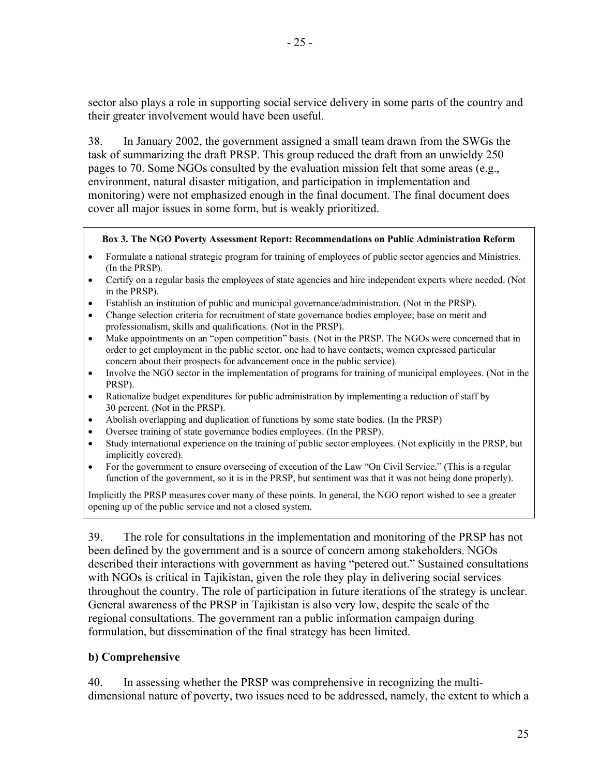sector also plays a role in supporting social service delivery in some parts of the country and their greater involvement would have been useful.

38. In January 2002, the government assigned a small team drawn from the SWGs the task of summarizing the draft PRSP. This group reduced the draft from an unwieldy 250 pages to 70. Some NGOs consulted by the evaluation mission felt that some areas (e.g., environment, natural disaster mitigation, and participation in implementation and monitoring) were not emphasized enough in the final document. The final document does cover all major issues in some form, but is weakly prioritized.

#### **Box 3. The NGO Poverty Assessment Report: Recommendations on Public Administration Reform**

- Formulate a national strategic program for training of employees of public sector agencies and Ministries. (In the PRSP).
- Certify on a regular basis the employees of state agencies and hire independent experts where needed. (Not in the PRSP).
- Establish an institution of public and municipal governance/administration. (Not in the PRSP).
- Change selection criteria for recruitment of state governance bodies employee; base on merit and professionalism, skills and qualifications. (Not in the PRSP).
- Make appointments on an "open competition" basis. (Not in the PRSP. The NGOs were concerned that in order to get employment in the public sector, one had to have contacts; women expressed particular concern about their prospects for advancement once in the public service).
- Involve the NGO sector in the implementation of programs for training of municipal employees. (Not in the PRSP).
- Rationalize budget expenditures for public administration by implementing a reduction of staff by 30 percent. (Not in the PRSP).
- Abolish overlapping and duplication of functions by some state bodies. (In the PRSP)
- Oversee training of state governance bodies employees. (In the PRSP).
- Study international experience on the training of public sector employees. (Not explicitly in the PRSP, but implicitly covered).
- For the government to ensure overseeing of execution of the Law "On Civil Service." (This is a regular function of the government, so it is in the PRSP, but sentiment was that it was not being done properly).

Implicitly the PRSP measures cover many of these points. In general, the NGO report wished to see a greater opening up of the public service and not a closed system.

39. The role for consultations in the implementation and monitoring of the PRSP has not been defined by the government and is a source of concern among stakeholders. NGOs described their interactions with government as having "petered out." Sustained consultations with NGOs is critical in Tajikistan, given the role they play in delivering social services throughout the country. The role of participation in future iterations of the strategy is unclear. General awareness of the PRSP in Tajikistan is also very low, despite the scale of the regional consultations. The government ran a public information campaign during formulation, but dissemination of the final strategy has been limited.

#### **b) Comprehensive**

40. In assessing whether the PRSP was comprehensive in recognizing the multidimensional nature of poverty, two issues need to be addressed, namely, the extent to which a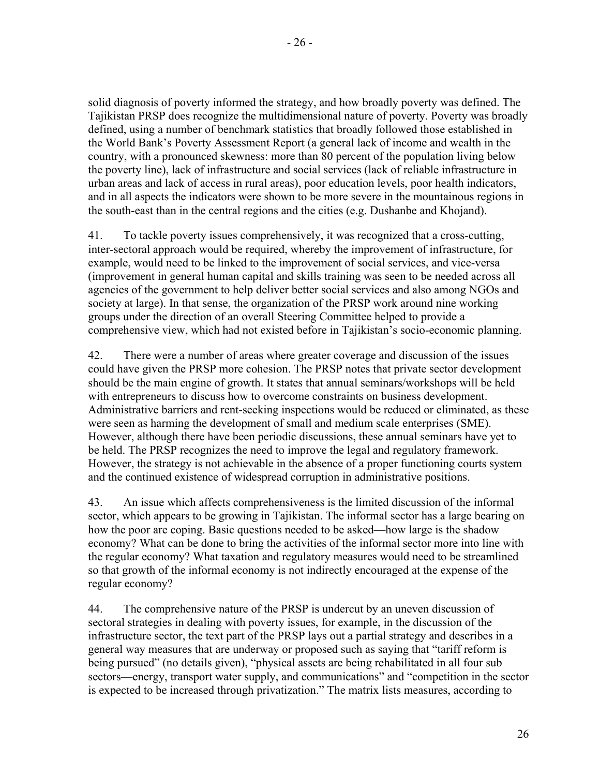solid diagnosis of poverty informed the strategy, and how broadly poverty was defined. The Tajikistan PRSP does recognize the multidimensional nature of poverty. Poverty was broadly defined, using a number of benchmark statistics that broadly followed those established in the World Bank's Poverty Assessment Report (a general lack of income and wealth in the country, with a pronounced skewness: more than 80 percent of the population living below the poverty line), lack of infrastructure and social services (lack of reliable infrastructure in urban areas and lack of access in rural areas), poor education levels, poor health indicators, and in all aspects the indicators were shown to be more severe in the mountainous regions in the south-east than in the central regions and the cities (e.g. Dushanbe and Khojand).

41. To tackle poverty issues comprehensively, it was recognized that a cross-cutting, inter-sectoral approach would be required, whereby the improvement of infrastructure, for example, would need to be linked to the improvement of social services, and vice-versa (improvement in general human capital and skills training was seen to be needed across all agencies of the government to help deliver better social services and also among NGOs and society at large). In that sense, the organization of the PRSP work around nine working groups under the direction of an overall Steering Committee helped to provide a comprehensive view, which had not existed before in Tajikistan's socio-economic planning.

42. There were a number of areas where greater coverage and discussion of the issues could have given the PRSP more cohesion. The PRSP notes that private sector development should be the main engine of growth. It states that annual seminars/workshops will be held with entrepreneurs to discuss how to overcome constraints on business development. Administrative barriers and rent-seeking inspections would be reduced or eliminated, as these were seen as harming the development of small and medium scale enterprises (SME). However, although there have been periodic discussions, these annual seminars have yet to be held. The PRSP recognizes the need to improve the legal and regulatory framework. However, the strategy is not achievable in the absence of a proper functioning courts system and the continued existence of widespread corruption in administrative positions.

43. An issue which affects comprehensiveness is the limited discussion of the informal sector, which appears to be growing in Tajikistan. The informal sector has a large bearing on how the poor are coping. Basic questions needed to be asked—how large is the shadow economy? What can be done to bring the activities of the informal sector more into line with the regular economy? What taxation and regulatory measures would need to be streamlined so that growth of the informal economy is not indirectly encouraged at the expense of the regular economy?

44. The comprehensive nature of the PRSP is undercut by an uneven discussion of sectoral strategies in dealing with poverty issues, for example, in the discussion of the infrastructure sector, the text part of the PRSP lays out a partial strategy and describes in a general way measures that are underway or proposed such as saying that "tariff reform is being pursued" (no details given), "physical assets are being rehabilitated in all four sub sectors—energy, transport water supply, and communications" and "competition in the sector is expected to be increased through privatization." The matrix lists measures, according to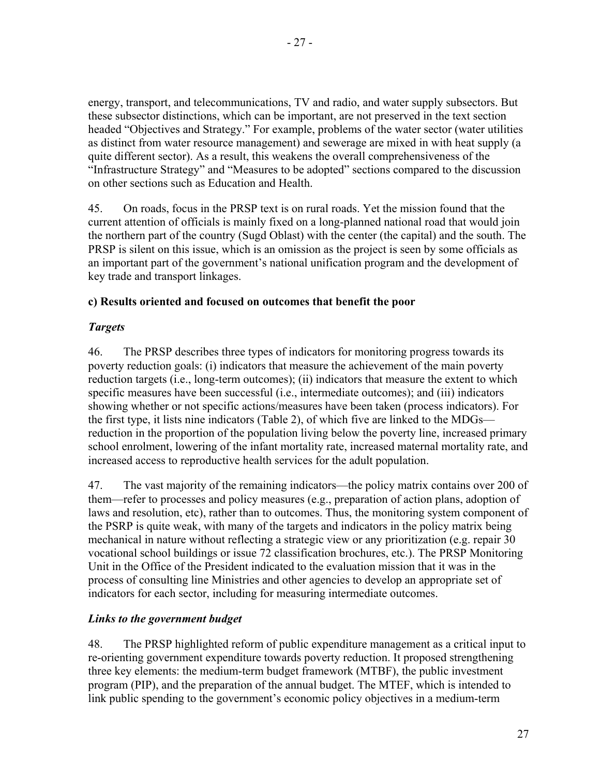energy, transport, and telecommunications, TV and radio, and water supply subsectors. But these subsector distinctions, which can be important, are not preserved in the text section headed "Objectives and Strategy." For example, problems of the water sector (water utilities as distinct from water resource management) and sewerage are mixed in with heat supply (a quite different sector). As a result, this weakens the overall comprehensiveness of the "Infrastructure Strategy" and "Measures to be adopted" sections compared to the discussion on other sections such as Education and Health.

45. On roads, focus in the PRSP text is on rural roads. Yet the mission found that the current attention of officials is mainly fixed on a long-planned national road that would join the northern part of the country (Sugd Oblast) with the center (the capital) and the south. The PRSP is silent on this issue, which is an omission as the project is seen by some officials as an important part of the government's national unification program and the development of key trade and transport linkages.

#### **c) Results oriented and focused on outcomes that benefit the poor**

## *Targets*

46. The PRSP describes three types of indicators for monitoring progress towards its poverty reduction goals: (i) indicators that measure the achievement of the main poverty reduction targets (i.e., long-term outcomes); (ii) indicators that measure the extent to which specific measures have been successful (i.e., intermediate outcomes); and (iii) indicators showing whether or not specific actions/measures have been taken (process indicators). For the first type, it lists nine indicators (Table 2), of which five are linked to the MDGs reduction in the proportion of the population living below the poverty line, increased primary school enrolment, lowering of the infant mortality rate, increased maternal mortality rate, and increased access to reproductive health services for the adult population.

47. The vast majority of the remaining indicators—the policy matrix contains over 200 of them—refer to processes and policy measures (e.g., preparation of action plans, adoption of laws and resolution, etc), rather than to outcomes. Thus, the monitoring system component of the PSRP is quite weak, with many of the targets and indicators in the policy matrix being mechanical in nature without reflecting a strategic view or any prioritization (e.g. repair 30 vocational school buildings or issue 72 classification brochures, etc.). The PRSP Monitoring Unit in the Office of the President indicated to the evaluation mission that it was in the process of consulting line Ministries and other agencies to develop an appropriate set of indicators for each sector, including for measuring intermediate outcomes.

#### *Links to the government budget*

48. The PRSP highlighted reform of public expenditure management as a critical input to re-orienting government expenditure towards poverty reduction. It proposed strengthening three key elements: the medium-term budget framework (MTBF), the public investment program (PIP), and the preparation of the annual budget. The MTEF, which is intended to link public spending to the government's economic policy objectives in a medium-term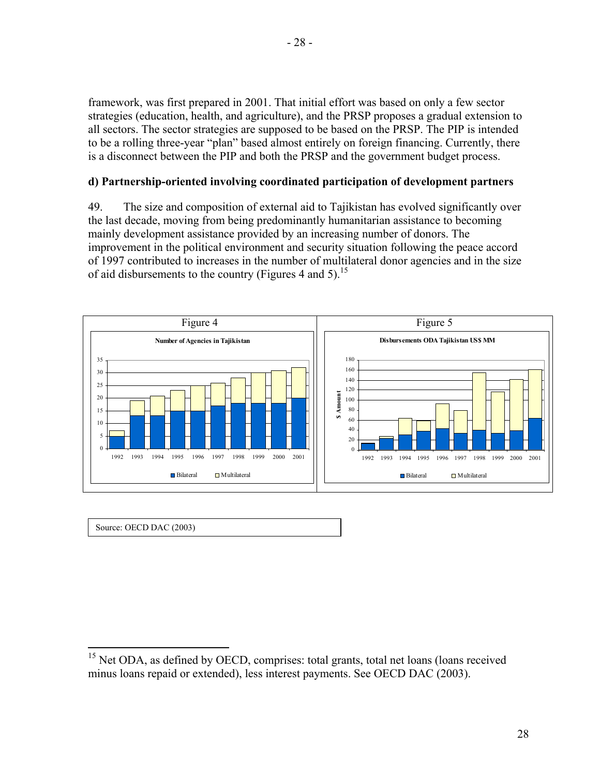framework, was first prepared in 2001. That initial effort was based on only a few sector strategies (education, health, and agriculture), and the PRSP proposes a gradual extension to all sectors. The sector strategies are supposed to be based on the PRSP. The PIP is intended to be a rolling three-year "plan" based almost entirely on foreign financing. Currently, there is a disconnect between the PIP and both the PRSP and the government budget process.

#### **d) Partnership-oriented involving coordinated participation of development partners**

49. The size and composition of external aid to Tajikistan has evolved significantly over the last decade, moving from being predominantly humanitarian assistance to becoming mainly development assistance provided by an increasing number of donors. The improvement in the political environment and security situation following the peace accord of 1997 contributed to increases in the number of multilateral donor agencies and in the size of aid disbursements to the country (Figures 4 and 5).<sup>15</sup>



|  | Source: OECD DAC (2003) |
|--|-------------------------|
|--|-------------------------|

1

 $15$  Net ODA, as defined by OECD, comprises: total grants, total net loans (loans received minus loans repaid or extended), less interest payments. See OECD DAC (2003).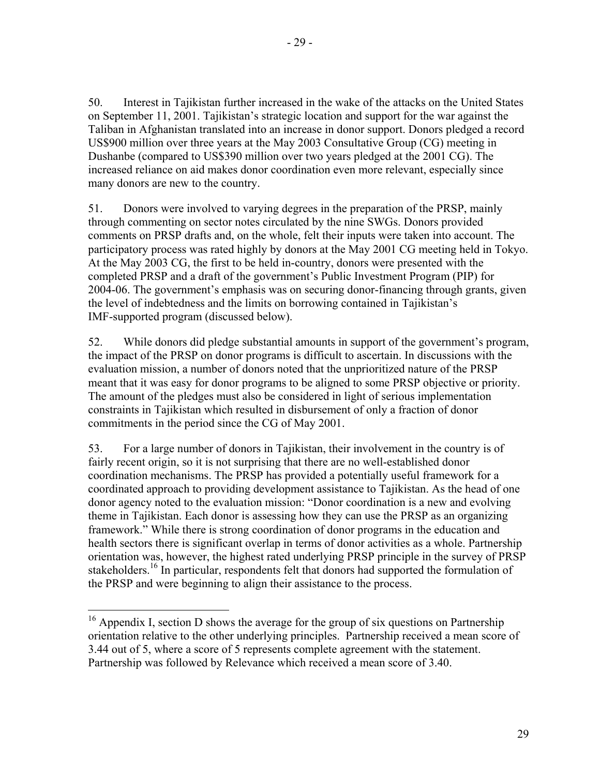50. Interest in Tajikistan further increased in the wake of the attacks on the United States on September 11, 2001. Tajikistan's strategic location and support for the war against the Taliban in Afghanistan translated into an increase in donor support. Donors pledged a record US\$900 million over three years at the May 2003 Consultative Group (CG) meeting in Dushanbe (compared to US\$390 million over two years pledged at the 2001 CG). The increased reliance on aid makes donor coordination even more relevant, especially since many donors are new to the country.

51. Donors were involved to varying degrees in the preparation of the PRSP, mainly through commenting on sector notes circulated by the nine SWGs. Donors provided comments on PRSP drafts and, on the whole, felt their inputs were taken into account. The participatory process was rated highly by donors at the May 2001 CG meeting held in Tokyo. At the May 2003 CG, the first to be held in-country, donors were presented with the completed PRSP and a draft of the government's Public Investment Program (PIP) for 2004-06. The government's emphasis was on securing donor-financing through grants, given the level of indebtedness and the limits on borrowing contained in Tajikistan's IMF-supported program (discussed below).

52. While donors did pledge substantial amounts in support of the government's program, the impact of the PRSP on donor programs is difficult to ascertain. In discussions with the evaluation mission, a number of donors noted that the unprioritized nature of the PRSP meant that it was easy for donor programs to be aligned to some PRSP objective or priority. The amount of the pledges must also be considered in light of serious implementation constraints in Tajikistan which resulted in disbursement of only a fraction of donor commitments in the period since the CG of May 2001.

53. For a large number of donors in Tajikistan, their involvement in the country is of fairly recent origin, so it is not surprising that there are no well-established donor coordination mechanisms. The PRSP has provided a potentially useful framework for a coordinated approach to providing development assistance to Tajikistan. As the head of one donor agency noted to the evaluation mission: "Donor coordination is a new and evolving theme in Tajikistan. Each donor is assessing how they can use the PRSP as an organizing framework." While there is strong coordination of donor programs in the education and health sectors there is significant overlap in terms of donor activities as a whole. Partnership orientation was, however, the highest rated underlying PRSP principle in the survey of PRSP stakeholders.<sup>16</sup> In particular, respondents felt that donors had supported the formulation of the PRSP and were beginning to align their assistance to the process.

 $\overline{a}$  $16$  Appendix I, section D shows the average for the group of six questions on Partnership orientation relative to the other underlying principles. Partnership received a mean score of 3.44 out of 5, where a score of 5 represents complete agreement with the statement. Partnership was followed by Relevance which received a mean score of 3.40.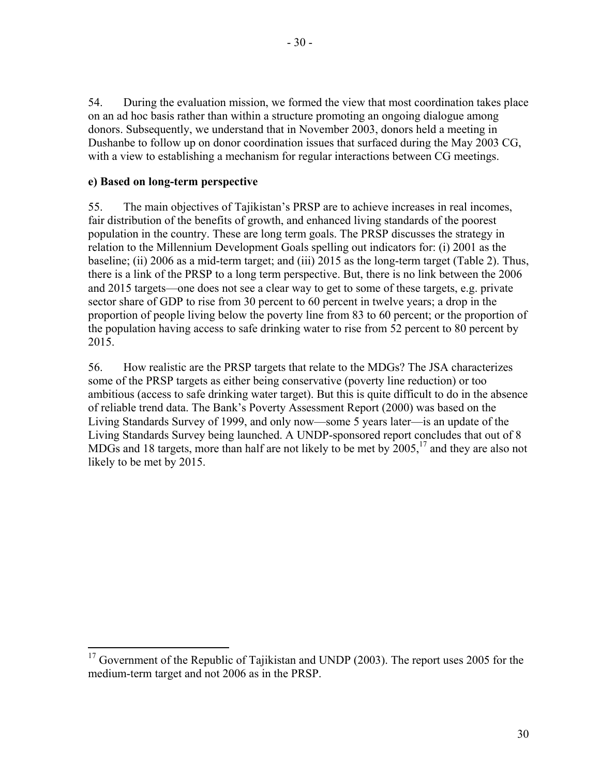- 30 -

54. During the evaluation mission, we formed the view that most coordination takes place on an ad hoc basis rather than within a structure promoting an ongoing dialogue among donors. Subsequently, we understand that in November 2003, donors held a meeting in Dushanbe to follow up on donor coordination issues that surfaced during the May 2003 CG, with a view to establishing a mechanism for regular interactions between CG meetings.

## **e) Based on long-term perspective**

55. The main objectives of Tajikistan's PRSP are to achieve increases in real incomes, fair distribution of the benefits of growth, and enhanced living standards of the poorest population in the country. These are long term goals. The PRSP discusses the strategy in relation to the Millennium Development Goals spelling out indicators for: (i) 2001 as the baseline; (ii) 2006 as a mid-term target; and (iii) 2015 as the long-term target (Table 2). Thus, there is a link of the PRSP to a long term perspective. But, there is no link between the 2006 and 2015 targets—one does not see a clear way to get to some of these targets, e.g. private sector share of GDP to rise from 30 percent to 60 percent in twelve years; a drop in the proportion of people living below the poverty line from 83 to 60 percent; or the proportion of the population having access to safe drinking water to rise from 52 percent to 80 percent by 2015.

56. How realistic are the PRSP targets that relate to the MDGs? The JSA characterizes some of the PRSP targets as either being conservative (poverty line reduction) or too ambitious (access to safe drinking water target). But this is quite difficult to do in the absence of reliable trend data. The Bank's Poverty Assessment Report (2000) was based on the Living Standards Survey of 1999, and only now—some 5 years later—is an update of the Living Standards Survey being launched. A UNDP-sponsored report concludes that out of 8 MDGs and 18 targets, more than half are not likely to be met by  $2005$ ,<sup>17</sup> and they are also not likely to be met by 2015.

 $\overline{a}$  $17$  Government of the Republic of Tajikistan and UNDP (2003). The report uses 2005 for the medium-term target and not 2006 as in the PRSP.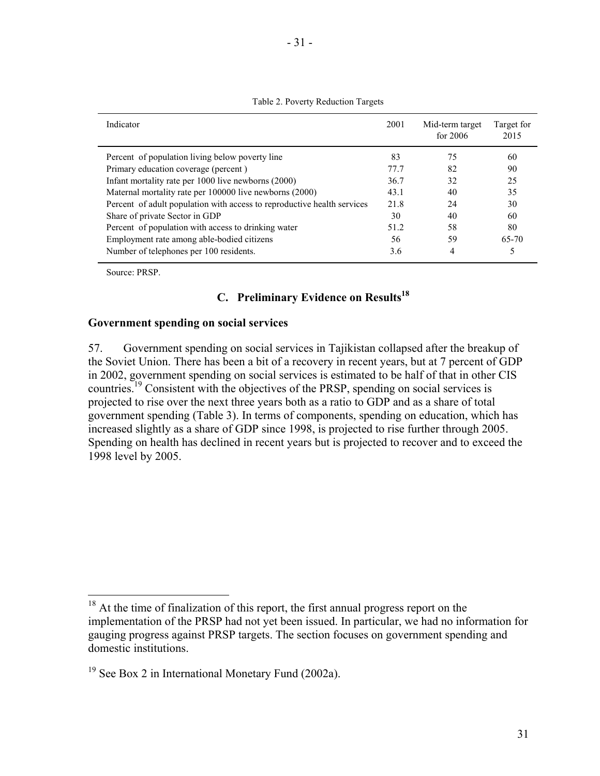| Indicator                                                               | 2001 | Mid-term target<br>for $2006$ | Target for<br>2015 |
|-------------------------------------------------------------------------|------|-------------------------------|--------------------|
| Percent of population living below poverty line                         | 83   | 75                            | 60                 |
| Primary education coverage (percent)                                    | 77 7 | 82                            | 90                 |
| Infant mortality rate per 1000 live newborns (2000)                     | 36.7 | 32                            | 25                 |
| Maternal mortality rate per 100000 live newborns (2000)                 | 43.1 | 40                            | 35                 |
| Percent of adult population with access to reproductive health services | 21.8 | 24                            | 30                 |
| Share of private Sector in GDP                                          | 30   | 40                            | 60                 |
| Percent of population with access to drinking water                     | 51.2 | 58                            | 80                 |
| Employment rate among able-bodied citizens                              | 56   | 59                            | 65-70              |
| Number of telephones per 100 residents.                                 | 3.6  | 4                             |                    |

Table 2. Poverty Reduction Targets

Source: PRSP.

 $\overline{a}$ 

## **C. Preliminary Evidence on Results18**

#### **Government spending on social services**

57. Government spending on social services in Tajikistan collapsed after the breakup of the Soviet Union. There has been a bit of a recovery in recent years, but at 7 percent of GDP in 2002, government spending on social services is estimated to be half of that in other CIS countries.19 Consistent with the objectives of the PRSP, spending on social services is projected to rise over the next three years both as a ratio to GDP and as a share of total government spending (Table 3). In terms of components, spending on education, which has increased slightly as a share of GDP since 1998, is projected to rise further through 2005. Spending on health has declined in recent years but is projected to recover and to exceed the 1998 level by 2005.

 $18$  At the time of finalization of this report, the first annual progress report on the implementation of the PRSP had not yet been issued. In particular, we had no information for gauging progress against PRSP targets. The section focuses on government spending and domestic institutions.

 $19$  See Box 2 in International Monetary Fund (2002a).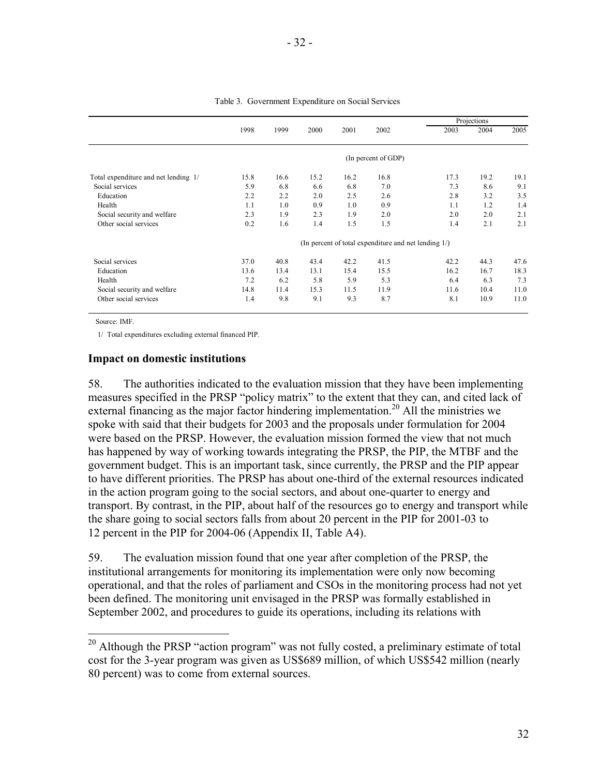|                                      |                                                         |      |      |      |                     | Projections |      |      |
|--------------------------------------|---------------------------------------------------------|------|------|------|---------------------|-------------|------|------|
|                                      | 1998                                                    | 1999 | 2000 | 2001 | 2002                | 2003        | 2004 | 2005 |
|                                      |                                                         |      |      |      | (In percent of GDP) |             |      |      |
| Total expenditure and net lending 1/ | 15.8                                                    | 16.6 | 15.2 | 16.2 | 16.8                | 17.3        | 19.2 | 19.1 |
| Social services                      | 5.9                                                     | 6.8  | 6.6  | 6.8  | 7.0                 | 7.3         | 8.6  | 9.1  |
| Education                            | 2.2                                                     | 2.2  | 2.0  | 2.5  | 2.6                 | 2.8         | 3.2  | 3.5  |
| Health                               | 1.1                                                     | 1.0  | 0.9  | 1.0  | 0.9                 | 1.1         | 1.2  | 1.4  |
| Social security and welfare          | 2.3                                                     | 1.9  | 2.3  | 1.9  | 2.0                 | 2.0         | 2.0  | 2.1  |
| Other social services                | 0.2                                                     | 1.6  | 1.4  | 1.5  | 1.5                 | 1.4         | 2.1  | 2.1  |
|                                      | (In percent of total expenditure and net lending $1/$ ) |      |      |      |                     |             |      |      |
| Social services                      | 37.0                                                    | 40.8 | 43.4 | 42.2 | 41.5                | 42.2        | 44.3 | 47.6 |
| Education                            | 13.6                                                    | 13.4 | 13.1 | 15.4 | 15.5                | 16.2        | 16.7 | 18.3 |
| Health                               | 7.2                                                     | 6.2  | 5.8  | 5.9  | 5.3                 | 6.4         | 6.3  | 7.3  |
| Social security and welfare          | 14.8                                                    | 11.4 | 15.3 | 11.5 | 11.9                | 11.6        | 10.4 | 11.0 |
| Other social services                | 1.4                                                     | 9.8  | 9.1  | 9.3  | 8.7                 | 8.1         | 10.9 | 11.0 |

Table 3. Government Expenditure on Social Services

Source: IMF.

 $\overline{a}$ 

1/ Total expenditures excluding external financed PIP.

#### **Impact on domestic institutions**

58. The authorities indicated to the evaluation mission that they have been implementing measures specified in the PRSP "policy matrix" to the extent that they can, and cited lack of external financing as the major factor hindering implementation.<sup>20</sup> All the ministries we spoke with said that their budgets for 2003 and the proposals under formulation for 2004 were based on the PRSP. However, the evaluation mission formed the view that not much has happened by way of working towards integrating the PRSP, the PIP, the MTBF and the government budget. This is an important task, since currently, the PRSP and the PIP appear to have different priorities. The PRSP has about one-third of the external resources indicated in the action program going to the social sectors, and about one-quarter to energy and transport. By contrast, in the PIP, about half of the resources go to energy and transport while the share going to social sectors falls from about 20 percent in the PIP for 2001-03 to 12 percent in the PIP for 2004-06 (Appendix II, Table A4).

59. The evaluation mission found that one year after completion of the PRSP, the institutional arrangements for monitoring its implementation were only now becoming operational, and that the roles of parliament and CSOs in the monitoring process had not yet been defined. The monitoring unit envisaged in the PRSP was formally established in September 2002, and procedures to guide its operations, including its relations with

 $20$  Although the PRSP "action program" was not fully costed, a preliminary estimate of total cost for the 3-year program was given as US\$689 million, of which US\$542 million (nearly 80 percent) was to come from external sources.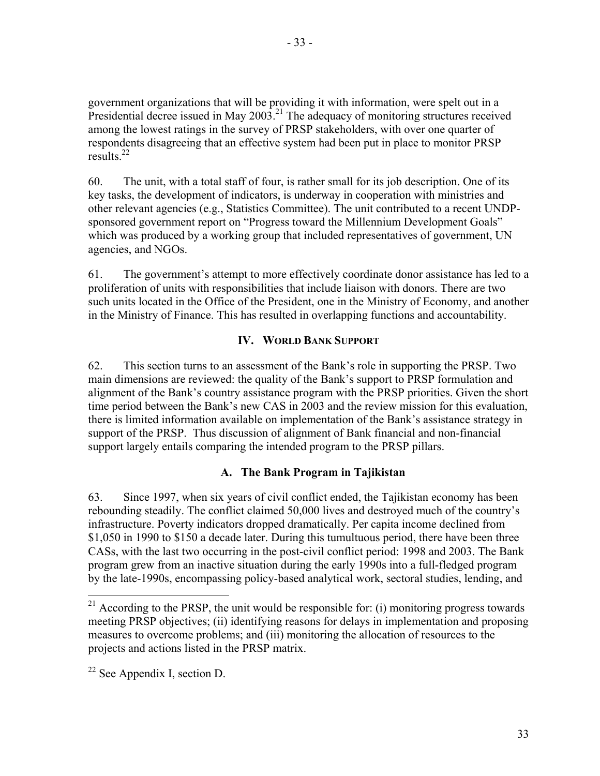government organizations that will be providing it with information, were spelt out in a Presidential decree issued in May 2003.<sup>21</sup> The adequacy of monitoring structures received among the lowest ratings in the survey of PRSP stakeholders, with over one quarter of respondents disagreeing that an effective system had been put in place to monitor PRSP results. $^{22}$ 

60. The unit, with a total staff of four, is rather small for its job description. One of its key tasks, the development of indicators, is underway in cooperation with ministries and other relevant agencies (e.g., Statistics Committee). The unit contributed to a recent UNDPsponsored government report on "Progress toward the Millennium Development Goals" which was produced by a working group that included representatives of government, UN agencies, and NGOs.

61. The government's attempt to more effectively coordinate donor assistance has led to a proliferation of units with responsibilities that include liaison with donors. There are two such units located in the Office of the President, one in the Ministry of Economy, and another in the Ministry of Finance. This has resulted in overlapping functions and accountability.

#### **IV. WORLD BANK SUPPORT**

62. This section turns to an assessment of the Bank's role in supporting the PRSP. Two main dimensions are reviewed: the quality of the Bank's support to PRSP formulation and alignment of the Bank's country assistance program with the PRSP priorities. Given the short time period between the Bank's new CAS in 2003 and the review mission for this evaluation, there is limited information available on implementation of the Bank's assistance strategy in support of the PRSP. Thus discussion of alignment of Bank financial and non-financial support largely entails comparing the intended program to the PRSP pillars.

#### **A. The Bank Program in Tajikistan**

63. Since 1997, when six years of civil conflict ended, the Tajikistan economy has been rebounding steadily. The conflict claimed 50,000 lives and destroyed much of the country's infrastructure. Poverty indicators dropped dramatically. Per capita income declined from \$1,050 in 1990 to \$150 a decade later. During this tumultuous period, there have been three CASs, with the last two occurring in the post-civil conflict period: 1998 and 2003. The Bank program grew from an inactive situation during the early 1990s into a full-fledged program by the late-1990s, encompassing policy-based analytical work, sectoral studies, lending, and

 $\overline{a}$ 

 $^{21}$  According to the PRSP, the unit would be responsible for: (i) monitoring progress towards meeting PRSP objectives; (ii) identifying reasons for delays in implementation and proposing measures to overcome problems; and (iii) monitoring the allocation of resources to the projects and actions listed in the PRSP matrix.

 $22$  See Appendix I, section D.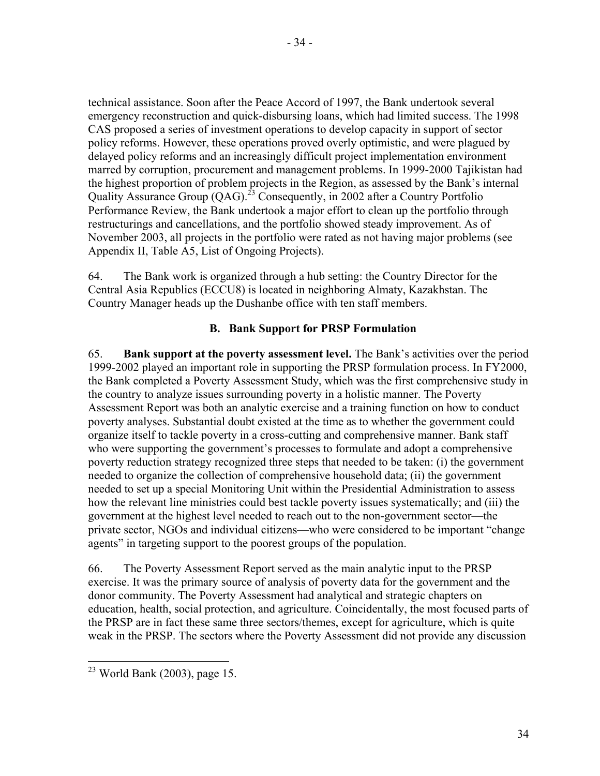technical assistance. Soon after the Peace Accord of 1997, the Bank undertook several emergency reconstruction and quick-disbursing loans, which had limited success. The 1998 CAS proposed a series of investment operations to develop capacity in support of sector policy reforms. However, these operations proved overly optimistic, and were plagued by delayed policy reforms and an increasingly difficult project implementation environment marred by corruption, procurement and management problems. In 1999-2000 Tajikistan had the highest proportion of problem projects in the Region, as assessed by the Bank's internal Quality Assurance Group  $(QAG)$ <sup>23</sup> Consequently, in 2002 after a Country Portfolio Performance Review, the Bank undertook a major effort to clean up the portfolio through restructurings and cancellations, and the portfolio showed steady improvement. As of November 2003, all projects in the portfolio were rated as not having major problems (see Appendix II, Table A5, List of Ongoing Projects).

64. The Bank work is organized through a hub setting: the Country Director for the Central Asia Republics (ECCU8) is located in neighboring Almaty, Kazakhstan. The Country Manager heads up the Dushanbe office with ten staff members.

#### **B. Bank Support for PRSP Formulation**

65. **Bank support at the poverty assessment level.** The Bank's activities over the period 1999-2002 played an important role in supporting the PRSP formulation process. In FY2000, the Bank completed a Poverty Assessment Study, which was the first comprehensive study in the country to analyze issues surrounding poverty in a holistic manner. The Poverty Assessment Report was both an analytic exercise and a training function on how to conduct poverty analyses. Substantial doubt existed at the time as to whether the government could organize itself to tackle poverty in a cross-cutting and comprehensive manner. Bank staff who were supporting the government's processes to formulate and adopt a comprehensive poverty reduction strategy recognized three steps that needed to be taken: (i) the government needed to organize the collection of comprehensive household data; (ii) the government needed to set up a special Monitoring Unit within the Presidential Administration to assess how the relevant line ministries could best tackle poverty issues systematically; and (iii) the government at the highest level needed to reach out to the non-government sector—the private sector, NGOs and individual citizens—who were considered to be important "change agents" in targeting support to the poorest groups of the population.

66. The Poverty Assessment Report served as the main analytic input to the PRSP exercise. It was the primary source of analysis of poverty data for the government and the donor community. The Poverty Assessment had analytical and strategic chapters on education, health, social protection, and agriculture. Coincidentally, the most focused parts of the PRSP are in fact these same three sectors/themes, except for agriculture, which is quite weak in the PRSP. The sectors where the Poverty Assessment did not provide any discussion

 $\overline{a}$ 

 $23$  World Bank (2003), page 15.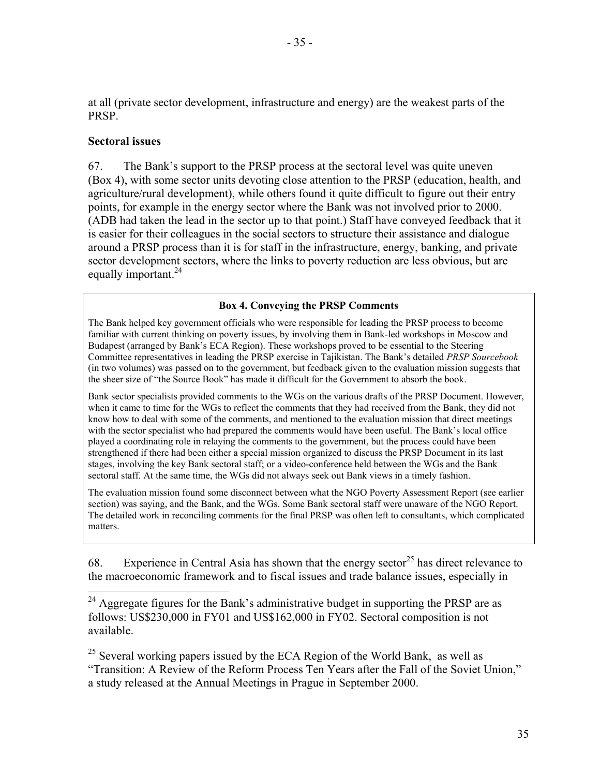at all (private sector development, infrastructure and energy) are the weakest parts of the PRSP.

#### **Sectoral issues**

 $\overline{a}$ 

67. The Bank's support to the PRSP process at the sectoral level was quite uneven (Box 4), with some sector units devoting close attention to the PRSP (education, health, and agriculture/rural development), while others found it quite difficult to figure out their entry points, for example in the energy sector where the Bank was not involved prior to 2000. (ADB had taken the lead in the sector up to that point.) Staff have conveyed feedback that it is easier for their colleagues in the social sectors to structure their assistance and dialogue around a PRSP process than it is for staff in the infrastructure, energy, banking, and private sector development sectors, where the links to poverty reduction are less obvious, but are equally important.<sup>24</sup>

#### **Box 4. Conveying the PRSP Comments**

The Bank helped key government officials who were responsible for leading the PRSP process to become familiar with current thinking on poverty issues, by involving them in Bank-led workshops in Moscow and Budapest (arranged by Bank's ECA Region). These workshops proved to be essential to the Steering Committee representatives in leading the PRSP exercise in Tajikistan. The Bank's detailed *PRSP Sourcebook*  (in two volumes) was passed on to the government, but feedback given to the evaluation mission suggests that the sheer size of "the Source Book" has made it difficult for the Government to absorb the book.

Bank sector specialists provided comments to the WGs on the various drafts of the PRSP Document. However, when it came to time for the WGs to reflect the comments that they had received from the Bank, they did not know how to deal with some of the comments, and mentioned to the evaluation mission that direct meetings with the sector specialist who had prepared the comments would have been useful. The Bank's local office played a coordinating role in relaying the comments to the government, but the process could have been strengthened if there had been either a special mission organized to discuss the PRSP Document in its last stages, involving the key Bank sectoral staff; or a video-conference held between the WGs and the Bank sectoral staff. At the same time, the WGs did not always seek out Bank views in a timely fashion.

The evaluation mission found some disconnect between what the NGO Poverty Assessment Report (see earlier section) was saying, and the Bank, and the WGs. Some Bank sectoral staff were unaware of the NGO Report. The detailed work in reconciling comments for the final PRSP was often left to consultants, which complicated matters.

68. Experience in Central Asia has shown that the energy sector<sup>25</sup> has direct relevance to the macroeconomic framework and to fiscal issues and trade balance issues, especially in

 $24$  Aggregate figures for the Bank's administrative budget in supporting the PRSP are as follows: US\$230,000 in FY01 and US\$162,000 in FY02. Sectoral composition is not available.

<sup>25</sup> Several working papers issued by the ECA Region of the World Bank, as well as "Transition: A Review of the Reform Process Ten Years after the Fall of the Soviet Union," a study released at the Annual Meetings in Prague in September 2000.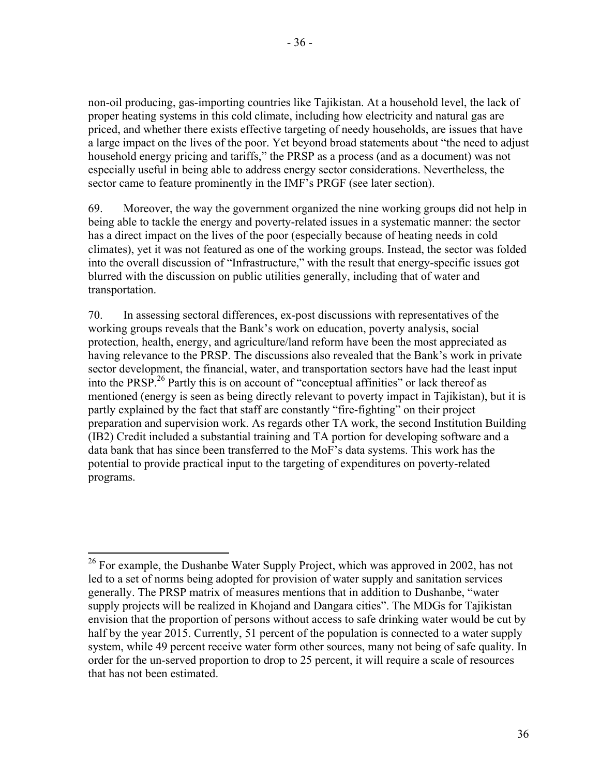non-oil producing, gas-importing countries like Tajikistan. At a household level, the lack of proper heating systems in this cold climate, including how electricity and natural gas are priced, and whether there exists effective targeting of needy households, are issues that have a large impact on the lives of the poor. Yet beyond broad statements about "the need to adjust household energy pricing and tariffs," the PRSP as a process (and as a document) was not especially useful in being able to address energy sector considerations. Nevertheless, the sector came to feature prominently in the IMF's PRGF (see later section).

69. Moreover, the way the government organized the nine working groups did not help in being able to tackle the energy and poverty-related issues in a systematic manner: the sector has a direct impact on the lives of the poor (especially because of heating needs in cold climates), yet it was not featured as one of the working groups. Instead, the sector was folded into the overall discussion of "Infrastructure," with the result that energy-specific issues got blurred with the discussion on public utilities generally, including that of water and transportation.

70. In assessing sectoral differences, ex-post discussions with representatives of the working groups reveals that the Bank's work on education, poverty analysis, social protection, health, energy, and agriculture/land reform have been the most appreciated as having relevance to the PRSP. The discussions also revealed that the Bank's work in private sector development, the financial, water, and transportation sectors have had the least input into the PRSP.<sup>26</sup> Partly this is on account of "conceptual affinities" or lack thereof as mentioned (energy is seen as being directly relevant to poverty impact in Tajikistan), but it is partly explained by the fact that staff are constantly "fire-fighting" on their project preparation and supervision work. As regards other TA work, the second Institution Building (IB2) Credit included a substantial training and TA portion for developing software and a data bank that has since been transferred to the MoF's data systems. This work has the potential to provide practical input to the targeting of expenditures on poverty-related programs.

 $\overline{a}$  $26$  For example, the Dushanbe Water Supply Project, which was approved in 2002, has not led to a set of norms being adopted for provision of water supply and sanitation services generally. The PRSP matrix of measures mentions that in addition to Dushanbe, "water supply projects will be realized in Khojand and Dangara cities". The MDGs for Tajikistan envision that the proportion of persons without access to safe drinking water would be cut by half by the year 2015. Currently, 51 percent of the population is connected to a water supply system, while 49 percent receive water form other sources, many not being of safe quality. In order for the un-served proportion to drop to 25 percent, it will require a scale of resources that has not been estimated.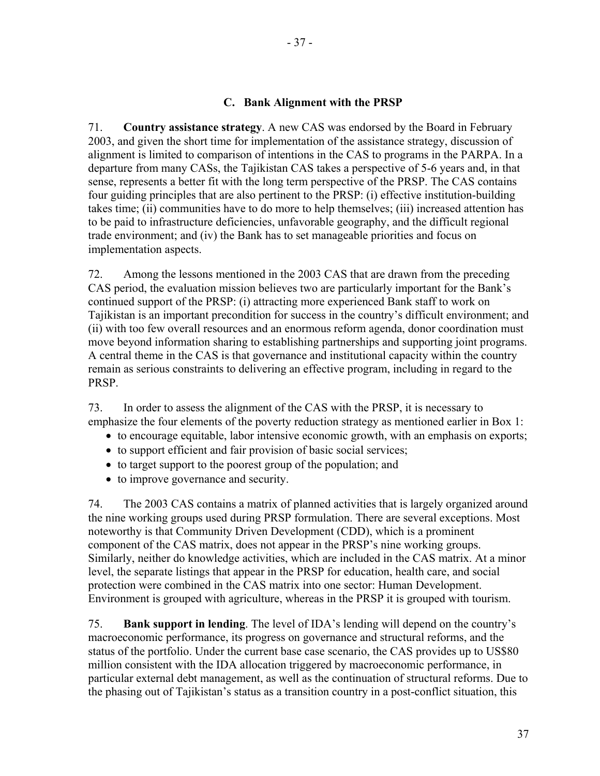### **C. Bank Alignment with the PRSP**

71. **Country assistance strategy**. A new CAS was endorsed by the Board in February 2003, and given the short time for implementation of the assistance strategy, discussion of alignment is limited to comparison of intentions in the CAS to programs in the PARPA. In a departure from many CASs, the Tajikistan CAS takes a perspective of 5-6 years and, in that sense, represents a better fit with the long term perspective of the PRSP. The CAS contains four guiding principles that are also pertinent to the PRSP: (i) effective institution-building takes time; (ii) communities have to do more to help themselves; (iii) increased attention has to be paid to infrastructure deficiencies, unfavorable geography, and the difficult regional trade environment; and (iv) the Bank has to set manageable priorities and focus on implementation aspects.

72. Among the lessons mentioned in the 2003 CAS that are drawn from the preceding CAS period, the evaluation mission believes two are particularly important for the Bank's continued support of the PRSP: (i) attracting more experienced Bank staff to work on Tajikistan is an important precondition for success in the country's difficult environment; and (ii) with too few overall resources and an enormous reform agenda, donor coordination must move beyond information sharing to establishing partnerships and supporting joint programs. A central theme in the CAS is that governance and institutional capacity within the country remain as serious constraints to delivering an effective program, including in regard to the PRSP.

73. In order to assess the alignment of the CAS with the PRSP, it is necessary to emphasize the four elements of the poverty reduction strategy as mentioned earlier in Box 1:

- to encourage equitable, labor intensive economic growth, with an emphasis on exports;
- to support efficient and fair provision of basic social services;
- to target support to the poorest group of the population; and
- to improve governance and security.

74. The 2003 CAS contains a matrix of planned activities that is largely organized around the nine working groups used during PRSP formulation. There are several exceptions. Most noteworthy is that Community Driven Development (CDD), which is a prominent component of the CAS matrix, does not appear in the PRSP's nine working groups. Similarly, neither do knowledge activities, which are included in the CAS matrix. At a minor level, the separate listings that appear in the PRSP for education, health care, and social protection were combined in the CAS matrix into one sector: Human Development. Environment is grouped with agriculture, whereas in the PRSP it is grouped with tourism.

75. **Bank support in lending**. The level of IDA's lending will depend on the country's macroeconomic performance, its progress on governance and structural reforms, and the status of the portfolio. Under the current base case scenario, the CAS provides up to US\$80 million consistent with the IDA allocation triggered by macroeconomic performance, in particular external debt management, as well as the continuation of structural reforms. Due to the phasing out of Tajikistan's status as a transition country in a post-conflict situation, this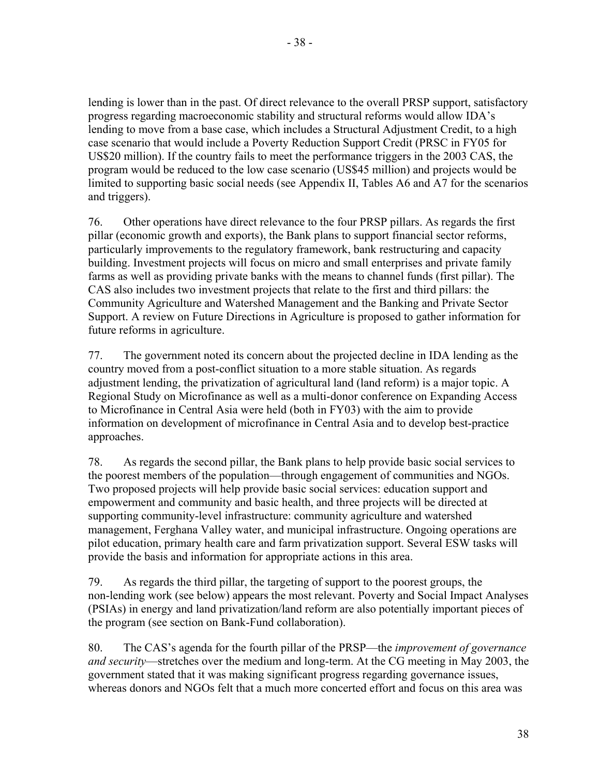lending is lower than in the past. Of direct relevance to the overall PRSP support, satisfactory progress regarding macroeconomic stability and structural reforms would allow IDA's lending to move from a base case, which includes a Structural Adjustment Credit, to a high case scenario that would include a Poverty Reduction Support Credit (PRSC in FY05 for US\$20 million). If the country fails to meet the performance triggers in the 2003 CAS, the program would be reduced to the low case scenario (US\$45 million) and projects would be limited to supporting basic social needs (see Appendix II, Tables A6 and A7 for the scenarios and triggers).

76. Other operations have direct relevance to the four PRSP pillars. As regards the first pillar (economic growth and exports), the Bank plans to support financial sector reforms, particularly improvements to the regulatory framework, bank restructuring and capacity building. Investment projects will focus on micro and small enterprises and private family farms as well as providing private banks with the means to channel funds (first pillar). The CAS also includes two investment projects that relate to the first and third pillars: the Community Agriculture and Watershed Management and the Banking and Private Sector Support. A review on Future Directions in Agriculture is proposed to gather information for future reforms in agriculture.

77. The government noted its concern about the projected decline in IDA lending as the country moved from a post-conflict situation to a more stable situation. As regards adjustment lending, the privatization of agricultural land (land reform) is a major topic. A Regional Study on Microfinance as well as a multi-donor conference on Expanding Access to Microfinance in Central Asia were held (both in FY03) with the aim to provide information on development of microfinance in Central Asia and to develop best-practice approaches.

78. As regards the second pillar, the Bank plans to help provide basic social services to the poorest members of the population—through engagement of communities and NGOs. Two proposed projects will help provide basic social services: education support and empowerment and community and basic health, and three projects will be directed at supporting community-level infrastructure: community agriculture and watershed management, Ferghana Valley water, and municipal infrastructure. Ongoing operations are pilot education, primary health care and farm privatization support. Several ESW tasks will provide the basis and information for appropriate actions in this area.

79. As regards the third pillar, the targeting of support to the poorest groups, the non-lending work (see below) appears the most relevant. Poverty and Social Impact Analyses (PSIAs) in energy and land privatization/land reform are also potentially important pieces of the program (see section on Bank-Fund collaboration).

80. The CAS's agenda for the fourth pillar of the PRSP—the *improvement of governance and security*—stretches over the medium and long-term. At the CG meeting in May 2003, the government stated that it was making significant progress regarding governance issues, whereas donors and NGOs felt that a much more concerted effort and focus on this area was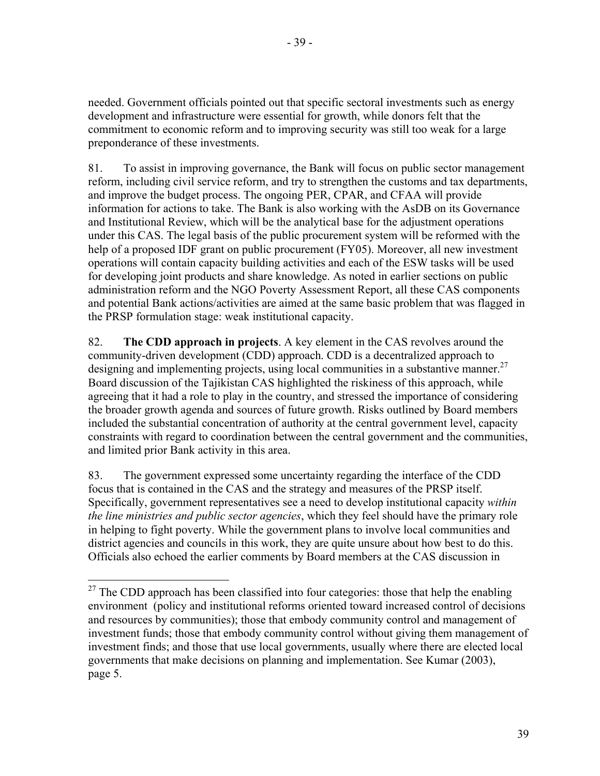needed. Government officials pointed out that specific sectoral investments such as energy development and infrastructure were essential for growth, while donors felt that the commitment to economic reform and to improving security was still too weak for a large preponderance of these investments.

81. To assist in improving governance, the Bank will focus on public sector management reform, including civil service reform, and try to strengthen the customs and tax departments, and improve the budget process. The ongoing PER, CPAR, and CFAA will provide information for actions to take. The Bank is also working with the AsDB on its Governance and Institutional Review, which will be the analytical base for the adjustment operations under this CAS. The legal basis of the public procurement system will be reformed with the help of a proposed IDF grant on public procurement (FY05). Moreover, all new investment operations will contain capacity building activities and each of the ESW tasks will be used for developing joint products and share knowledge. As noted in earlier sections on public administration reform and the NGO Poverty Assessment Report, all these CAS components and potential Bank actions/activities are aimed at the same basic problem that was flagged in the PRSP formulation stage: weak institutional capacity.

82. **The CDD approach in projects**. A key element in the CAS revolves around the community-driven development (CDD) approach. CDD is a decentralized approach to designing and implementing projects, using local communities in a substantive manner.<sup>27</sup> Board discussion of the Tajikistan CAS highlighted the riskiness of this approach, while agreeing that it had a role to play in the country, and stressed the importance of considering the broader growth agenda and sources of future growth. Risks outlined by Board members included the substantial concentration of authority at the central government level, capacity constraints with regard to coordination between the central government and the communities, and limited prior Bank activity in this area.

83. The government expressed some uncertainty regarding the interface of the CDD focus that is contained in the CAS and the strategy and measures of the PRSP itself. Specifically, government representatives see a need to develop institutional capacity *within the line ministries and public sector agencies*, which they feel should have the primary role in helping to fight poverty. While the government plans to involve local communities and district agencies and councils in this work, they are quite unsure about how best to do this. Officials also echoed the earlier comments by Board members at the CAS discussion in

1

 $27$  The CDD approach has been classified into four categories: those that help the enabling environment (policy and institutional reforms oriented toward increased control of decisions and resources by communities); those that embody community control and management of investment funds; those that embody community control without giving them management of investment finds; and those that use local governments, usually where there are elected local governments that make decisions on planning and implementation. See Kumar (2003), page 5.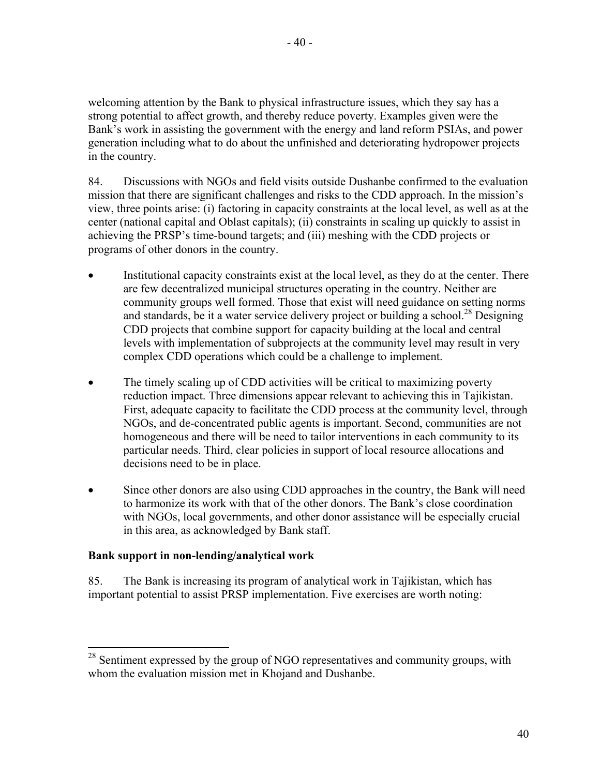welcoming attention by the Bank to physical infrastructure issues, which they say has a strong potential to affect growth, and thereby reduce poverty. Examples given were the Bank's work in assisting the government with the energy and land reform PSIAs, and power generation including what to do about the unfinished and deteriorating hydropower projects in the country.

84. Discussions with NGOs and field visits outside Dushanbe confirmed to the evaluation mission that there are significant challenges and risks to the CDD approach. In the mission's view, three points arise: (i) factoring in capacity constraints at the local level, as well as at the center (national capital and Oblast capitals); (ii) constraints in scaling up quickly to assist in achieving the PRSP's time-bound targets; and (iii) meshing with the CDD projects or programs of other donors in the country.

- Institutional capacity constraints exist at the local level, as they do at the center. There are few decentralized municipal structures operating in the country. Neither are community groups well formed. Those that exist will need guidance on setting norms and standards, be it a water service delivery project or building a school.<sup>28</sup> Designing CDD projects that combine support for capacity building at the local and central levels with implementation of subprojects at the community level may result in very complex CDD operations which could be a challenge to implement.
- The timely scaling up of CDD activities will be critical to maximizing poverty reduction impact. Three dimensions appear relevant to achieving this in Tajikistan. First, adequate capacity to facilitate the CDD process at the community level, through NGOs, and de-concentrated public agents is important. Second, communities are not homogeneous and there will be need to tailor interventions in each community to its particular needs. Third, clear policies in support of local resource allocations and decisions need to be in place.
- Since other donors are also using CDD approaches in the country, the Bank will need to harmonize its work with that of the other donors. The Bank's close coordination with NGOs, local governments, and other donor assistance will be especially crucial in this area, as acknowledged by Bank staff.

# **Bank support in non-lending/analytical work**

 $\overline{a}$ 

85. The Bank is increasing its program of analytical work in Tajikistan, which has important potential to assist PRSP implementation. Five exercises are worth noting:

 $28$  Sentiment expressed by the group of NGO representatives and community groups, with whom the evaluation mission met in Khojand and Dushanbe.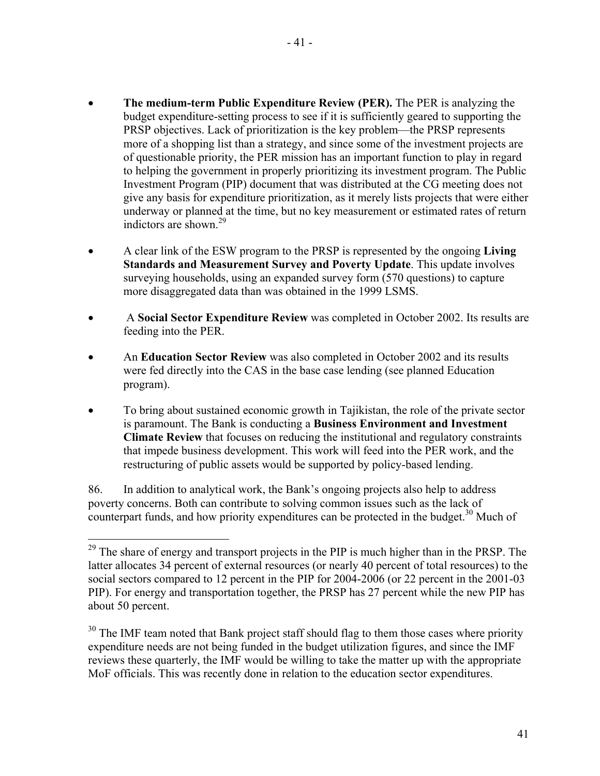- **The medium-term Public Expenditure Review (PER).** The PER is analyzing the budget expenditure-setting process to see if it is sufficiently geared to supporting the PRSP objectives. Lack of prioritization is the key problem—the PRSP represents more of a shopping list than a strategy, and since some of the investment projects are of questionable priority, the PER mission has an important function to play in regard to helping the government in properly prioritizing its investment program. The Public Investment Program (PIP) document that was distributed at the CG meeting does not give any basis for expenditure prioritization, as it merely lists projects that were either underway or planned at the time, but no key measurement or estimated rates of return indictors are shown. $^{29}$
- A clear link of the ESW program to the PRSP is represented by the ongoing **Living Standards and Measurement Survey and Poverty Update**. This update involves surveying households, using an expanded survey form (570 questions) to capture more disaggregated data than was obtained in the 1999 LSMS.
- A **Social Sector Expenditure Review** was completed in October 2002. Its results are feeding into the PER.
- An **Education Sector Review** was also completed in October 2002 and its results were fed directly into the CAS in the base case lending (see planned Education program).
- To bring about sustained economic growth in Tajikistan, the role of the private sector is paramount. The Bank is conducting a **Business Environment and Investment Climate Review** that focuses on reducing the institutional and regulatory constraints that impede business development. This work will feed into the PER work, and the restructuring of public assets would be supported by policy-based lending.

86. In addition to analytical work, the Bank's ongoing projects also help to address poverty concerns. Both can contribute to solving common issues such as the lack of counterpart funds, and how priority expenditures can be protected in the budget.<sup>30</sup> Much of

<u>.</u>

 $29$  The share of energy and transport projects in the PIP is much higher than in the PRSP. The latter allocates 34 percent of external resources (or nearly 40 percent of total resources) to the social sectors compared to 12 percent in the PIP for 2004-2006 (or 22 percent in the 2001-03 PIP). For energy and transportation together, the PRSP has 27 percent while the new PIP has about 50 percent.

<sup>&</sup>lt;sup>30</sup> The IMF team noted that Bank project staff should flag to them those cases where priority expenditure needs are not being funded in the budget utilization figures, and since the IMF reviews these quarterly, the IMF would be willing to take the matter up with the appropriate MoF officials. This was recently done in relation to the education sector expenditures.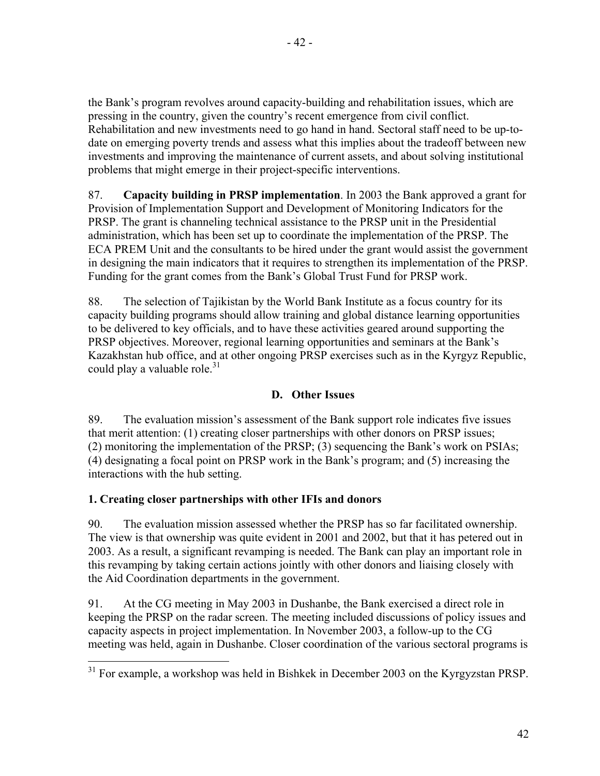the Bank's program revolves around capacity-building and rehabilitation issues, which are pressing in the country, given the country's recent emergence from civil conflict. Rehabilitation and new investments need to go hand in hand. Sectoral staff need to be up-todate on emerging poverty trends and assess what this implies about the tradeoff between new investments and improving the maintenance of current assets, and about solving institutional problems that might emerge in their project-specific interventions.

87. **Capacity building in PRSP implementation**. In 2003 the Bank approved a grant for Provision of Implementation Support and Development of Monitoring Indicators for the PRSP. The grant is channeling technical assistance to the PRSP unit in the Presidential administration, which has been set up to coordinate the implementation of the PRSP. The ECA PREM Unit and the consultants to be hired under the grant would assist the government in designing the main indicators that it requires to strengthen its implementation of the PRSP. Funding for the grant comes from the Bank's Global Trust Fund for PRSP work.

88. The selection of Tajikistan by the World Bank Institute as a focus country for its capacity building programs should allow training and global distance learning opportunities to be delivered to key officials, and to have these activities geared around supporting the PRSP objectives. Moreover, regional learning opportunities and seminars at the Bank's Kazakhstan hub office, and at other ongoing PRSP exercises such as in the Kyrgyz Republic, could play a valuable role. $31$ 

# **D. Other Issues**

89. The evaluation mission's assessment of the Bank support role indicates five issues that merit attention: (1) creating closer partnerships with other donors on PRSP issues; (2) monitoring the implementation of the PRSP; (3) sequencing the Bank's work on PSIAs; (4) designating a focal point on PRSP work in the Bank's program; and (5) increasing the interactions with the hub setting.

# **1. Creating closer partnerships with other IFIs and donors**

90. The evaluation mission assessed whether the PRSP has so far facilitated ownership. The view is that ownership was quite evident in 2001 and 2002, but that it has petered out in 2003. As a result, a significant revamping is needed. The Bank can play an important role in this revamping by taking certain actions jointly with other donors and liaising closely with the Aid Coordination departments in the government.

91. At the CG meeting in May 2003 in Dushanbe, the Bank exercised a direct role in keeping the PRSP on the radar screen. The meeting included discussions of policy issues and capacity aspects in project implementation. In November 2003, a follow-up to the CG meeting was held, again in Dushanbe. Closer coordination of the various sectoral programs is

<sup>1</sup>  $31$  For example, a workshop was held in Bishkek in December 2003 on the Kyrgyzstan PRSP.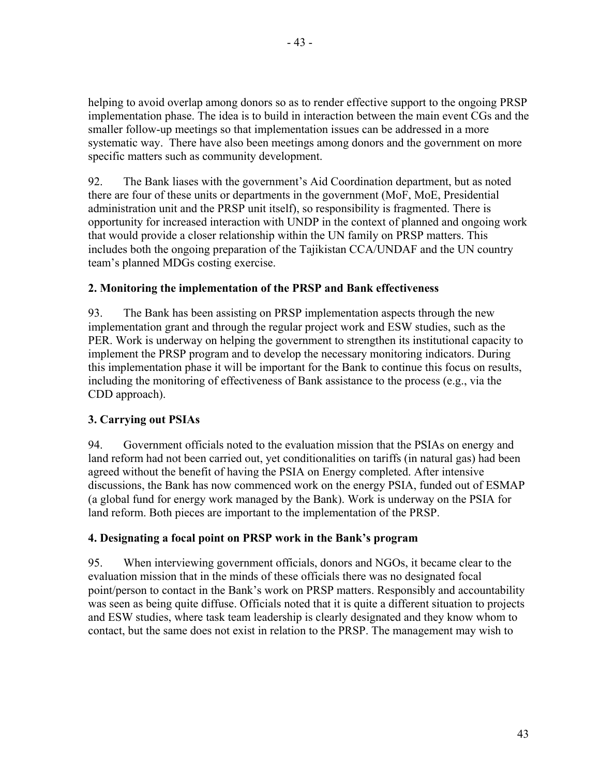helping to avoid overlap among donors so as to render effective support to the ongoing PRSP implementation phase. The idea is to build in interaction between the main event CGs and the smaller follow-up meetings so that implementation issues can be addressed in a more systematic way. There have also been meetings among donors and the government on more specific matters such as community development.

92. The Bank liases with the government's Aid Coordination department, but as noted there are four of these units or departments in the government (MoF, MoE, Presidential administration unit and the PRSP unit itself), so responsibility is fragmented. There is opportunity for increased interaction with UNDP in the context of planned and ongoing work that would provide a closer relationship within the UN family on PRSP matters. This includes both the ongoing preparation of the Tajikistan CCA/UNDAF and the UN country team's planned MDGs costing exercise.

# **2. Monitoring the implementation of the PRSP and Bank effectiveness**

93. The Bank has been assisting on PRSP implementation aspects through the new implementation grant and through the regular project work and ESW studies, such as the PER. Work is underway on helping the government to strengthen its institutional capacity to implement the PRSP program and to develop the necessary monitoring indicators. During this implementation phase it will be important for the Bank to continue this focus on results, including the monitoring of effectiveness of Bank assistance to the process (e.g., via the CDD approach).

# **3. Carrying out PSIAs**

94. Government officials noted to the evaluation mission that the PSIAs on energy and land reform had not been carried out, yet conditionalities on tariffs (in natural gas) had been agreed without the benefit of having the PSIA on Energy completed. After intensive discussions, the Bank has now commenced work on the energy PSIA, funded out of ESMAP (a global fund for energy work managed by the Bank). Work is underway on the PSIA for land reform. Both pieces are important to the implementation of the PRSP.

# **4. Designating a focal point on PRSP work in the Bank's program**

95. When interviewing government officials, donors and NGOs, it became clear to the evaluation mission that in the minds of these officials there was no designated focal point/person to contact in the Bank's work on PRSP matters. Responsibly and accountability was seen as being quite diffuse. Officials noted that it is quite a different situation to projects and ESW studies, where task team leadership is clearly designated and they know whom to contact, but the same does not exist in relation to the PRSP. The management may wish to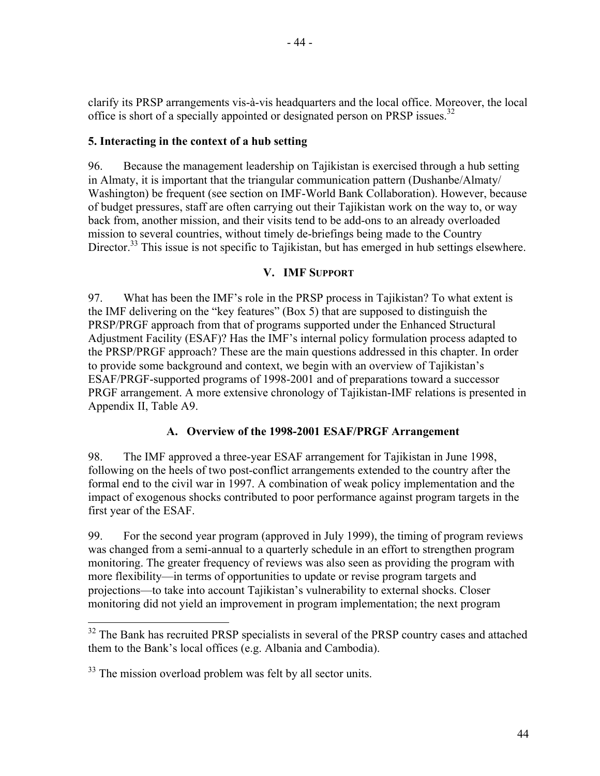clarify its PRSP arrangements vis-à-vis headquarters and the local office. Moreover, the local office is short of a specially appointed or designated person on PRSP issues.<sup>32</sup>

# **5. Interacting in the context of a hub setting**

96. Because the management leadership on Tajikistan is exercised through a hub setting in Almaty, it is important that the triangular communication pattern (Dushanbe/Almaty/ Washington) be frequent (see section on IMF-World Bank Collaboration). However, because of budget pressures, staff are often carrying out their Tajikistan work on the way to, or way back from, another mission, and their visits tend to be add-ons to an already overloaded mission to several countries, without timely de-briefings being made to the Country Director.<sup>33</sup> This issue is not specific to Tajikistan, but has emerged in hub settings elsewhere.

# **V. IMF SUPPORT**

97. What has been the IMF's role in the PRSP process in Tajikistan? To what extent is the IMF delivering on the "key features" (Box 5) that are supposed to distinguish the PRSP/PRGF approach from that of programs supported under the Enhanced Structural Adjustment Facility (ESAF)? Has the IMF's internal policy formulation process adapted to the PRSP/PRGF approach? These are the main questions addressed in this chapter. In order to provide some background and context, we begin with an overview of Tajikistan's ESAF/PRGF-supported programs of 1998-2001 and of preparations toward a successor PRGF arrangement. A more extensive chronology of Tajikistan-IMF relations is presented in Appendix II, Table A9.

## **A. Overview of the 1998-2001 ESAF/PRGF Arrangement**

98. The IMF approved a three-year ESAF arrangement for Tajikistan in June 1998, following on the heels of two post-conflict arrangements extended to the country after the formal end to the civil war in 1997. A combination of weak policy implementation and the impact of exogenous shocks contributed to poor performance against program targets in the first year of the ESAF.

99. For the second year program (approved in July 1999), the timing of program reviews was changed from a semi-annual to a quarterly schedule in an effort to strengthen program monitoring. The greater frequency of reviews was also seen as providing the program with more flexibility—in terms of opportunities to update or revise program targets and projections—to take into account Tajikistan's vulnerability to external shocks. Closer monitoring did not yield an improvement in program implementation; the next program

1

 $32$  The Bank has recruited PRSP specialists in several of the PRSP country cases and attached them to the Bank's local offices (e.g. Albania and Cambodia).

<sup>&</sup>lt;sup>33</sup> The mission overload problem was felt by all sector units.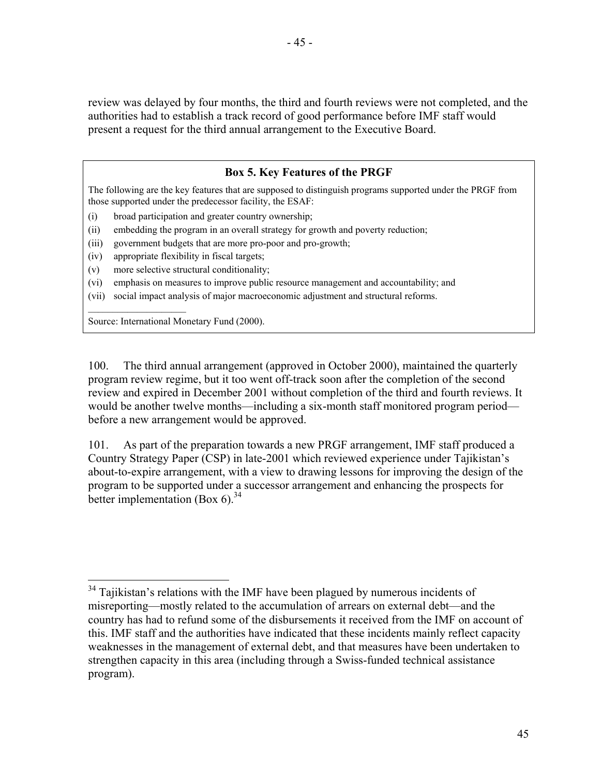review was delayed by four months, the third and fourth reviews were not completed, and the authorities had to establish a track record of good performance before IMF staff would present a request for the third annual arrangement to the Executive Board.

# **Box 5. Key Features of the PRGF**

The following are the key features that are supposed to distinguish programs supported under the PRGF from those supported under the predecessor facility, the ESAF:

- (i) broad participation and greater country ownership;
- (ii) embedding the program in an overall strategy for growth and poverty reduction;
- (iii) government budgets that are more pro-poor and pro-growth;
- (iv) appropriate flexibility in fiscal targets;
- (v) more selective structural conditionality;
- (vi) emphasis on measures to improve public resource management and accountability; and
- (vii) social impact analysis of major macroeconomic adjustment and structural reforms.

Source: International Monetary Fund (2000).

 $\mathcal{L}_\text{max}$  , where  $\mathcal{L}_\text{max}$  , we have the set of  $\mathcal{L}_\text{max}$ 

 $\overline{a}$ 

100. The third annual arrangement (approved in October 2000), maintained the quarterly program review regime, but it too went off-track soon after the completion of the second review and expired in December 2001 without completion of the third and fourth reviews. It would be another twelve months—including a six-month staff monitored program period before a new arrangement would be approved.

101. As part of the preparation towards a new PRGF arrangement, IMF staff produced a Country Strategy Paper (CSP) in late-2001 which reviewed experience under Tajikistan's about-to-expire arrangement, with a view to drawing lessons for improving the design of the program to be supported under a successor arrangement and enhancing the prospects for better implementation (Box 6). $34$ 

 $34$  Tajikistan's relations with the IMF have been plagued by numerous incidents of misreporting—mostly related to the accumulation of arrears on external debt—and the country has had to refund some of the disbursements it received from the IMF on account of this. IMF staff and the authorities have indicated that these incidents mainly reflect capacity weaknesses in the management of external debt, and that measures have been undertaken to strengthen capacity in this area (including through a Swiss-funded technical assistance program).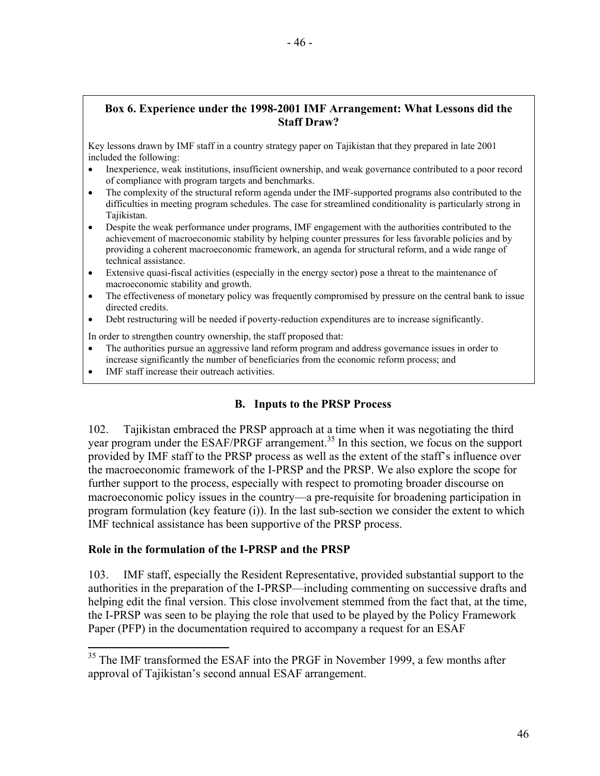# **Box 6. Experience under the 1998-2001 IMF Arrangement: What Lessons did the Staff Draw?**

Key lessons drawn by IMF staff in a country strategy paper on Tajikistan that they prepared in late 2001 included the following:

- Inexperience, weak institutions, insufficient ownership, and weak governance contributed to a poor record of compliance with program targets and benchmarks.
- The complexity of the structural reform agenda under the IMF-supported programs also contributed to the difficulties in meeting program schedules. The case for streamlined conditionality is particularly strong in Tajikistan.
- Despite the weak performance under programs, IMF engagement with the authorities contributed to the achievement of macroeconomic stability by helping counter pressures for less favorable policies and by providing a coherent macroeconomic framework, an agenda for structural reform, and a wide range of technical assistance.
- Extensive quasi-fiscal activities (especially in the energy sector) pose a threat to the maintenance of macroeconomic stability and growth.
- The effectiveness of monetary policy was frequently compromised by pressure on the central bank to issue directed credits.
- Debt restructuring will be needed if poverty-reduction expenditures are to increase significantly.

In order to strengthen country ownership, the staff proposed that:

- The authorities pursue an aggressive land reform program and address governance issues in order to increase significantly the number of beneficiaries from the economic reform process; and
- IMF staff increase their outreach activities.

1

# **B. Inputs to the PRSP Process**

102. Tajikistan embraced the PRSP approach at a time when it was negotiating the third year program under the ESAF/PRGF arrangement.<sup>35</sup> In this section, we focus on the support provided by IMF staff to the PRSP process as well as the extent of the staff's influence over the macroeconomic framework of the I-PRSP and the PRSP. We also explore the scope for further support to the process, especially with respect to promoting broader discourse on macroeconomic policy issues in the country—a pre-requisite for broadening participation in program formulation (key feature (i)). In the last sub-section we consider the extent to which IMF technical assistance has been supportive of the PRSP process.

## **Role in the formulation of the I-PRSP and the PRSP**

103. IMF staff, especially the Resident Representative, provided substantial support to the authorities in the preparation of the I-PRSP—including commenting on successive drafts and helping edit the final version. This close involvement stemmed from the fact that, at the time, the I-PRSP was seen to be playing the role that used to be played by the Policy Framework Paper (PFP) in the documentation required to accompany a request for an ESAF

 $35$  The IMF transformed the ESAF into the PRGF in November 1999, a few months after approval of Tajikistan's second annual ESAF arrangement.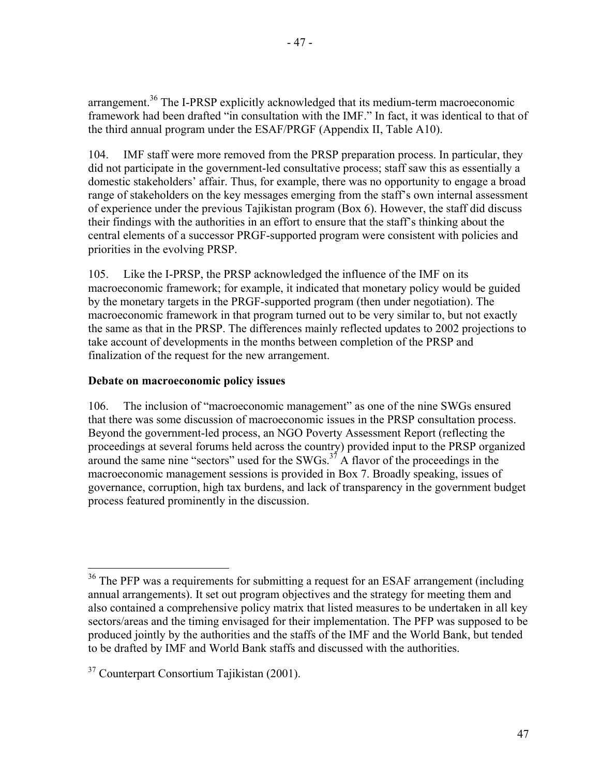arrangement.<sup>36</sup> The I-PRSP explicitly acknowledged that its medium-term macroeconomic framework had been drafted "in consultation with the IMF." In fact, it was identical to that of the third annual program under the ESAF/PRGF (Appendix II, Table A10).

104. IMF staff were more removed from the PRSP preparation process. In particular, they did not participate in the government-led consultative process; staff saw this as essentially a domestic stakeholders' affair. Thus, for example, there was no opportunity to engage a broad range of stakeholders on the key messages emerging from the staff's own internal assessment of experience under the previous Tajikistan program (Box 6). However, the staff did discuss their findings with the authorities in an effort to ensure that the staff's thinking about the central elements of a successor PRGF-supported program were consistent with policies and priorities in the evolving PRSP.

105. Like the I-PRSP, the PRSP acknowledged the influence of the IMF on its macroeconomic framework; for example, it indicated that monetary policy would be guided by the monetary targets in the PRGF-supported program (then under negotiation). The macroeconomic framework in that program turned out to be very similar to, but not exactly the same as that in the PRSP. The differences mainly reflected updates to 2002 projections to take account of developments in the months between completion of the PRSP and finalization of the request for the new arrangement.

# **Debate on macroeconomic policy issues**

106. The inclusion of "macroeconomic management" as one of the nine SWGs ensured that there was some discussion of macroeconomic issues in the PRSP consultation process. Beyond the government-led process, an NGO Poverty Assessment Report (reflecting the proceedings at several forums held across the country) provided input to the PRSP organized around the same nine "sectors" used for the SWGs.<sup>37</sup> A flavor of the proceedings in the macroeconomic management sessions is provided in Box 7. Broadly speaking, issues of governance, corruption, high tax burdens, and lack of transparency in the government budget process featured prominently in the discussion.

 $\overline{a}$ 

 $36$  The PFP was a requirements for submitting a request for an ESAF arrangement (including annual arrangements). It set out program objectives and the strategy for meeting them and also contained a comprehensive policy matrix that listed measures to be undertaken in all key sectors/areas and the timing envisaged for their implementation. The PFP was supposed to be produced jointly by the authorities and the staffs of the IMF and the World Bank, but tended to be drafted by IMF and World Bank staffs and discussed with the authorities.

<sup>&</sup>lt;sup>37</sup> Counterpart Consortium Tajikistan (2001).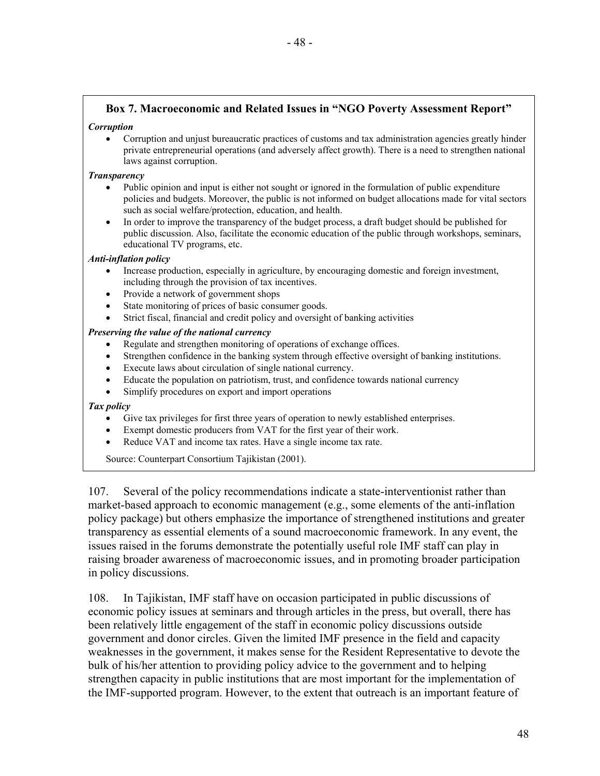# **Box 7. Macroeconomic and Related Issues in "NGO Poverty Assessment Report"**

### *Corruption*

• Corruption and unjust bureaucratic practices of customs and tax administration agencies greatly hinder private entrepreneurial operations (and adversely affect growth). There is a need to strengthen national laws against corruption.

#### *Transparency*

- Public opinion and input is either not sought or ignored in the formulation of public expenditure policies and budgets. Moreover, the public is not informed on budget allocations made for vital sectors such as social welfare/protection, education, and health.
- In order to improve the transparency of the budget process, a draft budget should be published for public discussion. Also, facilitate the economic education of the public through workshops, seminars, educational TV programs, etc.

#### *Anti-inflation policy*

- Increase production, especially in agriculture, by encouraging domestic and foreign investment, including through the provision of tax incentives.
- Provide a network of government shops
- State monitoring of prices of basic consumer goods.
- Strict fiscal, financial and credit policy and oversight of banking activities

#### *Preserving the value of the national currency*

- Regulate and strengthen monitoring of operations of exchange offices.
- Strengthen confidence in the banking system through effective oversight of banking institutions.
- Execute laws about circulation of single national currency.
- Educate the population on patriotism, trust, and confidence towards national currency
- Simplify procedures on export and import operations

#### *Tax policy*

- Give tax privileges for first three years of operation to newly established enterprises.
- Exempt domestic producers from VAT for the first year of their work.
- Reduce VAT and income tax rates. Have a single income tax rate.

Source: Counterpart Consortium Tajikistan (2001).

107. Several of the policy recommendations indicate a state-interventionist rather than market-based approach to economic management (e.g., some elements of the anti-inflation policy package) but others emphasize the importance of strengthened institutions and greater transparency as essential elements of a sound macroeconomic framework. In any event, the issues raised in the forums demonstrate the potentially useful role IMF staff can play in raising broader awareness of macroeconomic issues, and in promoting broader participation in policy discussions.

108. In Tajikistan, IMF staff have on occasion participated in public discussions of economic policy issues at seminars and through articles in the press, but overall, there has been relatively little engagement of the staff in economic policy discussions outside government and donor circles. Given the limited IMF presence in the field and capacity weaknesses in the government, it makes sense for the Resident Representative to devote the bulk of his/her attention to providing policy advice to the government and to helping strengthen capacity in public institutions that are most important for the implementation of the IMF-supported program. However, to the extent that outreach is an important feature of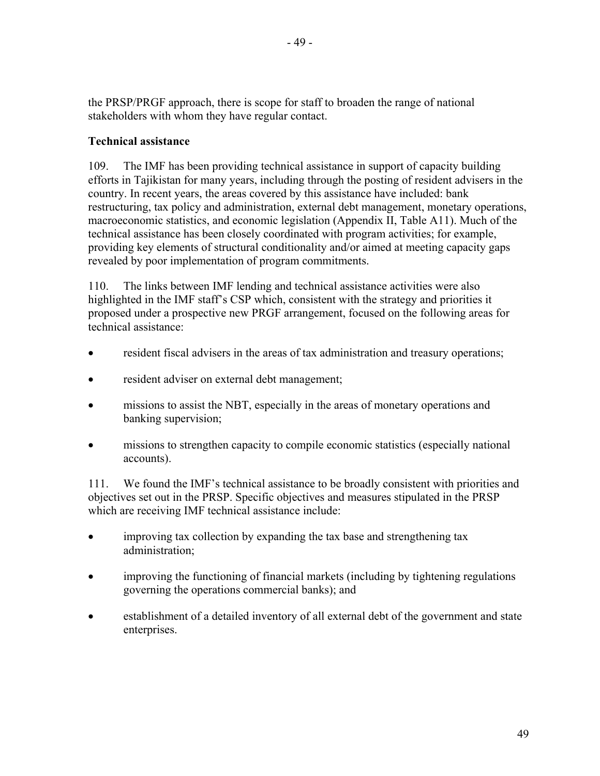the PRSP/PRGF approach, there is scope for staff to broaden the range of national stakeholders with whom they have regular contact.

# **Technical assistance**

109. The IMF has been providing technical assistance in support of capacity building efforts in Tajikistan for many years, including through the posting of resident advisers in the country. In recent years, the areas covered by this assistance have included: bank restructuring, tax policy and administration, external debt management, monetary operations, macroeconomic statistics, and economic legislation (Appendix II, Table A11). Much of the technical assistance has been closely coordinated with program activities; for example, providing key elements of structural conditionality and/or aimed at meeting capacity gaps revealed by poor implementation of program commitments.

110. The links between IMF lending and technical assistance activities were also highlighted in the IMF staff's CSP which, consistent with the strategy and priorities it proposed under a prospective new PRGF arrangement, focused on the following areas for technical assistance:

- resident fiscal advisers in the areas of tax administration and treasury operations;
- resident adviser on external debt management;
- missions to assist the NBT, especially in the areas of monetary operations and banking supervision;
- missions to strengthen capacity to compile economic statistics (especially national accounts).

111. We found the IMF's technical assistance to be broadly consistent with priorities and objectives set out in the PRSP. Specific objectives and measures stipulated in the PRSP which are receiving IMF technical assistance include:

- improving tax collection by expanding the tax base and strengthening tax administration;
- improving the functioning of financial markets (including by tightening regulations governing the operations commercial banks); and
- establishment of a detailed inventory of all external debt of the government and state enterprises.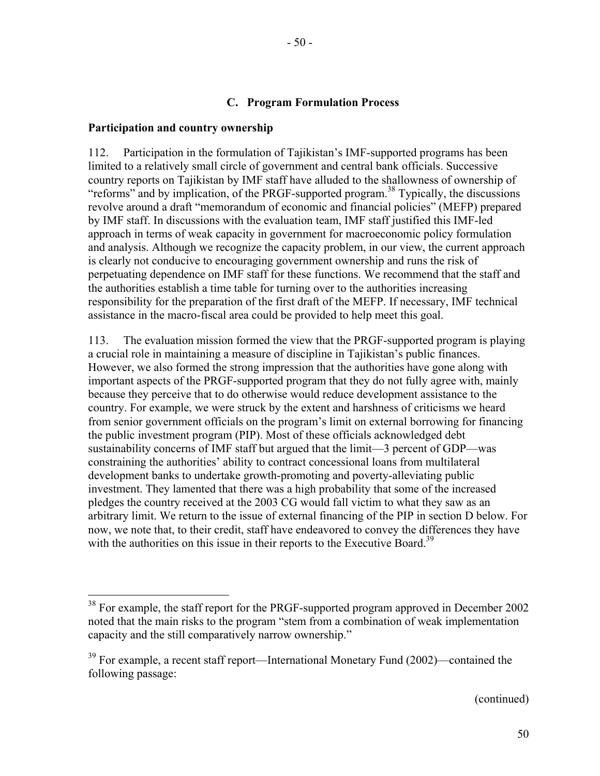## **C. Program Formulation Process**

### **Participation and country ownership**

 $\overline{a}$ 

112. Participation in the formulation of Tajikistan's IMF-supported programs has been limited to a relatively small circle of government and central bank officials. Successive country reports on Tajikistan by IMF staff have alluded to the shallowness of ownership of "reforms" and by implication, of the PRGF-supported program.<sup>38</sup> Typically, the discussions revolve around a draft "memorandum of economic and financial policies" (MEFP) prepared by IMF staff. In discussions with the evaluation team, IMF staff justified this IMF-led approach in terms of weak capacity in government for macroeconomic policy formulation and analysis. Although we recognize the capacity problem, in our view, the current approach is clearly not conducive to encouraging government ownership and runs the risk of perpetuating dependence on IMF staff for these functions. We recommend that the staff and the authorities establish a time table for turning over to the authorities increasing responsibility for the preparation of the first draft of the MEFP. If necessary, IMF technical assistance in the macro-fiscal area could be provided to help meet this goal.

113. The evaluation mission formed the view that the PRGF-supported program is playing a crucial role in maintaining a measure of discipline in Tajikistan's public finances. However, we also formed the strong impression that the authorities have gone along with important aspects of the PRGF-supported program that they do not fully agree with, mainly because they perceive that to do otherwise would reduce development assistance to the country. For example, we were struck by the extent and harshness of criticisms we heard from senior government officials on the program's limit on external borrowing for financing the public investment program (PIP). Most of these officials acknowledged debt sustainability concerns of IMF staff but argued that the limit—3 percent of GDP—was constraining the authorities' ability to contract concessional loans from multilateral development banks to undertake growth-promoting and poverty-alleviating public investment. They lamented that there was a high probability that some of the increased pledges the country received at the 2003 CG would fall victim to what they saw as an arbitrary limit. We return to the issue of external financing of the PIP in section D below. For now, we note that, to their credit, staff have endeavored to convey the differences they have with the authorities on this issue in their reports to the Executive Board.<sup>39</sup>

(continued)

 $38$  For example, the staff report for the PRGF-supported program approved in December 2002 noted that the main risks to the program "stem from a combination of weak implementation capacity and the still comparatively narrow ownership."

<sup>&</sup>lt;sup>39</sup> For example, a recent staff report—International Monetary Fund (2002)—contained the following passage: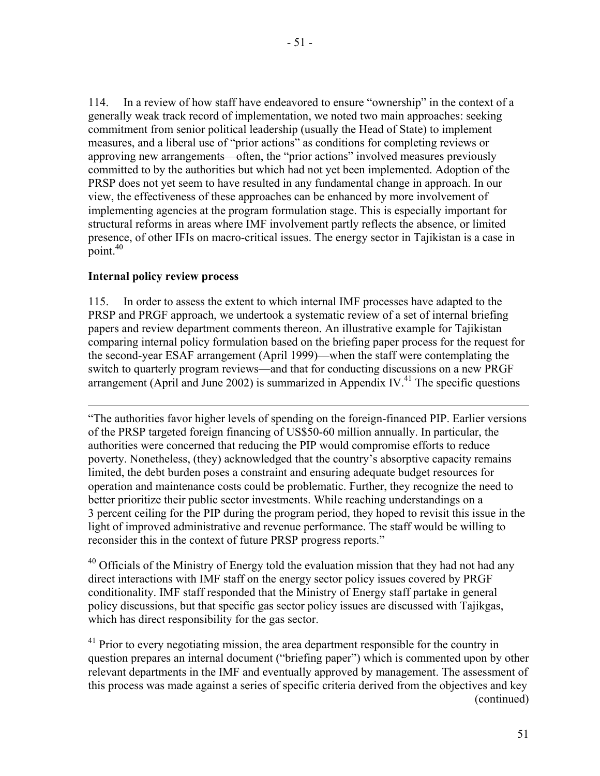114. In a review of how staff have endeavored to ensure "ownership" in the context of a generally weak track record of implementation, we noted two main approaches: seeking commitment from senior political leadership (usually the Head of State) to implement measures, and a liberal use of "prior actions" as conditions for completing reviews or approving new arrangements—often, the "prior actions" involved measures previously committed to by the authorities but which had not yet been implemented. Adoption of the PRSP does not yet seem to have resulted in any fundamental change in approach. In our view, the effectiveness of these approaches can be enhanced by more involvement of implementing agencies at the program formulation stage. This is especially important for structural reforms in areas where IMF involvement partly reflects the absence, or limited presence, of other IFIs on macro-critical issues. The energy sector in Tajikistan is a case in point. $40$ 

# **Internal policy review process**

 $\overline{a}$ 

115. In order to assess the extent to which internal IMF processes have adapted to the PRSP and PRGF approach, we undertook a systematic review of a set of internal briefing papers and review department comments thereon. An illustrative example for Tajikistan comparing internal policy formulation based on the briefing paper process for the request for the second-year ESAF arrangement (April 1999)—when the staff were contemplating the switch to quarterly program reviews—and that for conducting discussions on a new PRGF arrangement (April and June 2002) is summarized in Appendix IV.<sup>41</sup> The specific questions

"The authorities favor higher levels of spending on the foreign-financed PIP. Earlier versions of the PRSP targeted foreign financing of US\$50-60 million annually. In particular, the authorities were concerned that reducing the PIP would compromise efforts to reduce poverty. Nonetheless, (they) acknowledged that the country's absorptive capacity remains limited, the debt burden poses a constraint and ensuring adequate budget resources for operation and maintenance costs could be problematic. Further, they recognize the need to better prioritize their public sector investments. While reaching understandings on a 3 percent ceiling for the PIP during the program period, they hoped to revisit this issue in the light of improved administrative and revenue performance. The staff would be willing to reconsider this in the context of future PRSP progress reports."

 $40$  Officials of the Ministry of Energy told the evaluation mission that they had not had any direct interactions with IMF staff on the energy sector policy issues covered by PRGF conditionality. IMF staff responded that the Ministry of Energy staff partake in general policy discussions, but that specific gas sector policy issues are discussed with Tajikgas, which has direct responsibility for the gas sector.

<sup>41</sup> Prior to every negotiating mission, the area department responsible for the country in question prepares an internal document ("briefing paper") which is commented upon by other relevant departments in the IMF and eventually approved by management. The assessment of this process was made against a series of specific criteria derived from the objectives and key (continued)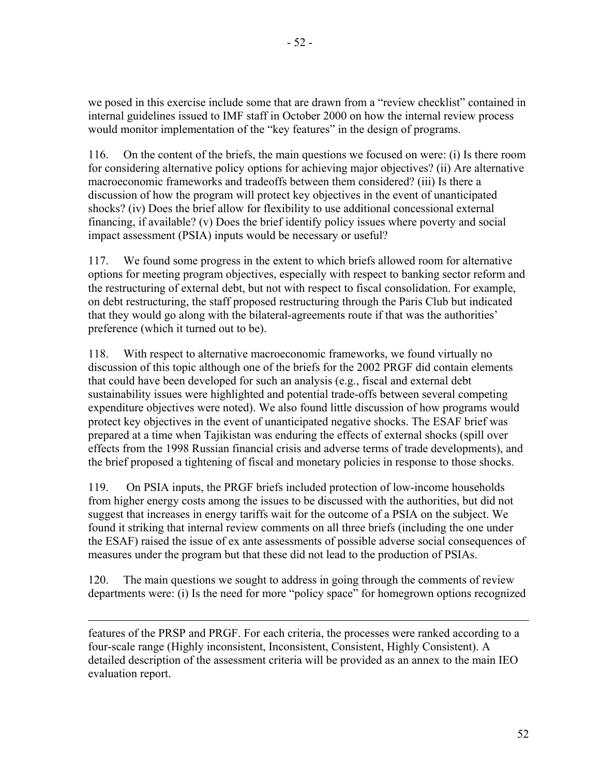we posed in this exercise include some that are drawn from a "review checklist" contained in internal guidelines issued to IMF staff in October 2000 on how the internal review process would monitor implementation of the "key features" in the design of programs.

116. On the content of the briefs, the main questions we focused on were: (i) Is there room for considering alternative policy options for achieving major objectives? (ii) Are alternative macroeconomic frameworks and tradeoffs between them considered? (iii) Is there a discussion of how the program will protect key objectives in the event of unanticipated shocks? (iv) Does the brief allow for flexibility to use additional concessional external financing, if available? (v) Does the brief identify policy issues where poverty and social impact assessment (PSIA) inputs would be necessary or useful?

117. We found some progress in the extent to which briefs allowed room for alternative options for meeting program objectives, especially with respect to banking sector reform and the restructuring of external debt, but not with respect to fiscal consolidation. For example, on debt restructuring, the staff proposed restructuring through the Paris Club but indicated that they would go along with the bilateral-agreements route if that was the authorities' preference (which it turned out to be).

118. With respect to alternative macroeconomic frameworks, we found virtually no discussion of this topic although one of the briefs for the 2002 PRGF did contain elements that could have been developed for such an analysis (e.g., fiscal and external debt sustainability issues were highlighted and potential trade-offs between several competing expenditure objectives were noted). We also found little discussion of how programs would protect key objectives in the event of unanticipated negative shocks. The ESAF brief was prepared at a time when Tajikistan was enduring the effects of external shocks (spill over effects from the 1998 Russian financial crisis and adverse terms of trade developments), and the brief proposed a tightening of fiscal and monetary policies in response to those shocks.

119. On PSIA inputs, the PRGF briefs included protection of low-income households from higher energy costs among the issues to be discussed with the authorities, but did not suggest that increases in energy tariffs wait for the outcome of a PSIA on the subject. We found it striking that internal review comments on all three briefs (including the one under the ESAF) raised the issue of ex ante assessments of possible adverse social consequences of measures under the program but that these did not lead to the production of PSIAs.

120. The main questions we sought to address in going through the comments of review departments were: (i) Is the need for more "policy space" for homegrown options recognized

features of the PRSP and PRGF. For each criteria, the processes were ranked according to a four-scale range (Highly inconsistent, Inconsistent, Consistent, Highly Consistent). A detailed description of the assessment criteria will be provided as an annex to the main IEO evaluation report.

 $\overline{a}$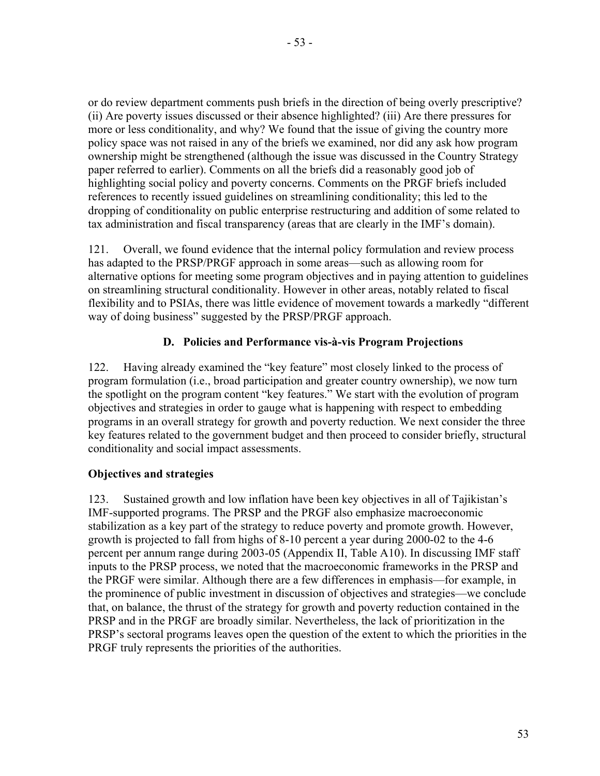or do review department comments push briefs in the direction of being overly prescriptive? (ii) Are poverty issues discussed or their absence highlighted? (iii) Are there pressures for more or less conditionality, and why? We found that the issue of giving the country more policy space was not raised in any of the briefs we examined, nor did any ask how program ownership might be strengthened (although the issue was discussed in the Country Strategy paper referred to earlier). Comments on all the briefs did a reasonably good job of highlighting social policy and poverty concerns. Comments on the PRGF briefs included references to recently issued guidelines on streamlining conditionality; this led to the dropping of conditionality on public enterprise restructuring and addition of some related to tax administration and fiscal transparency (areas that are clearly in the IMF's domain).

121. Overall, we found evidence that the internal policy formulation and review process has adapted to the PRSP/PRGF approach in some areas—such as allowing room for alternative options for meeting some program objectives and in paying attention to guidelines on streamlining structural conditionality. However in other areas, notably related to fiscal flexibility and to PSIAs, there was little evidence of movement towards a markedly "different way of doing business" suggested by the PRSP/PRGF approach.

# **D. Policies and Performance vis-à-vis Program Projections**

122. Having already examined the "key feature" most closely linked to the process of program formulation (i.e., broad participation and greater country ownership), we now turn the spotlight on the program content "key features." We start with the evolution of program objectives and strategies in order to gauge what is happening with respect to embedding programs in an overall strategy for growth and poverty reduction. We next consider the three key features related to the government budget and then proceed to consider briefly, structural conditionality and social impact assessments.

# **Objectives and strategies**

123. Sustained growth and low inflation have been key objectives in all of Tajikistan's IMF-supported programs. The PRSP and the PRGF also emphasize macroeconomic stabilization as a key part of the strategy to reduce poverty and promote growth. However, growth is projected to fall from highs of 8-10 percent a year during 2000-02 to the 4-6 percent per annum range during 2003-05 (Appendix II, Table A10). In discussing IMF staff inputs to the PRSP process, we noted that the macroeconomic frameworks in the PRSP and the PRGF were similar. Although there are a few differences in emphasis—for example, in the prominence of public investment in discussion of objectives and strategies—we conclude that, on balance, the thrust of the strategy for growth and poverty reduction contained in the PRSP and in the PRGF are broadly similar. Nevertheless, the lack of prioritization in the PRSP's sectoral programs leaves open the question of the extent to which the priorities in the PRGF truly represents the priorities of the authorities.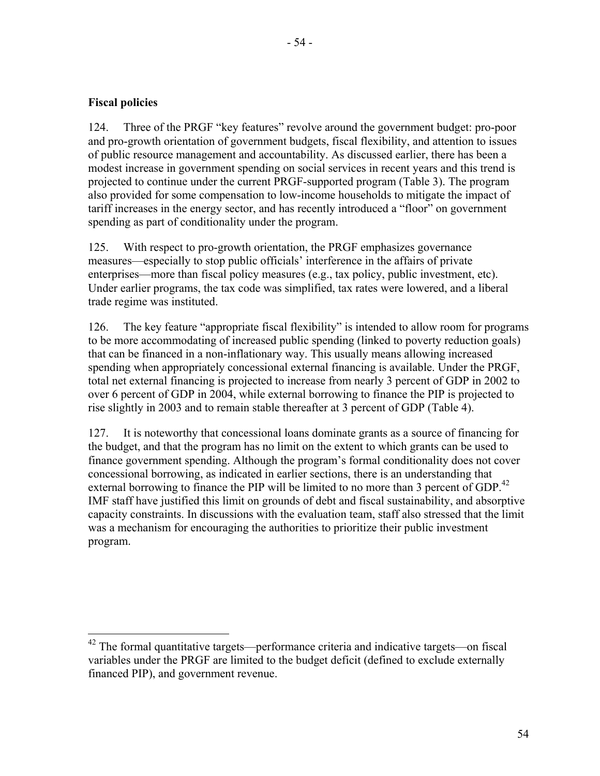$\overline{a}$ 

124. Three of the PRGF "key features" revolve around the government budget: pro-poor and pro-growth orientation of government budgets, fiscal flexibility, and attention to issues of public resource management and accountability. As discussed earlier, there has been a modest increase in government spending on social services in recent years and this trend is projected to continue under the current PRGF-supported program (Table 3). The program also provided for some compensation to low-income households to mitigate the impact of tariff increases in the energy sector, and has recently introduced a "floor" on government spending as part of conditionality under the program.

125. With respect to pro-growth orientation, the PRGF emphasizes governance measures—especially to stop public officials' interference in the affairs of private enterprises—more than fiscal policy measures (e.g., tax policy, public investment, etc). Under earlier programs, the tax code was simplified, tax rates were lowered, and a liberal trade regime was instituted.

126. The key feature "appropriate fiscal flexibility" is intended to allow room for programs to be more accommodating of increased public spending (linked to poverty reduction goals) that can be financed in a non-inflationary way. This usually means allowing increased spending when appropriately concessional external financing is available. Under the PRGF, total net external financing is projected to increase from nearly 3 percent of GDP in 2002 to over 6 percent of GDP in 2004, while external borrowing to finance the PIP is projected to rise slightly in 2003 and to remain stable thereafter at 3 percent of GDP (Table 4).

127. It is noteworthy that concessional loans dominate grants as a source of financing for the budget, and that the program has no limit on the extent to which grants can be used to finance government spending. Although the program's formal conditionality does not cover concessional borrowing, as indicated in earlier sections, there is an understanding that external borrowing to finance the PIP will be limited to no more than 3 percent of GDP.<sup>42</sup> IMF staff have justified this limit on grounds of debt and fiscal sustainability, and absorptive capacity constraints. In discussions with the evaluation team, staff also stressed that the limit was a mechanism for encouraging the authorities to prioritize their public investment program.

 $42$  The formal quantitative targets—performance criteria and indicative targets—on fiscal variables under the PRGF are limited to the budget deficit (defined to exclude externally financed PIP), and government revenue.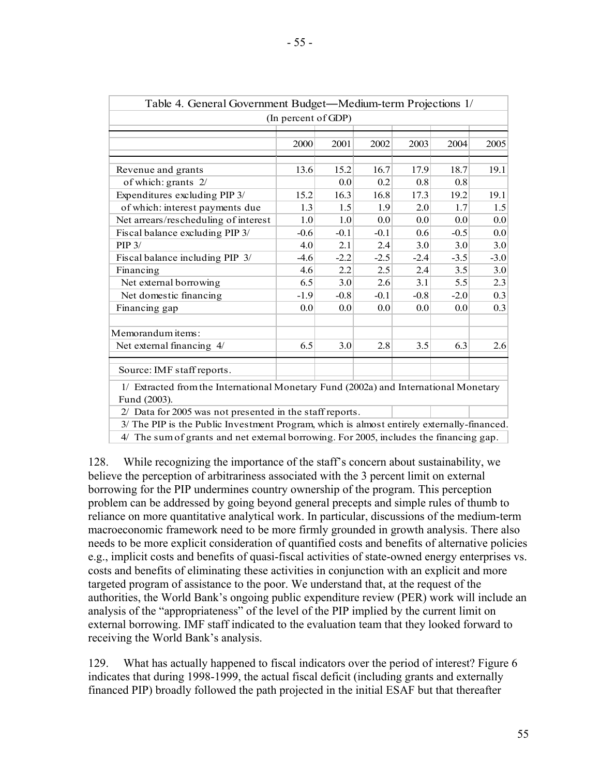| Table 4. General Government Budget—Medium-term Projections 1/                                        |        |        |                  |        |        |                  |  |  |
|------------------------------------------------------------------------------------------------------|--------|--------|------------------|--------|--------|------------------|--|--|
| (In percent of GDP)                                                                                  |        |        |                  |        |        |                  |  |  |
|                                                                                                      | 2000   | 2001   | 2002             | 2003   | 2004   | 2005             |  |  |
| Revenue and grants                                                                                   | 13.6   | 15.2   | 16.7             | 17.9   | 18.7   | 19.1             |  |  |
| of which: grants 2/                                                                                  |        | 0.0    | 0.2              | 0.8    | 0.8    |                  |  |  |
| Expenditures excluding PIP 3/                                                                        | 15.2   | 16.3   | 16.8             | 17.3   | 19.2   | 19.1             |  |  |
| of which: interest payments due                                                                      | 1.3    | 1.5    | 1.9              | 2.0    | 1.7    | 1.5              |  |  |
| Net arrears/rescheduling of interest                                                                 | 1.0    | 1.0    | 0.0 <sub>1</sub> | 0.0    | 0.0    | 0.0 <sub>1</sub> |  |  |
| Fiscal balance excluding PIP 3/                                                                      | $-0.6$ | $-0.1$ | $-0.1$           | 0.6    | $-0.5$ | 0.0              |  |  |
| $PIP$ 3/                                                                                             | 4.0    | 2.1    | 2.4              | 3.0    | 3.0    | 3.0              |  |  |
| Fiscal balance including PIP 3/                                                                      | $-4.6$ | $-2.2$ | $-2.5$           | $-2.4$ | $-3.5$ | $-3.0$           |  |  |
| Financing                                                                                            | 4.6    | 2.2    | 2.5              | 2.4    | 3.5    | 3.0              |  |  |
| Net external borrowing                                                                               | 6.5    | 3.0    | 2.6              | 3.1    | 5.5    | 2.3              |  |  |
| Net domestic financing                                                                               | $-1.9$ | $-0.8$ | $-0.1$           | $-0.8$ | $-2.0$ | 0.3              |  |  |
| Financing gap                                                                                        | 0.0    | 0.0    | 0.0              | 0.0    | 0.0    | 0.3              |  |  |
| Memorandum items:                                                                                    |        |        |                  |        |        |                  |  |  |
| Net external financing 4/                                                                            | 6.5    | 3.0    | 2.8              | 3.5    | 6.3    | 2.6              |  |  |
| Source: IMF staff reports.                                                                           |        |        |                  |        |        |                  |  |  |
| 1/ Extracted from the International Monetary Fund (2002a) and International Monetary<br>Fund (2003). |        |        |                  |        |        |                  |  |  |
| 2/ Data for 2005 was not presented in the staff reports.                                             |        |        |                  |        |        |                  |  |  |
| 3/ The PIP is the Public Investment Program, which is almost entirely externally-financed.           |        |        |                  |        |        |                  |  |  |
| $\mu$ . The sum of graphs and not artamel homowing. For $2005$ included the from $\sin \alpha$       |        |        |                  |        |        |                  |  |  |

4/ The sum of grants and net external borrowing. For 2005, includes the financing gap.

128. While recognizing the importance of the staff's concern about sustainability, we believe the perception of arbitrariness associated with the 3 percent limit on external borrowing for the PIP undermines country ownership of the program. This perception problem can be addressed by going beyond general precepts and simple rules of thumb to reliance on more quantitative analytical work. In particular, discussions of the medium-term macroeconomic framework need to be more firmly grounded in growth analysis. There also needs to be more explicit consideration of quantified costs and benefits of alternative policies e.g., implicit costs and benefits of quasi-fiscal activities of state-owned energy enterprises vs. costs and benefits of eliminating these activities in conjunction with an explicit and more targeted program of assistance to the poor. We understand that, at the request of the authorities, the World Bank's ongoing public expenditure review (PER) work will include an analysis of the "appropriateness" of the level of the PIP implied by the current limit on external borrowing. IMF staff indicated to the evaluation team that they looked forward to receiving the World Bank's analysis.

129. What has actually happened to fiscal indicators over the period of interest? Figure 6 indicates that during 1998-1999, the actual fiscal deficit (including grants and externally financed PIP) broadly followed the path projected in the initial ESAF but that thereafter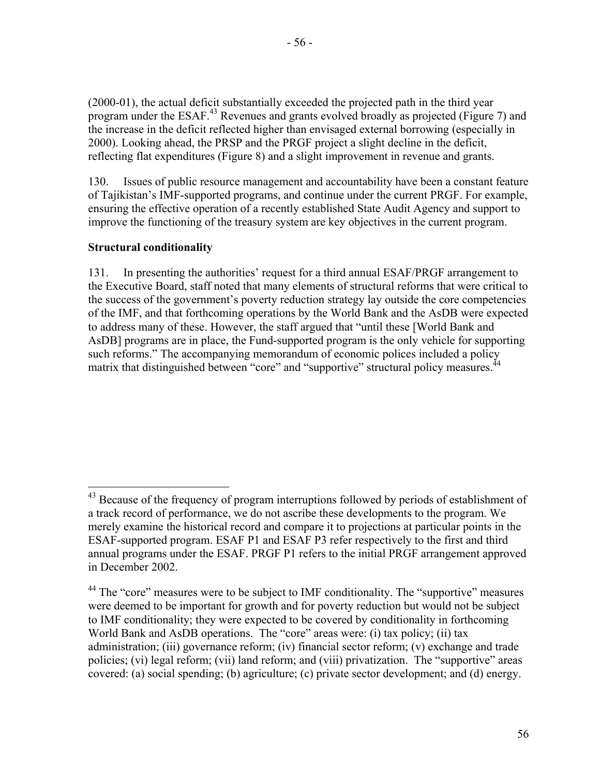(2000-01), the actual deficit substantially exceeded the projected path in the third year

program under the ESAF.<sup>43</sup> Revenues and grants evolved broadly as projected (Figure 7) and the increase in the deficit reflected higher than envisaged external borrowing (especially in 2000). Looking ahead, the PRSP and the PRGF project a slight decline in the deficit, reflecting flat expenditures (Figure 8) and a slight improvement in revenue and grants.

130. Issues of public resource management and accountability have been a constant feature of Tajikistan's IMF-supported programs, and continue under the current PRGF. For example, ensuring the effective operation of a recently established State Audit Agency and support to improve the functioning of the treasury system are key objectives in the current program.

# **Structural conditionality**

 $\overline{a}$ 

131. In presenting the authorities' request for a third annual ESAF/PRGF arrangement to the Executive Board, staff noted that many elements of structural reforms that were critical to the success of the government's poverty reduction strategy lay outside the core competencies of the IMF, and that forthcoming operations by the World Bank and the AsDB were expected to address many of these. However, the staff argued that "until these [World Bank and AsDB] programs are in place, the Fund-supported program is the only vehicle for supporting such reforms." The accompanying memorandum of economic polices included a policy matrix that distinguished between "core" and "supportive" structural policy measures.<sup>44</sup>

<sup>&</sup>lt;sup>43</sup> Because of the frequency of program interruptions followed by periods of establishment of a track record of performance, we do not ascribe these developments to the program. We merely examine the historical record and compare it to projections at particular points in the ESAF-supported program. ESAF P1 and ESAF P3 refer respectively to the first and third annual programs under the ESAF. PRGF P1 refers to the initial PRGF arrangement approved in December 2002.

<sup>&</sup>lt;sup>44</sup> The "core" measures were to be subject to IMF conditionality. The "supportive" measures were deemed to be important for growth and for poverty reduction but would not be subject to IMF conditionality; they were expected to be covered by conditionality in forthcoming World Bank and AsDB operations. The "core" areas were: (i) tax policy; (ii) tax administration; (iii) governance reform; (iv) financial sector reform; (v) exchange and trade policies; (vi) legal reform; (vii) land reform; and (viii) privatization. The "supportive" areas covered: (a) social spending; (b) agriculture; (c) private sector development; and (d) energy.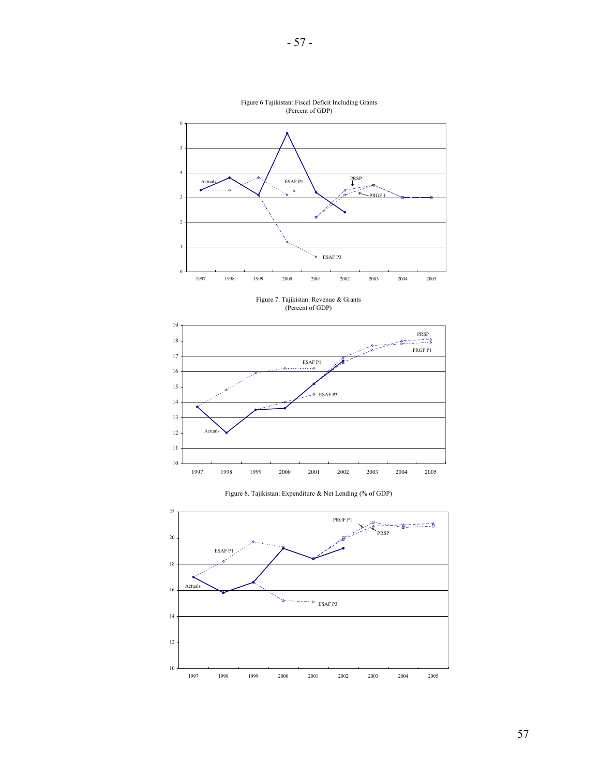

Figure 6 Tajikistan: Fiscal Deficit Including Grants (Percent of GDP)

Figure 7. Tajikistan: Revenue & Grants (Percent of GDP)





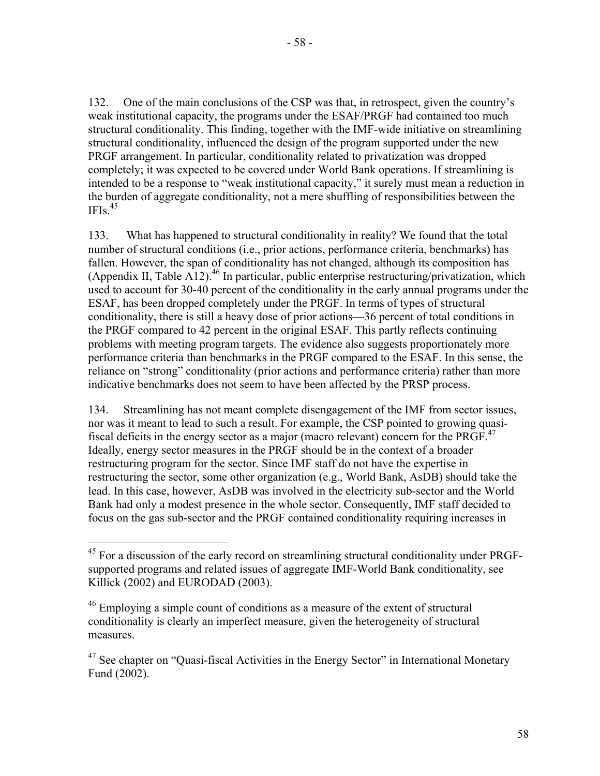132. One of the main conclusions of the CSP was that, in retrospect, given the country's weak institutional capacity, the programs under the ESAF/PRGF had contained too much structural conditionality. This finding, together with the IMF-wide initiative on streamlining structural conditionality, influenced the design of the program supported under the new PRGF arrangement. In particular, conditionality related to privatization was dropped completely; it was expected to be covered under World Bank operations. If streamlining is intended to be a response to "weak institutional capacity," it surely must mean a reduction in the burden of aggregate conditionality, not a mere shuffling of responsibilities between the  $IFIs.<sup>45</sup>$ 

133. What has happened to structural conditionality in reality? We found that the total number of structural conditions (i.e., prior actions, performance criteria, benchmarks) has fallen. However, the span of conditionality has not changed, although its composition has (Appendix II, Table A12).<sup>46</sup> In particular, public enterprise restructuring/privatization, which used to account for 30-40 percent of the conditionality in the early annual programs under the ESAF, has been dropped completely under the PRGF. In terms of types of structural conditionality, there is still a heavy dose of prior actions—36 percent of total conditions in the PRGF compared to 42 percent in the original ESAF. This partly reflects continuing problems with meeting program targets. The evidence also suggests proportionately more performance criteria than benchmarks in the PRGF compared to the ESAF. In this sense, the reliance on "strong" conditionality (prior actions and performance criteria) rather than more indicative benchmarks does not seem to have been affected by the PRSP process.

134. Streamlining has not meant complete disengagement of the IMF from sector issues, nor was it meant to lead to such a result. For example, the CSP pointed to growing quasifiscal deficits in the energy sector as a major (macro relevant) concern for the PRGF. $47$ Ideally, energy sector measures in the PRGF should be in the context of a broader restructuring program for the sector. Since IMF staff do not have the expertise in restructuring the sector, some other organization (e.g., World Bank, AsDB) should take the lead. In this case, however, AsDB was involved in the electricity sub-sector and the World Bank had only a modest presence in the whole sector. Consequently, IMF staff decided to focus on the gas sub-sector and the PRGF contained conditionality requiring increases in

1

 $45$  For a discussion of the early record on streamlining structural conditionality under PRGFsupported programs and related issues of aggregate IMF-World Bank conditionality, see Killick (2002) and EURODAD (2003).

<sup>46</sup> Employing a simple count of conditions as a measure of the extent of structural conditionality is clearly an imperfect measure, given the heterogeneity of structural measures.

 $47$  See chapter on "Quasi-fiscal Activities in the Energy Sector" in International Monetary Fund (2002).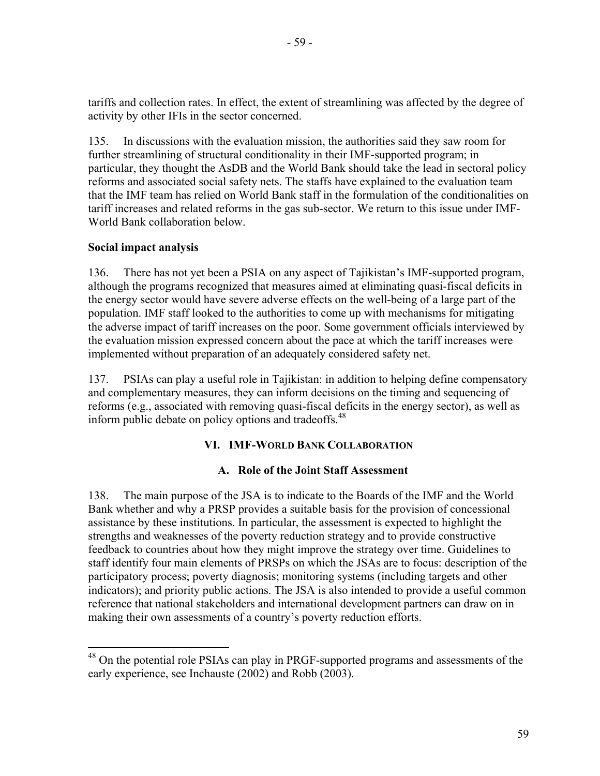tariffs and collection rates. In effect, the extent of streamlining was affected by the degree of activity by other IFIs in the sector concerned.

135. In discussions with the evaluation mission, the authorities said they saw room for further streamlining of structural conditionality in their IMF-supported program; in particular, they thought the AsDB and the World Bank should take the lead in sectoral policy reforms and associated social safety nets. The staffs have explained to the evaluation team that the IMF team has relied on World Bank staff in the formulation of the conditionalities on tariff increases and related reforms in the gas sub-sector. We return to this issue under IMF-World Bank collaboration below.

# **Social impact analysis**

 $\overline{a}$ 

136. There has not yet been a PSIA on any aspect of Tajikistan's IMF-supported program, although the programs recognized that measures aimed at eliminating quasi-fiscal deficits in the energy sector would have severe adverse effects on the well-being of a large part of the population. IMF staff looked to the authorities to come up with mechanisms for mitigating the adverse impact of tariff increases on the poor. Some government officials interviewed by the evaluation mission expressed concern about the pace at which the tariff increases were implemented without preparation of an adequately considered safety net.

137. PSIAs can play a useful role in Tajikistan: in addition to helping define compensatory and complementary measures, they can inform decisions on the timing and sequencing of reforms (e.g., associated with removing quasi-fiscal deficits in the energy sector), as well as inform public debate on policy options and tradeoffs.<sup>48</sup>

# **VI. IMF-WORLD BANK COLLABORATION**

## **A. Role of the Joint Staff Assessment**

138. The main purpose of the JSA is to indicate to the Boards of the IMF and the World Bank whether and why a PRSP provides a suitable basis for the provision of concessional assistance by these institutions. In particular, the assessment is expected to highlight the strengths and weaknesses of the poverty reduction strategy and to provide constructive feedback to countries about how they might improve the strategy over time. Guidelines to staff identify four main elements of PRSPs on which the JSAs are to focus: description of the participatory process; poverty diagnosis; monitoring systems (including targets and other indicators); and priority public actions. The JSA is also intended to provide a useful common reference that national stakeholders and international development partners can draw on in making their own assessments of a country's poverty reduction efforts.

<sup>&</sup>lt;sup>48</sup> On the potential role PSIAs can play in PRGF-supported programs and assessments of the early experience, see Inchauste (2002) and Robb (2003).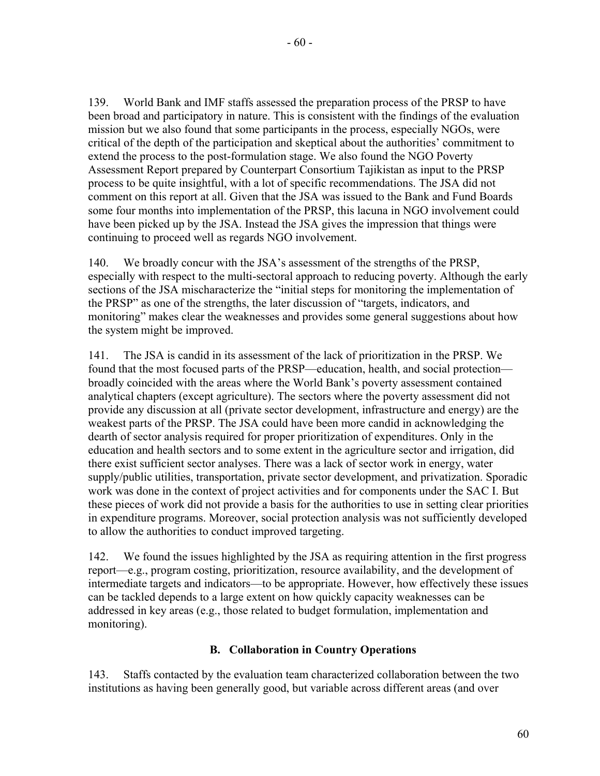139. World Bank and IMF staffs assessed the preparation process of the PRSP to have been broad and participatory in nature. This is consistent with the findings of the evaluation mission but we also found that some participants in the process, especially NGOs, were critical of the depth of the participation and skeptical about the authorities' commitment to extend the process to the post-formulation stage. We also found the NGO Poverty Assessment Report prepared by Counterpart Consortium Tajikistan as input to the PRSP process to be quite insightful, with a lot of specific recommendations. The JSA did not comment on this report at all. Given that the JSA was issued to the Bank and Fund Boards some four months into implementation of the PRSP, this lacuna in NGO involvement could have been picked up by the JSA. Instead the JSA gives the impression that things were continuing to proceed well as regards NGO involvement.

140. We broadly concur with the JSA's assessment of the strengths of the PRSP, especially with respect to the multi-sectoral approach to reducing poverty. Although the early sections of the JSA mischaracterize the "initial steps for monitoring the implementation of the PRSP" as one of the strengths, the later discussion of "targets, indicators, and monitoring" makes clear the weaknesses and provides some general suggestions about how the system might be improved.

141. The JSA is candid in its assessment of the lack of prioritization in the PRSP. We found that the most focused parts of the PRSP—education, health, and social protection broadly coincided with the areas where the World Bank's poverty assessment contained analytical chapters (except agriculture). The sectors where the poverty assessment did not provide any discussion at all (private sector development, infrastructure and energy) are the weakest parts of the PRSP. The JSA could have been more candid in acknowledging the dearth of sector analysis required for proper prioritization of expenditures. Only in the education and health sectors and to some extent in the agriculture sector and irrigation, did there exist sufficient sector analyses. There was a lack of sector work in energy, water supply/public utilities, transportation, private sector development, and privatization. Sporadic work was done in the context of project activities and for components under the SAC I. But these pieces of work did not provide a basis for the authorities to use in setting clear priorities in expenditure programs. Moreover, social protection analysis was not sufficiently developed to allow the authorities to conduct improved targeting.

142. We found the issues highlighted by the JSA as requiring attention in the first progress report—e.g., program costing, prioritization, resource availability, and the development of intermediate targets and indicators—to be appropriate. However, how effectively these issues can be tackled depends to a large extent on how quickly capacity weaknesses can be addressed in key areas (e.g., those related to budget formulation, implementation and monitoring).

# **B. Collaboration in Country Operations**

143. Staffs contacted by the evaluation team characterized collaboration between the two institutions as having been generally good, but variable across different areas (and over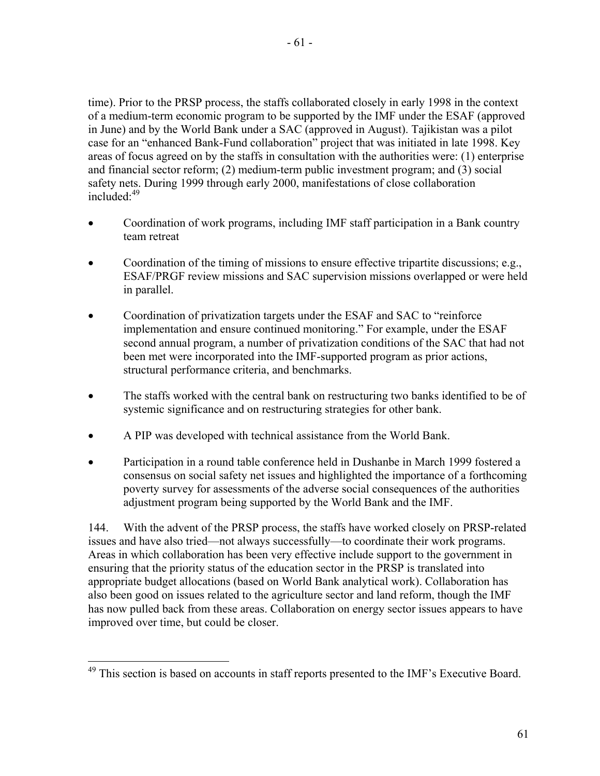time). Prior to the PRSP process, the staffs collaborated closely in early 1998 in the context of a medium-term economic program to be supported by the IMF under the ESAF (approved in June) and by the World Bank under a SAC (approved in August). Tajikistan was a pilot case for an "enhanced Bank-Fund collaboration" project that was initiated in late 1998. Key areas of focus agreed on by the staffs in consultation with the authorities were: (1) enterprise and financial sector reform; (2) medium-term public investment program; and (3) social safety nets. During 1999 through early 2000, manifestations of close collaboration included $\cdot^{49}$ 

- Coordination of work programs, including IMF staff participation in a Bank country team retreat
- Coordination of the timing of missions to ensure effective tripartite discussions; e.g., ESAF/PRGF review missions and SAC supervision missions overlapped or were held in parallel.
- Coordination of privatization targets under the ESAF and SAC to "reinforce" implementation and ensure continued monitoring." For example, under the ESAF second annual program, a number of privatization conditions of the SAC that had not been met were incorporated into the IMF-supported program as prior actions, structural performance criteria, and benchmarks.
- The staffs worked with the central bank on restructuring two banks identified to be of systemic significance and on restructuring strategies for other bank.
- A PIP was developed with technical assistance from the World Bank.
- Participation in a round table conference held in Dushanbe in March 1999 fostered a consensus on social safety net issues and highlighted the importance of a forthcoming poverty survey for assessments of the adverse social consequences of the authorities adjustment program being supported by the World Bank and the IMF.

144. With the advent of the PRSP process, the staffs have worked closely on PRSP-related issues and have also tried—not always successfully—to coordinate their work programs. Areas in which collaboration has been very effective include support to the government in ensuring that the priority status of the education sector in the PRSP is translated into appropriate budget allocations (based on World Bank analytical work). Collaboration has also been good on issues related to the agriculture sector and land reform, though the IMF has now pulled back from these areas. Collaboration on energy sector issues appears to have improved over time, but could be closer.

 $\overline{a}$  $49$  This section is based on accounts in staff reports presented to the IMF's Executive Board.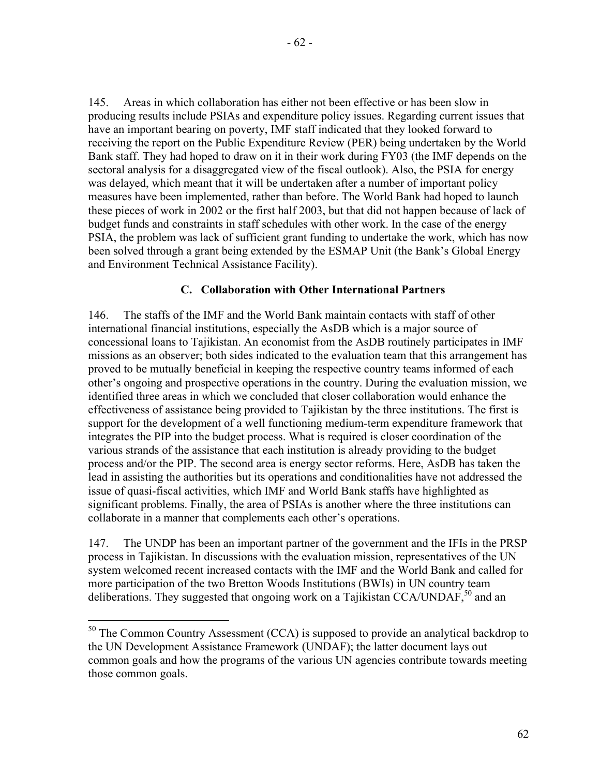145. Areas in which collaboration has either not been effective or has been slow in producing results include PSIAs and expenditure policy issues. Regarding current issues that have an important bearing on poverty, IMF staff indicated that they looked forward to receiving the report on the Public Expenditure Review (PER) being undertaken by the World Bank staff. They had hoped to draw on it in their work during FY03 (the IMF depends on the sectoral analysis for a disaggregated view of the fiscal outlook). Also, the PSIA for energy was delayed, which meant that it will be undertaken after a number of important policy measures have been implemented, rather than before. The World Bank had hoped to launch these pieces of work in 2002 or the first half 2003, but that did not happen because of lack of budget funds and constraints in staff schedules with other work. In the case of the energy PSIA, the problem was lack of sufficient grant funding to undertake the work, which has now been solved through a grant being extended by the ESMAP Unit (the Bank's Global Energy and Environment Technical Assistance Facility).

# **C. Collaboration with Other International Partners**

146. The staffs of the IMF and the World Bank maintain contacts with staff of other international financial institutions, especially the AsDB which is a major source of concessional loans to Tajikistan. An economist from the AsDB routinely participates in IMF missions as an observer; both sides indicated to the evaluation team that this arrangement has proved to be mutually beneficial in keeping the respective country teams informed of each other's ongoing and prospective operations in the country. During the evaluation mission, we identified three areas in which we concluded that closer collaboration would enhance the effectiveness of assistance being provided to Tajikistan by the three institutions. The first is support for the development of a well functioning medium-term expenditure framework that integrates the PIP into the budget process. What is required is closer coordination of the various strands of the assistance that each institution is already providing to the budget process and/or the PIP. The second area is energy sector reforms. Here, AsDB has taken the lead in assisting the authorities but its operations and conditionalities have not addressed the issue of quasi-fiscal activities, which IMF and World Bank staffs have highlighted as significant problems. Finally, the area of PSIAs is another where the three institutions can collaborate in a manner that complements each other's operations.

147. The UNDP has been an important partner of the government and the IFIs in the PRSP process in Tajikistan. In discussions with the evaluation mission, representatives of the UN system welcomed recent increased contacts with the IMF and the World Bank and called for more participation of the two Bretton Woods Institutions (BWIs) in UN country team deliberations. They suggested that ongoing work on a Tajikistan CCA/UNDAF,  $^{50}$  and an

 $\overline{a}$ 

 $50$  The Common Country Assessment (CCA) is supposed to provide an analytical backdrop to the UN Development Assistance Framework (UNDAF); the latter document lays out common goals and how the programs of the various UN agencies contribute towards meeting those common goals.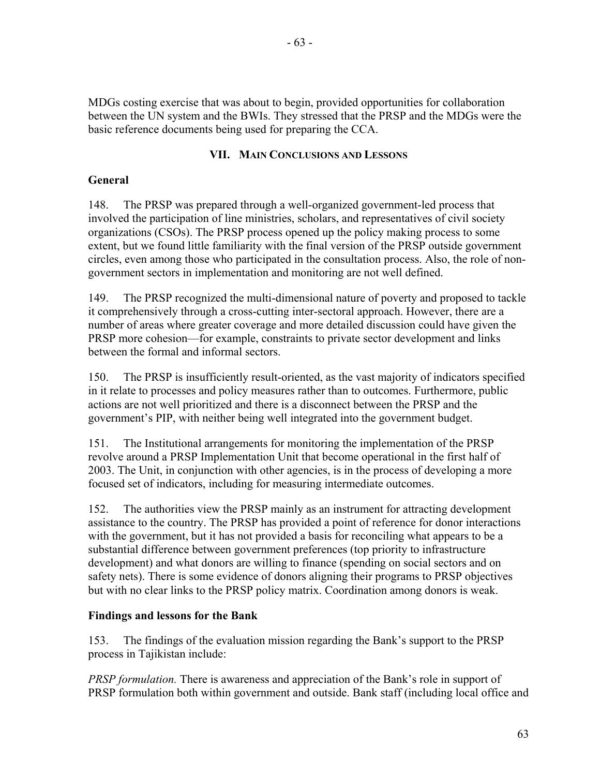MDGs costing exercise that was about to begin, provided opportunities for collaboration between the UN system and the BWIs. They stressed that the PRSP and the MDGs were the basic reference documents being used for preparing the CCA.

# **VII. MAIN CONCLUSIONS AND LESSONS**

# **General**

148. The PRSP was prepared through a well-organized government-led process that involved the participation of line ministries, scholars, and representatives of civil society organizations (CSOs). The PRSP process opened up the policy making process to some extent, but we found little familiarity with the final version of the PRSP outside government circles, even among those who participated in the consultation process. Also, the role of nongovernment sectors in implementation and monitoring are not well defined.

149. The PRSP recognized the multi-dimensional nature of poverty and proposed to tackle it comprehensively through a cross-cutting inter-sectoral approach. However, there are a number of areas where greater coverage and more detailed discussion could have given the PRSP more cohesion—for example, constraints to private sector development and links between the formal and informal sectors.

150. The PRSP is insufficiently result-oriented, as the vast majority of indicators specified in it relate to processes and policy measures rather than to outcomes. Furthermore, public actions are not well prioritized and there is a disconnect between the PRSP and the government's PIP, with neither being well integrated into the government budget.

151. The Institutional arrangements for monitoring the implementation of the PRSP revolve around a PRSP Implementation Unit that become operational in the first half of 2003. The Unit, in conjunction with other agencies, is in the process of developing a more focused set of indicators, including for measuring intermediate outcomes.

152. The authorities view the PRSP mainly as an instrument for attracting development assistance to the country. The PRSP has provided a point of reference for donor interactions with the government, but it has not provided a basis for reconciling what appears to be a substantial difference between government preferences (top priority to infrastructure development) and what donors are willing to finance (spending on social sectors and on safety nets). There is some evidence of donors aligning their programs to PRSP objectives but with no clear links to the PRSP policy matrix. Coordination among donors is weak.

# **Findings and lessons for the Bank**

153. The findings of the evaluation mission regarding the Bank's support to the PRSP process in Tajikistan include:

*PRSP formulation.* There is awareness and appreciation of the Bank's role in support of PRSP formulation both within government and outside. Bank staff (including local office and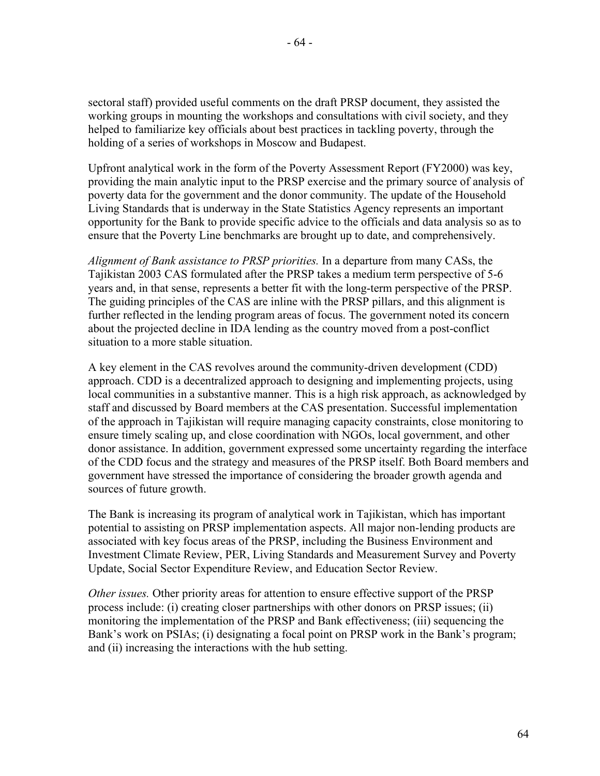sectoral staff) provided useful comments on the draft PRSP document, they assisted the working groups in mounting the workshops and consultations with civil society, and they helped to familiarize key officials about best practices in tackling poverty, through the holding of a series of workshops in Moscow and Budapest.

Upfront analytical work in the form of the Poverty Assessment Report (FY2000) was key, providing the main analytic input to the PRSP exercise and the primary source of analysis of poverty data for the government and the donor community. The update of the Household Living Standards that is underway in the State Statistics Agency represents an important opportunity for the Bank to provide specific advice to the officials and data analysis so as to ensure that the Poverty Line benchmarks are brought up to date, and comprehensively.

*Alignment of Bank assistance to PRSP priorities.* In a departure from many CASs, the Tajikistan 2003 CAS formulated after the PRSP takes a medium term perspective of 5-6 years and, in that sense, represents a better fit with the long-term perspective of the PRSP. The guiding principles of the CAS are inline with the PRSP pillars, and this alignment is further reflected in the lending program areas of focus. The government noted its concern about the projected decline in IDA lending as the country moved from a post-conflict situation to a more stable situation.

A key element in the CAS revolves around the community-driven development (CDD) approach. CDD is a decentralized approach to designing and implementing projects, using local communities in a substantive manner. This is a high risk approach, as acknowledged by staff and discussed by Board members at the CAS presentation. Successful implementation of the approach in Tajikistan will require managing capacity constraints, close monitoring to ensure timely scaling up, and close coordination with NGOs, local government, and other donor assistance. In addition, government expressed some uncertainty regarding the interface of the CDD focus and the strategy and measures of the PRSP itself. Both Board members and government have stressed the importance of considering the broader growth agenda and sources of future growth.

The Bank is increasing its program of analytical work in Tajikistan, which has important potential to assisting on PRSP implementation aspects. All major non-lending products are associated with key focus areas of the PRSP, including the Business Environment and Investment Climate Review, PER, Living Standards and Measurement Survey and Poverty Update, Social Sector Expenditure Review, and Education Sector Review.

*Other issues.* Other priority areas for attention to ensure effective support of the PRSP process include: (i) creating closer partnerships with other donors on PRSP issues; (ii) monitoring the implementation of the PRSP and Bank effectiveness; (iii) sequencing the Bank's work on PSIAs; (i) designating a focal point on PRSP work in the Bank's program; and (ii) increasing the interactions with the hub setting.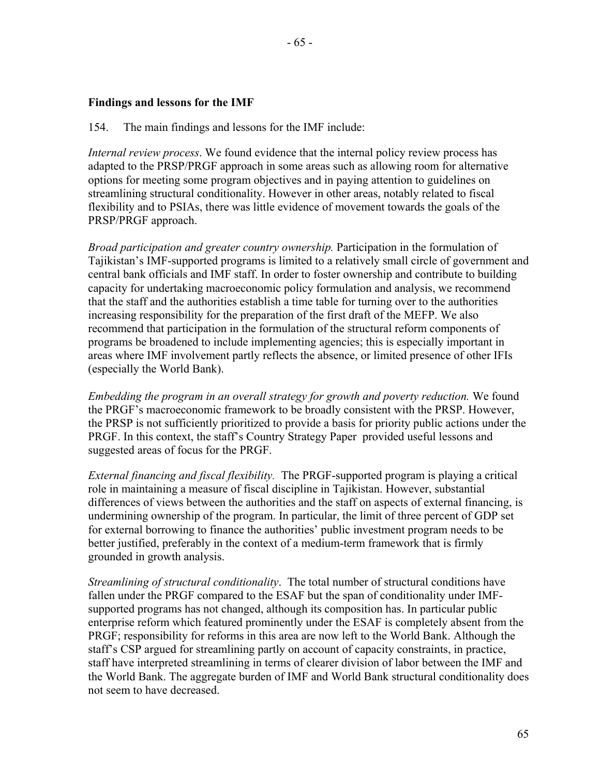# **Findings and lessons for the IMF**

## 154. The main findings and lessons for the IMF include:

*Internal review process*. We found evidence that the internal policy review process has adapted to the PRSP/PRGF approach in some areas such as allowing room for alternative options for meeting some program objectives and in paying attention to guidelines on streamlining structural conditionality. However in other areas, notably related to fiscal flexibility and to PSIAs, there was little evidence of movement towards the goals of the PRSP/PRGF approach.

*Broad participation and greater country ownership.* Participation in the formulation of Tajikistan's IMF-supported programs is limited to a relatively small circle of government and central bank officials and IMF staff. In order to foster ownership and contribute to building capacity for undertaking macroeconomic policy formulation and analysis, we recommend that the staff and the authorities establish a time table for turning over to the authorities increasing responsibility for the preparation of the first draft of the MEFP. We also recommend that participation in the formulation of the structural reform components of programs be broadened to include implementing agencies; this is especially important in areas where IMF involvement partly reflects the absence, or limited presence of other IFIs (especially the World Bank).

*Embedding the program in an overall strategy for growth and poverty reduction.* We found the PRGF's macroeconomic framework to be broadly consistent with the PRSP. However, the PRSP is not sufficiently prioritized to provide a basis for priority public actions under the PRGF. In this context, the staff's Country Strategy Paper provided useful lessons and suggested areas of focus for the PRGF.

*External financing and fiscal flexibility.* The PRGF-supported program is playing a critical role in maintaining a measure of fiscal discipline in Tajikistan. However, substantial differences of views between the authorities and the staff on aspects of external financing, is undermining ownership of the program. In particular, the limit of three percent of GDP set for external borrowing to finance the authorities' public investment program needs to be better justified, preferably in the context of a medium-term framework that is firmly grounded in growth analysis.

*Streamlining of structural conditionality*. The total number of structural conditions have fallen under the PRGF compared to the ESAF but the span of conditionality under IMFsupported programs has not changed, although its composition has. In particular public enterprise reform which featured prominently under the ESAF is completely absent from the PRGF; responsibility for reforms in this area are now left to the World Bank. Although the staff's CSP argued for streamlining partly on account of capacity constraints, in practice, staff have interpreted streamlining in terms of clearer division of labor between the IMF and the World Bank. The aggregate burden of IMF and World Bank structural conditionality does not seem to have decreased.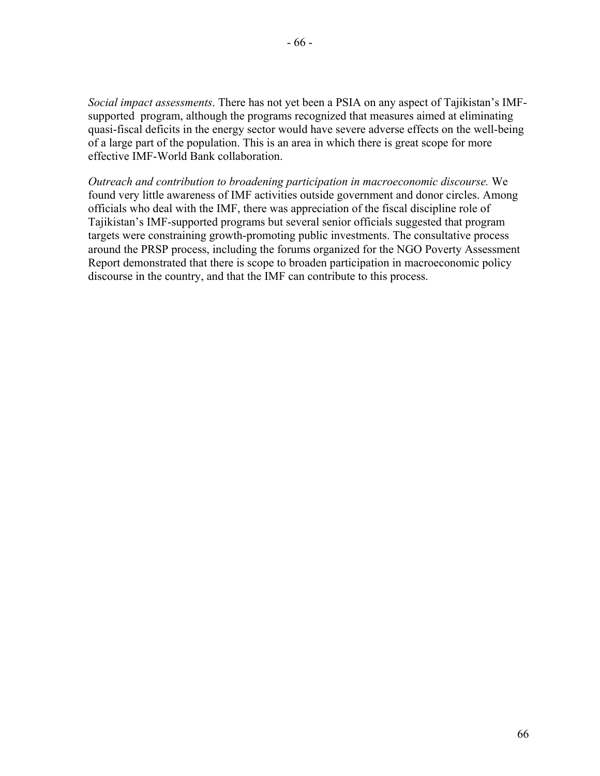*Social impact assessments*. There has not yet been a PSIA on any aspect of Tajikistan's IMFsupported program, although the programs recognized that measures aimed at eliminating quasi-fiscal deficits in the energy sector would have severe adverse effects on the well-being of a large part of the population. This is an area in which there is great scope for more effective IMF-World Bank collaboration.

*Outreach and contribution to broadening participation in macroeconomic discourse.* We found very little awareness of IMF activities outside government and donor circles. Among officials who deal with the IMF, there was appreciation of the fiscal discipline role of Tajikistan's IMF-supported programs but several senior officials suggested that program targets were constraining growth-promoting public investments. The consultative process around the PRSP process, including the forums organized for the NGO Poverty Assessment Report demonstrated that there is scope to broaden participation in macroeconomic policy discourse in the country, and that the IMF can contribute to this process.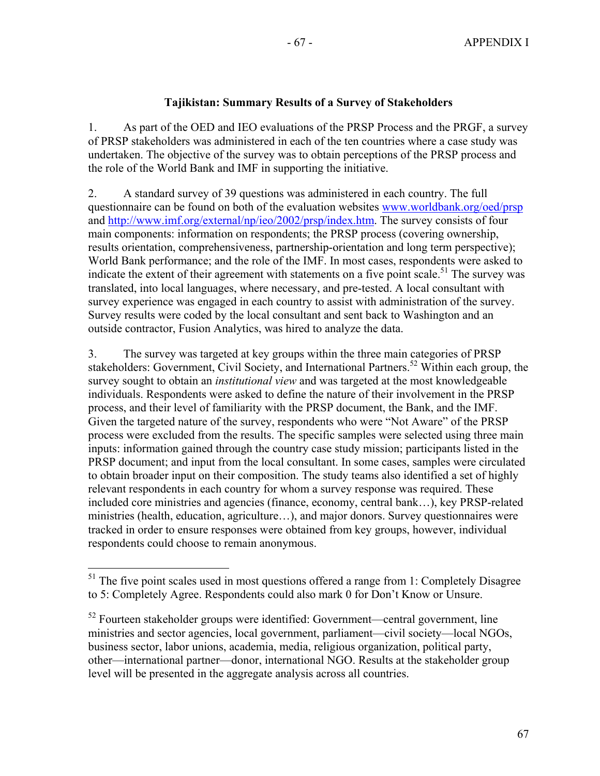# **Tajikistan: Summary Results of a Survey of Stakeholders**

1. As part of the OED and IEO evaluations of the PRSP Process and the PRGF, a survey of PRSP stakeholders was administered in each of the ten countries where a case study was undertaken. The objective of the survey was to obtain perceptions of the PRSP process and the role of the World Bank and IMF in supporting the initiative.

2. A standard survey of 39 questions was administered in each country. The full questionnaire can be found on both of the evaluation websites www.worldbank.org/oed/prsp and http://www.imf.org/external/np/ieo/2002/prsp/index.htm. The survey consists of four main components: information on respondents; the PRSP process (covering ownership, results orientation, comprehensiveness, partnership-orientation and long term perspective); World Bank performance; and the role of the IMF. In most cases, respondents were asked to indicate the extent of their agreement with statements on a five point scale.<sup>51</sup> The survey was translated, into local languages, where necessary, and pre-tested. A local consultant with survey experience was engaged in each country to assist with administration of the survey. Survey results were coded by the local consultant and sent back to Washington and an outside contractor, Fusion Analytics, was hired to analyze the data.

3. The survey was targeted at key groups within the three main categories of PRSP stakeholders: Government, Civil Society, and International Partners.<sup>52</sup> Within each group, the survey sought to obtain an *institutional view* and was targeted at the most knowledgeable individuals. Respondents were asked to define the nature of their involvement in the PRSP process, and their level of familiarity with the PRSP document, the Bank, and the IMF. Given the targeted nature of the survey, respondents who were "Not Aware" of the PRSP process were excluded from the results. The specific samples were selected using three main inputs: information gained through the country case study mission; participants listed in the PRSP document; and input from the local consultant. In some cases, samples were circulated to obtain broader input on their composition. The study teams also identified a set of highly relevant respondents in each country for whom a survey response was required. These included core ministries and agencies (finance, economy, central bank…), key PRSP-related ministries (health, education, agriculture…), and major donors. Survey questionnaires were tracked in order to ensure responses were obtained from key groups, however, individual respondents could choose to remain anonymous.

 $\overline{a}$  $51$  The five point scales used in most questions offered a range from 1: Completely Disagree to 5: Completely Agree. Respondents could also mark 0 for Don't Know or Unsure.

 $52$  Fourteen stakeholder groups were identified: Government—central government, line ministries and sector agencies, local government, parliament—civil society—local NGOs, business sector, labor unions, academia, media, religious organization, political party, other—international partner—donor, international NGO. Results at the stakeholder group level will be presented in the aggregate analysis across all countries.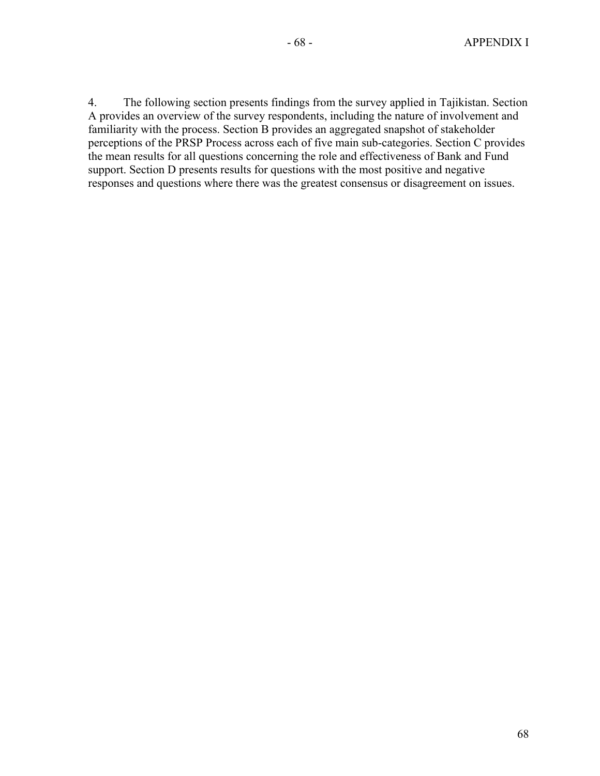4. The following section presents findings from the survey applied in Tajikistan. Section A provides an overview of the survey respondents, including the nature of involvement and familiarity with the process. Section B provides an aggregated snapshot of stakeholder perceptions of the PRSP Process across each of five main sub-categories. Section C provides the mean results for all questions concerning the role and effectiveness of Bank and Fund support. Section D presents results for questions with the most positive and negative responses and questions where there was the greatest consensus or disagreement on issues.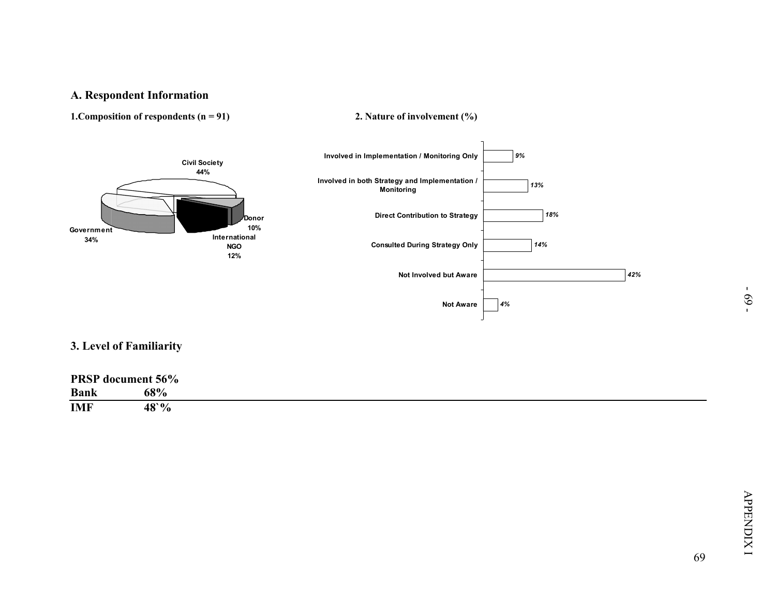

| <b>PRSP</b> document 56% |                |
|--------------------------|----------------|
| <b>Bank</b>              | 68%            |
| <b>IMF</b>               | $48^{\circ}\%$ |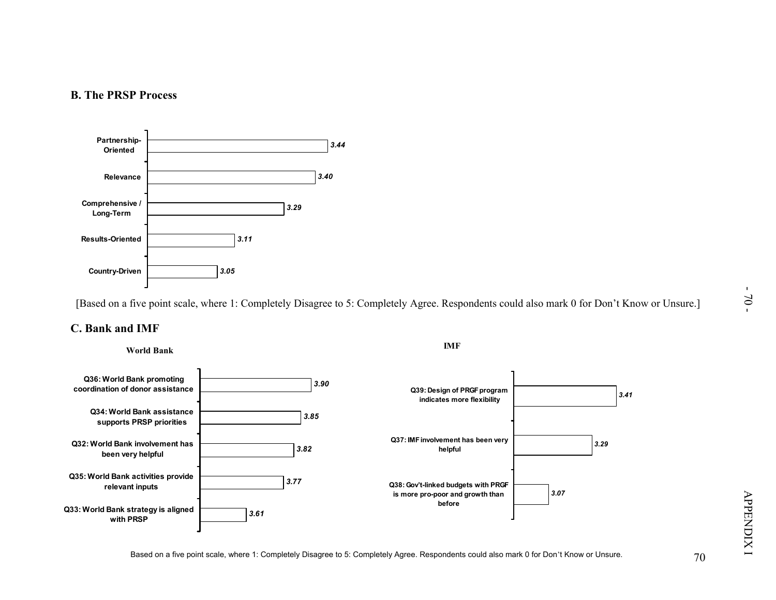

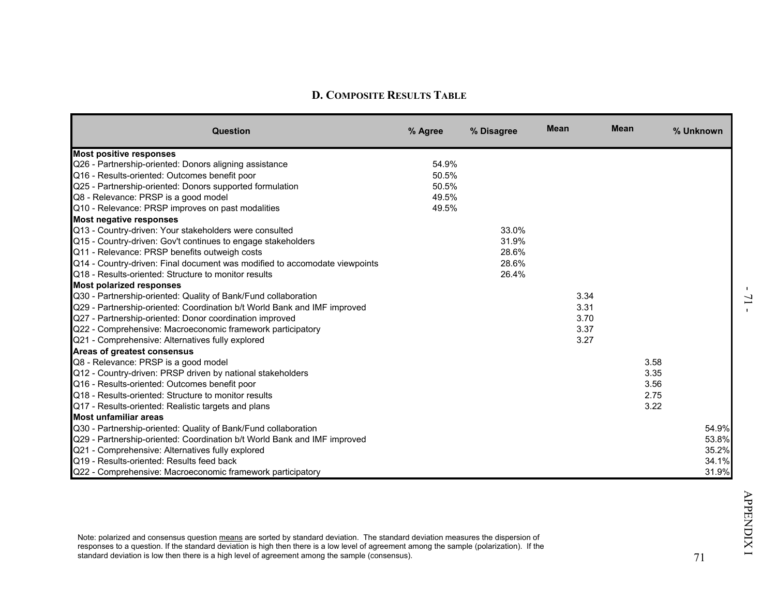| Question                                                                        | % Agree | % Disagree | <b>Mean</b> | <b>Mean</b> | % Unknown |
|---------------------------------------------------------------------------------|---------|------------|-------------|-------------|-----------|
| <b>Most positive responses</b>                                                  |         |            |             |             |           |
| Q26 - Partnership-oriented: Donors aligning assistance                          | 54.9%   |            |             |             |           |
| Q16 - Results-oriented: Outcomes benefit poor                                   | 50.5%   |            |             |             |           |
| Q25 - Partnership-oriented: Donors supported formulation                        | 50.5%   |            |             |             |           |
| Q8 - Relevance: PRSP is a good model                                            | 49.5%   |            |             |             |           |
| Q10 - Relevance: PRSP improves on past modalities                               | 49.5%   |            |             |             |           |
| Most negative responses                                                         |         |            |             |             |           |
| Q13 - Country-driven: Your stakeholders were consulted                          |         | 33.0%      |             |             |           |
| Q15 - Country-driven: Gov't continues to engage stakeholders                    |         | 31.9%      |             |             |           |
| Q11 - Relevance: PRSP benefits outweigh costs                                   |         | 28.6%      |             |             |           |
| Q14 - Country-driven: Final document was modified to accomodate viewpoints      |         | 28.6%      |             |             |           |
| Q18 - Results-oriented: Structure to monitor results                            |         | 26.4%      |             |             |           |
| <b>Most polarized responses</b>                                                 |         |            |             |             |           |
| Q30 - Partnership-oriented: Quality of Bank/Fund collaboration                  |         |            | 3.34        |             |           |
| Q29 - Partnership-oriented: Coordination b/t World Bank and IMF improved        |         |            | 3.31        |             |           |
| Q27 - Partnership-oriented: Donor coordination improved                         |         |            | 3.70        |             |           |
| Q22 - Comprehensive: Macroeconomic framework participatory                      |         |            | 3.37        |             |           |
| Q21 - Comprehensive: Alternatives fully explored<br>Areas of greatest consensus |         |            | 3.27        |             |           |
| Q8 - Relevance: PRSP is a good model                                            |         |            |             | 3.58        |           |
| Q12 - Country-driven: PRSP driven by national stakeholders                      |         |            |             | 3.35        |           |
| Q16 - Results-oriented: Outcomes benefit poor                                   |         |            |             | 3.56        |           |
| Q18 - Results-oriented: Structure to monitor results                            |         |            |             | 2.75        |           |
| Q17 - Results-oriented: Realistic targets and plans                             |         |            |             | 3.22        |           |
| Most unfamiliar areas                                                           |         |            |             |             |           |
| Q30 - Partnership-oriented: Quality of Bank/Fund collaboration                  |         |            |             |             | 54.9%     |
| Q29 - Partnership-oriented: Coordination b/t World Bank and IMF improved        |         |            |             |             | 53.8%     |
| Q21 - Comprehensive: Alternatives fully explored                                |         |            |             |             | 35.2%     |
| Q19 - Results-oriented: Results feed back                                       |         |            |             |             | 34.1%     |
| Q22 - Comprehensive: Macroeconomic framework participatory                      |         |            |             |             | 31.9%     |

71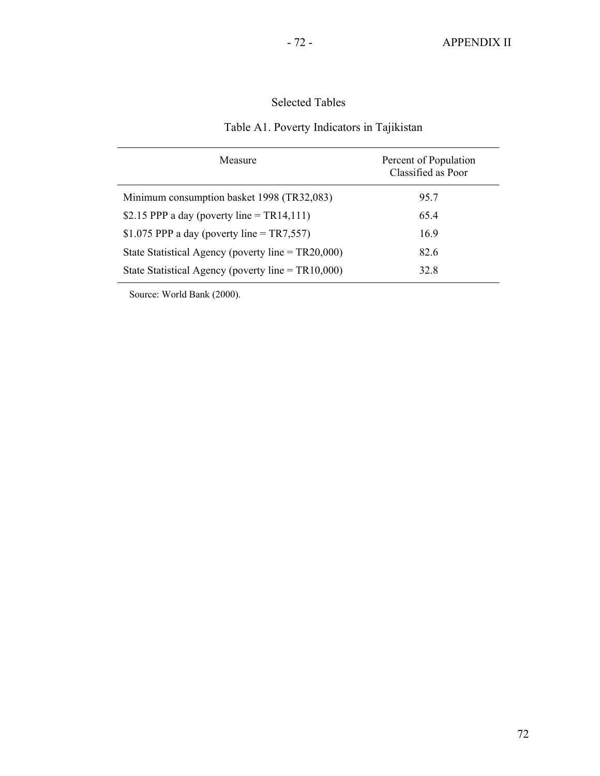# Selected Tables

# Table A1. Poverty Indicators in Tajikistan

| Measure                                               | Percent of Population<br>Classified as Poor |  |  |  |
|-------------------------------------------------------|---------------------------------------------|--|--|--|
| Minimum consumption basket 1998 (TR32,083)            | 95.7                                        |  |  |  |
| \$2.15 PPP a day (poverty line = $TR14,111$ )         | 65.4                                        |  |  |  |
| \$1.075 PPP a day (poverty line = TR7,557)            | 16.9                                        |  |  |  |
| State Statistical Agency (poverty line = $TR20,000$ ) | 82.6                                        |  |  |  |
| State Statistical Agency (poverty line = $TR10,000$ ) | 32.8                                        |  |  |  |

Source: World Bank (2000).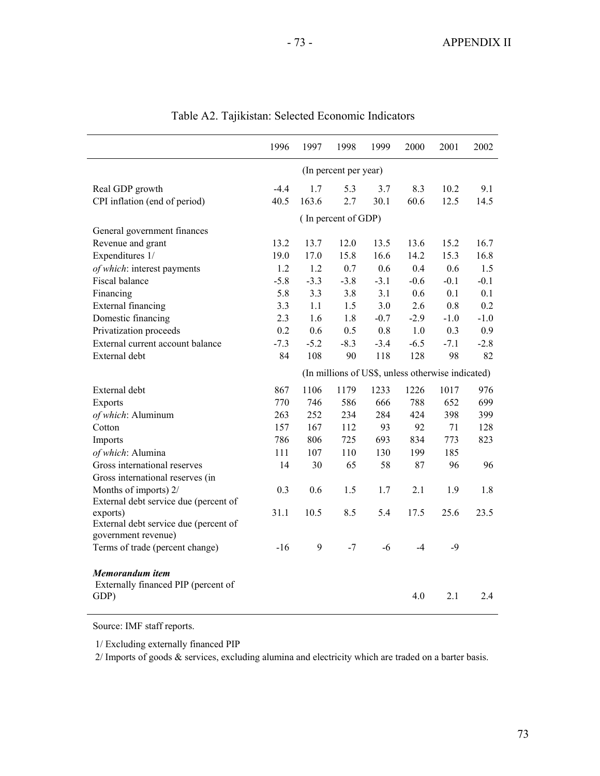|                                                              | 1996                                              | 1997   | 1998   | 1999   | 2000   | 2001   | 2002   |  |  |
|--------------------------------------------------------------|---------------------------------------------------|--------|--------|--------|--------|--------|--------|--|--|
|                                                              | (In percent per year)                             |        |        |        |        |        |        |  |  |
| Real GDP growth                                              | $-4.4$                                            | 1.7    | 5.3    | 3.7    | 8.3    | 10.2   | 9.1    |  |  |
| CPI inflation (end of period)                                | 40.5                                              | 163.6  | 2.7    | 30.1   | 60.6   | 12.5   | 14.5   |  |  |
|                                                              | (In percent of GDP)                               |        |        |        |        |        |        |  |  |
| General government finances                                  |                                                   |        |        |        |        |        |        |  |  |
| Revenue and grant                                            | 13.2                                              | 13.7   | 12.0   | 13.5   | 13.6   | 15.2   | 16.7   |  |  |
| Expenditures 1/                                              | 19.0                                              | 17.0   | 15.8   | 16.6   | 14.2   | 15.3   | 16.8   |  |  |
| of which: interest payments                                  | 1.2                                               | 1.2    | 0.7    | 0.6    | 0.4    | 0.6    | 1.5    |  |  |
| Fiscal balance                                               | $-5.8$                                            | $-3.3$ | $-3.8$ | $-3.1$ | $-0.6$ | $-0.1$ | $-0.1$ |  |  |
| Financing                                                    | 5.8                                               | 3.3    | 3.8    | 3.1    | 0.6    | 0.1    | 0.1    |  |  |
| External financing                                           | 3.3                                               | 1.1    | 1.5    | 3.0    | 2.6    | 0.8    | 0.2    |  |  |
| Domestic financing                                           | 2.3                                               | 1.6    | 1.8    | $-0.7$ | $-2.9$ | $-1.0$ | $-1.0$ |  |  |
| Privatization proceeds                                       | 0.2                                               | 0.6    | 0.5    | 0.8    | 1.0    | 0.3    | 0.9    |  |  |
| External current account balance                             | $-7.3$                                            | $-5.2$ | $-8.3$ | $-3.4$ | $-6.5$ | $-7.1$ | $-2.8$ |  |  |
| External debt                                                | 84                                                | 108    | 90     | 118    | 128    | 98     | 82     |  |  |
|                                                              | (In millions of US\$, unless otherwise indicated) |        |        |        |        |        |        |  |  |
| External debt                                                | 867                                               | 1106   | 1179   | 1233   | 1226   | 1017   | 976    |  |  |
| Exports                                                      | 770                                               | 746    | 586    | 666    | 788    | 652    | 699    |  |  |
| of which: Aluminum                                           | 263                                               | 252    | 234    | 284    | 424    | 398    | 399    |  |  |
| Cotton                                                       | 157                                               | 167    | 112    | 93     | 92     | 71     | 128    |  |  |
| Imports                                                      | 786                                               | 806    | 725    | 693    | 834    | 773    | 823    |  |  |
| of which: Alumina                                            | 111                                               | 107    | 110    | 130    | 199    | 185    |        |  |  |
| Gross international reserves                                 | 14                                                | 30     | 65     | 58     | 87     | 96     | 96     |  |  |
| Gross international reserves (in                             |                                                   |        |        |        |        |        |        |  |  |
| Months of imports) 2/                                        | 0.3                                               | 0.6    | 1.5    | 1.7    | 2.1    | 1.9    | 1.8    |  |  |
| External debt service due (percent of                        |                                                   |        |        |        |        |        |        |  |  |
| exports)                                                     | 31.1                                              | 10.5   | 8.5    | 5.4    | 17.5   | 25.6   | 23.5   |  |  |
| External debt service due (percent of<br>government revenue) |                                                   |        |        |        |        |        |        |  |  |
| Terms of trade (percent change)                              | $-16$                                             | 9      | $-7$   | $-6$   | $-4$   | $-9$   |        |  |  |
|                                                              |                                                   |        |        |        |        |        |        |  |  |
| Memorandum item                                              |                                                   |        |        |        |        |        |        |  |  |
| Externally financed PIP (percent of                          |                                                   |        |        |        |        |        |        |  |  |
| GDP)                                                         |                                                   |        |        |        | 4.0    | 2.1    | 2.4    |  |  |
|                                                              |                                                   |        |        |        |        |        |        |  |  |

|  | Table A2. Tajikistan: Selected Economic Indicators |  |  |  |
|--|----------------------------------------------------|--|--|--|
|--|----------------------------------------------------|--|--|--|

Source: IMF staff reports.

1/ Excluding externally financed PIP

2/ Imports of goods & services, excluding alumina and electricity which are traded on a barter basis.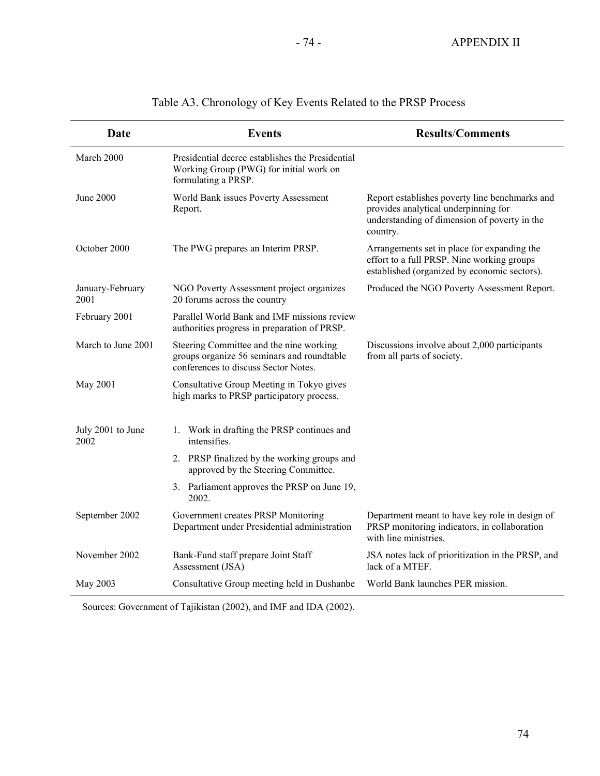| Date                      | <b>Events</b>                                                                                                                 | <b>Results/Comments</b>                                                                                                                            |
|---------------------------|-------------------------------------------------------------------------------------------------------------------------------|----------------------------------------------------------------------------------------------------------------------------------------------------|
| March 2000                | Presidential decree establishes the Presidential<br>Working Group (PWG) for initial work on<br>formulating a PRSP.            |                                                                                                                                                    |
| <b>June 2000</b>          | World Bank issues Poverty Assessment<br>Report.                                                                               | Report establishes poverty line benchmarks and<br>provides analytical underpinning for<br>understanding of dimension of poverty in the<br>country. |
| October 2000              | The PWG prepares an Interim PRSP.                                                                                             | Arrangements set in place for expanding the<br>effort to a full PRSP. Nine working groups<br>established (organized by economic sectors).          |
| January-February<br>2001  | NGO Poverty Assessment project organizes<br>20 forums across the country                                                      | Produced the NGO Poverty Assessment Report.                                                                                                        |
| February 2001             | Parallel World Bank and IMF missions review<br>authorities progress in preparation of PRSP.                                   |                                                                                                                                                    |
| March to June 2001        | Steering Committee and the nine working<br>groups organize 56 seminars and roundtable<br>conferences to discuss Sector Notes. | Discussions involve about 2,000 participants<br>from all parts of society.                                                                         |
| May 2001                  | Consultative Group Meeting in Tokyo gives<br>high marks to PRSP participatory process.                                        |                                                                                                                                                    |
| July 2001 to June<br>2002 | 1. Work in drafting the PRSP continues and<br>intensifies.                                                                    |                                                                                                                                                    |
|                           | 2. PRSP finalized by the working groups and<br>approved by the Steering Committee.                                            |                                                                                                                                                    |
|                           | 3. Parliament approves the PRSP on June 19,<br>2002.                                                                          |                                                                                                                                                    |
| September 2002            | Government creates PRSP Monitoring<br>Department under Presidential administration                                            | Department meant to have key role in design of<br>PRSP monitoring indicators, in collaboration<br>with line ministries.                            |
| November 2002             | Bank-Fund staff prepare Joint Staff<br>Assessment (JSA)                                                                       | JSA notes lack of prioritization in the PRSP, and<br>lack of a MTEF.                                                                               |
| May 2003                  | Consultative Group meeting held in Dushanbe                                                                                   | World Bank launches PER mission.                                                                                                                   |

# Table A3. Chronology of Key Events Related to the PRSP Process

Sources: Government of Tajikistan (2002), and IMF and IDA (2002).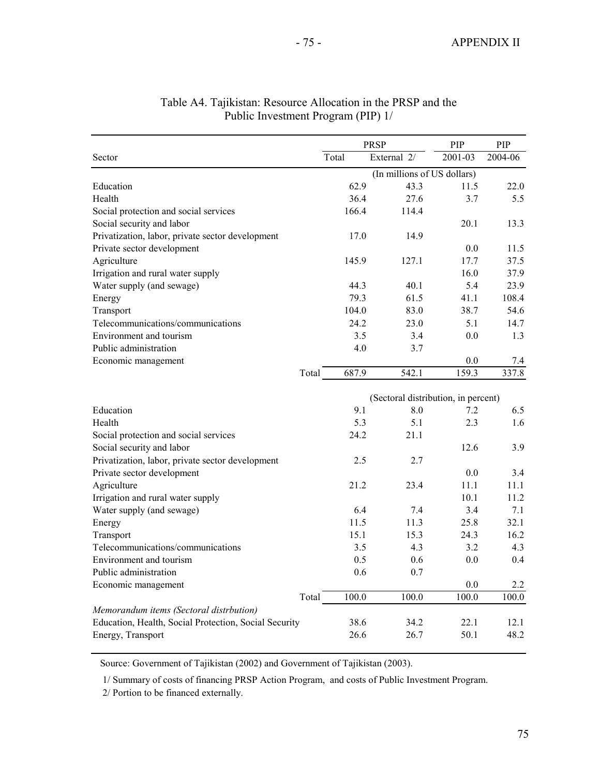|                                                       |       | <b>PRSP</b>                         | PIP     | PIP     |
|-------------------------------------------------------|-------|-------------------------------------|---------|---------|
| Sector                                                | Total | External 2/                         | 2001-03 | 2004-06 |
|                                                       |       | (In millions of US dollars)         |         |         |
| Education                                             | 62.9  | 43.3                                | 11.5    | 22.0    |
| Health                                                | 36.4  | 27.6                                | 3.7     | 5.5     |
| Social protection and social services                 | 166.4 | 114.4                               |         |         |
| Social security and labor                             |       |                                     | 20.1    | 13.3    |
| Privatization, labor, private sector development      | 17.0  | 14.9                                |         |         |
| Private sector development                            |       |                                     | 0.0     | 11.5    |
| Agriculture                                           | 145.9 | 127.1                               | 17.7    | 37.5    |
| Irrigation and rural water supply                     |       |                                     | 16.0    | 37.9    |
| Water supply (and sewage)                             | 44.3  | 40.1                                | 5.4     | 23.9    |
| Energy                                                | 79.3  | 61.5                                | 41.1    | 108.4   |
| Transport                                             | 104.0 | 83.0                                | 38.7    | 54.6    |
| Telecommunications/communications                     | 24.2  | 23.0                                | 5.1     | 14.7    |
| Environment and tourism                               | 3.5   | 3.4                                 | 0.0     | 1.3     |
| Public administration                                 | 4.0   | 3.7                                 |         |         |
| Economic management                                   |       |                                     | 0.0     | 7.4     |
| Total                                                 | 687.9 | 542.1                               | 159.3   | 337.8   |
|                                                       |       |                                     |         |         |
|                                                       |       | (Sectoral distribution, in percent) |         |         |
| Education                                             | 9.1   | 8.0                                 | 7.2     | 6.5     |
| Health                                                | 5.3   | 5.1                                 | 2.3     | 1.6     |
| Social protection and social services                 | 24.2  | 21.1                                |         |         |
| Social security and labor                             |       |                                     | 12.6    | 3.9     |
| Privatization, labor, private sector development      | 2.5   | 2.7                                 |         |         |
| Private sector development                            |       |                                     | 0.0     | 3.4     |
| Agriculture                                           | 21.2  | 23.4                                | 11.1    | 11.1    |
| Irrigation and rural water supply                     |       |                                     | 10.1    | 11.2    |
| Water supply (and sewage)                             | 6.4   | 7.4                                 | 3.4     | 7.1     |
| Energy                                                | 11.5  | 11.3                                | 25.8    | 32.1    |
| Transport                                             | 15.1  | 15.3                                | 24.3    | 16.2    |
| Telecommunications/communications                     | 3.5   | 4.3                                 | 3.2     | 4.3     |
| Environment and tourism                               | 0.5   | 0.6                                 | 0.0     | 0.4     |
| Public administration                                 | 0.6   | 0.7                                 |         |         |
| Economic management                                   |       |                                     | 0.0     | 2.2     |
| Total                                                 | 100.0 | 100.0                               | 100.0   | 100.0   |
| Memorandum items (Sectoral distrbution)               |       |                                     |         |         |
| Education, Health, Social Protection, Social Security | 38.6  | 34.2                                | 22.1    | 12.1    |
| Energy, Transport                                     | 26.6  | 26.7                                | 50.1    | 48.2    |
|                                                       |       |                                     |         |         |

# Table A4. Tajikistan: Resource Allocation in the PRSP and the Public Investment Program (PIP) 1/

Source: Government of Tajikistan (2002) and Government of Tajikistan (2003).

1/ Summary of costs of financing PRSP Action Program, and costs of Public Investment Program.

2/ Portion to be financed externally.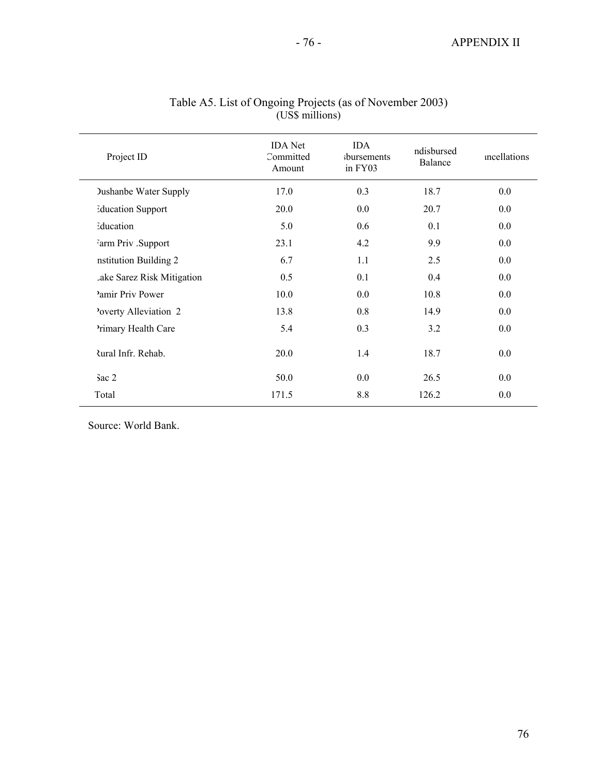| Project ID                   | <b>IDA</b> Net<br>Committed<br>Amount | <b>IDA</b><br>sbursements<br>in FY03 | ndisbursed<br><b>Balance</b> | mcellations |
|------------------------------|---------------------------------------|--------------------------------------|------------------------------|-------------|
| <b>Dushanbe Water Supply</b> | 17.0                                  | 0.3                                  | 18.7                         | 0.0         |
| <b>Education Support</b>     | 20.0                                  | 0.0                                  | 20.7                         | 0.0         |
| Education                    | 5.0                                   | 0.6                                  | 0.1                          | 0.0         |
| Farm Priv .Support           | 23.1                                  | 4.2                                  | 9.9                          | 0.0         |
| nstitution Building 2        | 6.7                                   | 1.1                                  | 2.5                          | 0.0         |
| Lake Sarez Risk Mitigation   | 0.5                                   | 0.1                                  | 0.4                          | 0.0         |
| Pamir Priv Power             | 10.0                                  | 0.0                                  | 10.8                         | 0.0         |
| Poverty Alleviation 2        | 13.8                                  | 0.8                                  | 14.9                         | 0.0         |
| Primary Health Care          | 5.4                                   | 0.3                                  | 3.2                          | 0.0         |
| <b>Rural Infr. Rehab.</b>    | 20.0                                  | 1.4                                  | 18.7                         | 0.0         |
| $3ac$ 2                      | 50.0                                  | 0.0                                  | 26.5                         | 0.0         |
| Total                        | 171.5                                 | 8.8                                  | 126.2                        | 0.0         |
|                              |                                       |                                      |                              |             |

#### Table A5. List of Ongoing Projects (as of November 2003) (US\$ millions)

Source: World Bank.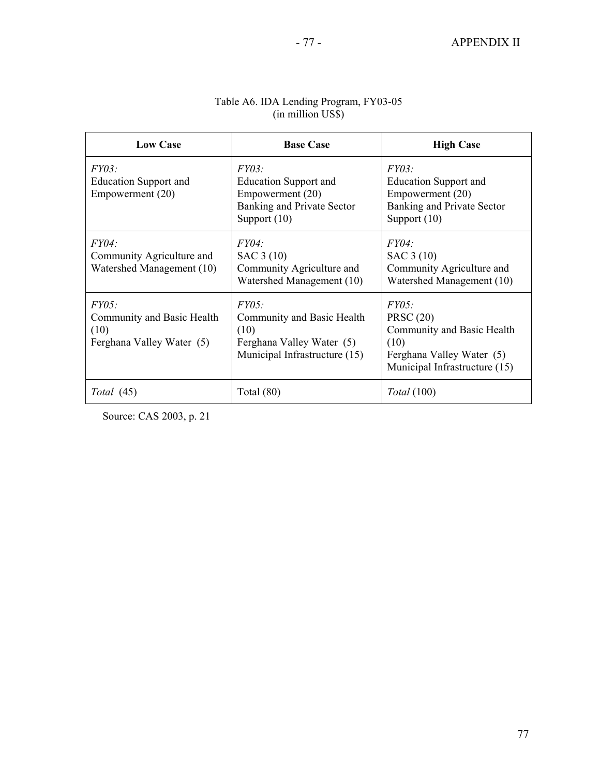| <b>Low Case</b>                                                          | <b>Base Case</b>                                                                                          | <b>High Case</b>                                                                                                              |
|--------------------------------------------------------------------------|-----------------------------------------------------------------------------------------------------------|-------------------------------------------------------------------------------------------------------------------------------|
| FY03:<br><b>Education Support and</b><br>Empowerment (20)                | FY03:<br><b>Education Support and</b><br>Empowerment (20)<br>Banking and Private Sector<br>Support $(10)$ | FY03:<br><b>Education Support and</b><br>Empowerment (20)<br>Banking and Private Sector<br>Support $(10)$                     |
| <i>FY04:</i><br>Community Agriculture and<br>Watershed Management (10)   | FY04:<br>SAC 3 (10)<br>Community Agriculture and<br>Watershed Management (10)                             | <i>FY04:</i><br>SAC 3 (10)<br>Community Agriculture and<br>Watershed Management (10)                                          |
| FY05:<br>Community and Basic Health<br>(10)<br>Ferghana Valley Water (5) | FY05:<br>Community and Basic Health<br>(10)<br>Ferghana Valley Water (5)<br>Municipal Infrastructure (15) | FY05:<br><b>PRSC</b> (20)<br>Community and Basic Health<br>(10)<br>Ferghana Valley Water (5)<br>Municipal Infrastructure (15) |
| Total (45)                                                               | Total $(80)$                                                                                              | <i>Total</i> (100)                                                                                                            |

#### Table A6. IDA Lending Program, FY03-05 (in million US\$)

Source: CAS 2003, p. 21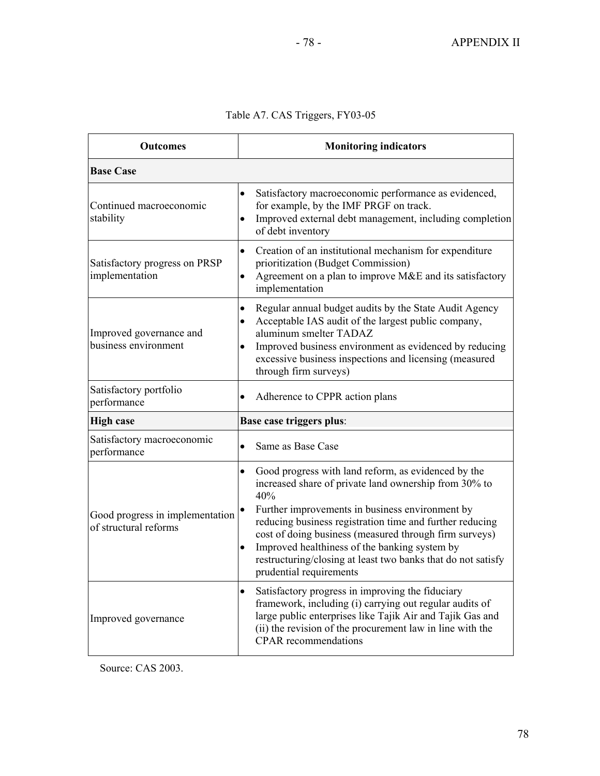# Table A7. CAS Triggers, FY03-05

| <b>Outcomes</b>                                          | <b>Monitoring indicators</b>                                                                                                                                                                                                                                                                                                                                                                                                                                       |  |  |  |  |  |
|----------------------------------------------------------|--------------------------------------------------------------------------------------------------------------------------------------------------------------------------------------------------------------------------------------------------------------------------------------------------------------------------------------------------------------------------------------------------------------------------------------------------------------------|--|--|--|--|--|
| <b>Base Case</b>                                         |                                                                                                                                                                                                                                                                                                                                                                                                                                                                    |  |  |  |  |  |
| Continued macroeconomic<br>stability                     | Satisfactory macroeconomic performance as evidenced,<br>$\bullet$<br>for example, by the IMF PRGF on track.<br>Improved external debt management, including completion<br>$\bullet$<br>of debt inventory                                                                                                                                                                                                                                                           |  |  |  |  |  |
| Satisfactory progress on PRSP<br>implementation          | Creation of an institutional mechanism for expenditure<br>$\bullet$<br>prioritization (Budget Commission)<br>Agreement on a plan to improve M&E and its satisfactory<br>$\bullet$<br>implementation                                                                                                                                                                                                                                                                |  |  |  |  |  |
| Improved governance and<br>business environment          | Regular annual budget audits by the State Audit Agency<br>$\bullet$<br>Acceptable IAS audit of the largest public company,<br>$\bullet$<br>aluminum smelter TADAZ<br>Improved business environment as evidenced by reducing<br>٠<br>excessive business inspections and licensing (measured<br>through firm surveys)                                                                                                                                                |  |  |  |  |  |
| Satisfactory portfolio<br>performance                    | Adherence to CPPR action plans<br>$\bullet$                                                                                                                                                                                                                                                                                                                                                                                                                        |  |  |  |  |  |
| <b>High case</b>                                         | Base case triggers plus:                                                                                                                                                                                                                                                                                                                                                                                                                                           |  |  |  |  |  |
| Satisfactory macroeconomic<br>performance                | Same as Base Case<br>$\bullet$                                                                                                                                                                                                                                                                                                                                                                                                                                     |  |  |  |  |  |
| Good progress in implementation<br>of structural reforms | Good progress with land reform, as evidenced by the<br>$\bullet$<br>increased share of private land ownership from 30% to<br>40%<br>Further improvements in business environment by<br>reducing business registration time and further reducing<br>cost of doing business (measured through firm surveys)<br>Improved healthiness of the banking system by<br>$\bullet$<br>restructuring/closing at least two banks that do not satisfy<br>prudential requirements |  |  |  |  |  |
| Improved governance                                      | Satisfactory progress in improving the fiduciary<br>$\bullet$<br>framework, including (i) carrying out regular audits of<br>large public enterprises like Tajik Air and Tajik Gas and<br>(ii) the revision of the procurement law in line with the<br><b>CPAR</b> recommendations                                                                                                                                                                                  |  |  |  |  |  |

Source: CAS 2003.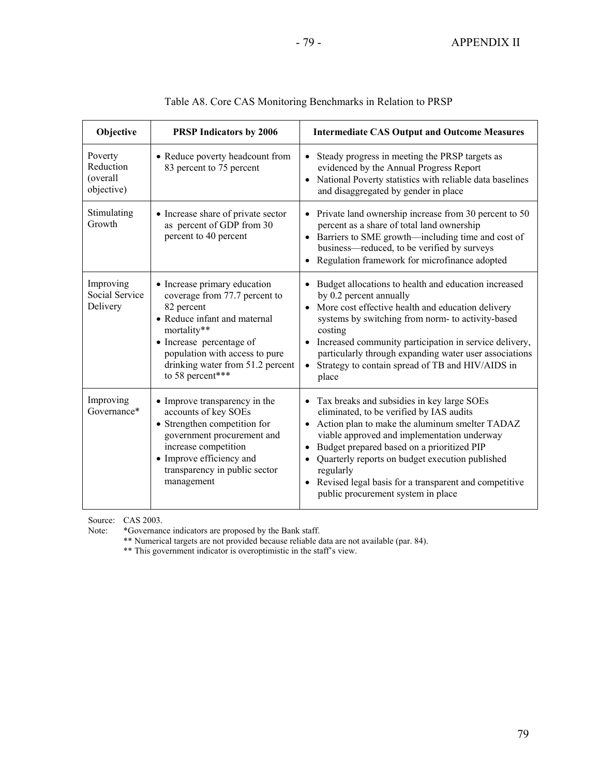٦

|              | e CAS Monitoring Benchmarks in Relation to PRSF            |
|--------------|------------------------------------------------------------|
| tors by 2006 | <b>Intermediate CAS Output and O</b>                       |
|              | headcount from $\bullet$ Steady progress in meeting the PR |

| Objective                                      | <b>PRSP Indicators by 2006</b>                                                                                                                                                                                                                   | <b>Intermediate CAS Output and Outcome Measures</b>                                                                                                                                                                                                                                                                                                                                                    |
|------------------------------------------------|--------------------------------------------------------------------------------------------------------------------------------------------------------------------------------------------------------------------------------------------------|--------------------------------------------------------------------------------------------------------------------------------------------------------------------------------------------------------------------------------------------------------------------------------------------------------------------------------------------------------------------------------------------------------|
| Poverty<br>Reduction<br>(overall<br>objective) | • Reduce poverty headcount from<br>83 percent to 75 percent                                                                                                                                                                                      | Steady progress in meeting the PRSP targets as<br>evidenced by the Annual Progress Report<br>National Poverty statistics with reliable data baselines<br>and disaggregated by gender in place                                                                                                                                                                                                          |
| Stimulating<br>Growth                          | • Increase share of private sector<br>as percent of GDP from 30<br>percent to 40 percent                                                                                                                                                         | Private land ownership increase from 30 percent to 50<br>percent as a share of total land ownership<br>• Barriers to SME growth—including time and cost of<br>business—reduced, to be verified by surveys<br>Regulation framework for microfinance adopted                                                                                                                                             |
| Improving<br>Social Service<br>Delivery        | • Increase primary education<br>coverage from 77.7 percent to<br>82 percent<br>• Reduce infant and maternal<br>mortality**<br>• Increase percentage of<br>population with access to pure<br>drinking water from 51.2 percent<br>to 58 percent*** | Budget allocations to health and education increased<br>by 0.2 percent annually<br>More cost effective health and education delivery<br>systems by switching from norm- to activity-based<br>costing<br>• Increased community participation in service delivery,<br>particularly through expanding water user associations<br>Strategy to contain spread of TB and HIV/AIDS in<br>place                |
| Improving<br>Governance*                       | • Improve transparency in the<br>accounts of key SOEs<br>• Strengthen competition for<br>government procurement and<br>increase competition<br>• Improve efficiency and<br>transparency in public sector<br>management                           | Tax breaks and subsidies in key large SOEs<br>eliminated, to be verified by IAS audits<br>• Action plan to make the aluminum smelter TADAZ<br>viable approved and implementation underway<br>Budget prepared based on a prioritized PIP<br>Quarterly reports on budget execution published<br>regularly<br>Revised legal basis for a transparent and competitive<br>public procurement system in place |

| Table A8. Core CAS Monitoring Benchmarks in Relation to PRSP |
|--------------------------------------------------------------|
|--------------------------------------------------------------|

Source: CAS 2003.<br>Note: \*Governance

Note: \*Governance indicators are proposed by the Bank staff.

\*\* Numerical targets are not provided because reliable data are not available (par. 84).

\*\* This government indicator is overoptimistic in the staff's view.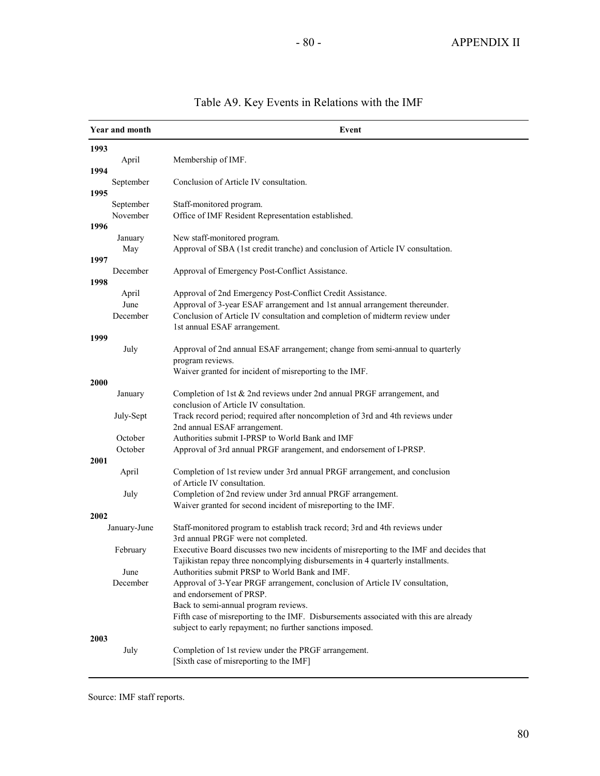| 1993<br>Membership of IMF.<br>April<br>1994<br>Conclusion of Article IV consultation.<br>September<br>1995<br>September<br>Staff-monitored program.<br>Office of IMF Resident Representation established.<br>November<br>1996<br>New staff-monitored program.<br>January<br>Approval of SBA (1st credit tranche) and conclusion of Article IV consultation.<br>May<br>1997<br>December<br>Approval of Emergency Post-Conflict Assistance.<br>1998<br>Approval of 2nd Emergency Post-Conflict Credit Assistance.<br>April<br>June<br>Approval of 3-year ESAF arrangement and 1st annual arrangement thereunder.<br>December<br>Conclusion of Article IV consultation and completion of midterm review under<br>1st annual ESAF arrangement.<br>1999<br>July<br>Approval of 2nd annual ESAF arrangement; change from semi-annual to quarterly<br>program reviews.<br>Waiver granted for incident of misreporting to the IMF.<br>2000<br>Completion of 1st & 2nd reviews under 2nd annual PRGF arrangement, and<br>January<br>conclusion of Article IV consultation.<br>July-Sept<br>Track record period; required after noncompletion of 3rd and 4th reviews under<br>2nd annual ESAF arrangement.<br>Authorities submit I-PRSP to World Bank and IMF<br>October<br>October<br>Approval of 3rd annual PRGF arangement, and endorsement of I-PRSP.<br>2001<br>Completion of 1st review under 3rd annual PRGF arrangement, and conclusion<br>April<br>of Article IV consultation.<br>July<br>Completion of 2nd review under 3rd annual PRGF arrangement.<br>Waiver granted for second incident of misreporting to the IMF.<br>2002<br>Staff-monitored program to establish track record; 3rd and 4th reviews under<br>January-June<br>3rd annual PRGF were not completed.<br>Executive Board discusses two new incidents of misreporting to the IMF and decides that<br>February<br>Tajikistan repay three noncomplying disbursements in 4 quarterly installments.<br>Authorities submit PRSP to World Bank and IMF.<br>June<br>December<br>Approval of 3-Year PRGF arrangement, conclusion of Article IV consultation,<br>and endorsement of PRSP.<br>Back to semi-annual program reviews. | Year and month | Event |
|-----------------------------------------------------------------------------------------------------------------------------------------------------------------------------------------------------------------------------------------------------------------------------------------------------------------------------------------------------------------------------------------------------------------------------------------------------------------------------------------------------------------------------------------------------------------------------------------------------------------------------------------------------------------------------------------------------------------------------------------------------------------------------------------------------------------------------------------------------------------------------------------------------------------------------------------------------------------------------------------------------------------------------------------------------------------------------------------------------------------------------------------------------------------------------------------------------------------------------------------------------------------------------------------------------------------------------------------------------------------------------------------------------------------------------------------------------------------------------------------------------------------------------------------------------------------------------------------------------------------------------------------------------------------------------------------------------------------------------------------------------------------------------------------------------------------------------------------------------------------------------------------------------------------------------------------------------------------------------------------------------------------------------------------------------------------------------------------------------------------------------------------------------------------------------------------|----------------|-------|
|                                                                                                                                                                                                                                                                                                                                                                                                                                                                                                                                                                                                                                                                                                                                                                                                                                                                                                                                                                                                                                                                                                                                                                                                                                                                                                                                                                                                                                                                                                                                                                                                                                                                                                                                                                                                                                                                                                                                                                                                                                                                                                                                                                                         |                |       |
|                                                                                                                                                                                                                                                                                                                                                                                                                                                                                                                                                                                                                                                                                                                                                                                                                                                                                                                                                                                                                                                                                                                                                                                                                                                                                                                                                                                                                                                                                                                                                                                                                                                                                                                                                                                                                                                                                                                                                                                                                                                                                                                                                                                         |                |       |
|                                                                                                                                                                                                                                                                                                                                                                                                                                                                                                                                                                                                                                                                                                                                                                                                                                                                                                                                                                                                                                                                                                                                                                                                                                                                                                                                                                                                                                                                                                                                                                                                                                                                                                                                                                                                                                                                                                                                                                                                                                                                                                                                                                                         |                |       |
|                                                                                                                                                                                                                                                                                                                                                                                                                                                                                                                                                                                                                                                                                                                                                                                                                                                                                                                                                                                                                                                                                                                                                                                                                                                                                                                                                                                                                                                                                                                                                                                                                                                                                                                                                                                                                                                                                                                                                                                                                                                                                                                                                                                         |                |       |
|                                                                                                                                                                                                                                                                                                                                                                                                                                                                                                                                                                                                                                                                                                                                                                                                                                                                                                                                                                                                                                                                                                                                                                                                                                                                                                                                                                                                                                                                                                                                                                                                                                                                                                                                                                                                                                                                                                                                                                                                                                                                                                                                                                                         |                |       |
|                                                                                                                                                                                                                                                                                                                                                                                                                                                                                                                                                                                                                                                                                                                                                                                                                                                                                                                                                                                                                                                                                                                                                                                                                                                                                                                                                                                                                                                                                                                                                                                                                                                                                                                                                                                                                                                                                                                                                                                                                                                                                                                                                                                         |                |       |
|                                                                                                                                                                                                                                                                                                                                                                                                                                                                                                                                                                                                                                                                                                                                                                                                                                                                                                                                                                                                                                                                                                                                                                                                                                                                                                                                                                                                                                                                                                                                                                                                                                                                                                                                                                                                                                                                                                                                                                                                                                                                                                                                                                                         |                |       |
|                                                                                                                                                                                                                                                                                                                                                                                                                                                                                                                                                                                                                                                                                                                                                                                                                                                                                                                                                                                                                                                                                                                                                                                                                                                                                                                                                                                                                                                                                                                                                                                                                                                                                                                                                                                                                                                                                                                                                                                                                                                                                                                                                                                         |                |       |
|                                                                                                                                                                                                                                                                                                                                                                                                                                                                                                                                                                                                                                                                                                                                                                                                                                                                                                                                                                                                                                                                                                                                                                                                                                                                                                                                                                                                                                                                                                                                                                                                                                                                                                                                                                                                                                                                                                                                                                                                                                                                                                                                                                                         |                |       |
|                                                                                                                                                                                                                                                                                                                                                                                                                                                                                                                                                                                                                                                                                                                                                                                                                                                                                                                                                                                                                                                                                                                                                                                                                                                                                                                                                                                                                                                                                                                                                                                                                                                                                                                                                                                                                                                                                                                                                                                                                                                                                                                                                                                         |                |       |
|                                                                                                                                                                                                                                                                                                                                                                                                                                                                                                                                                                                                                                                                                                                                                                                                                                                                                                                                                                                                                                                                                                                                                                                                                                                                                                                                                                                                                                                                                                                                                                                                                                                                                                                                                                                                                                                                                                                                                                                                                                                                                                                                                                                         |                |       |
|                                                                                                                                                                                                                                                                                                                                                                                                                                                                                                                                                                                                                                                                                                                                                                                                                                                                                                                                                                                                                                                                                                                                                                                                                                                                                                                                                                                                                                                                                                                                                                                                                                                                                                                                                                                                                                                                                                                                                                                                                                                                                                                                                                                         |                |       |
|                                                                                                                                                                                                                                                                                                                                                                                                                                                                                                                                                                                                                                                                                                                                                                                                                                                                                                                                                                                                                                                                                                                                                                                                                                                                                                                                                                                                                                                                                                                                                                                                                                                                                                                                                                                                                                                                                                                                                                                                                                                                                                                                                                                         |                |       |
|                                                                                                                                                                                                                                                                                                                                                                                                                                                                                                                                                                                                                                                                                                                                                                                                                                                                                                                                                                                                                                                                                                                                                                                                                                                                                                                                                                                                                                                                                                                                                                                                                                                                                                                                                                                                                                                                                                                                                                                                                                                                                                                                                                                         |                |       |
|                                                                                                                                                                                                                                                                                                                                                                                                                                                                                                                                                                                                                                                                                                                                                                                                                                                                                                                                                                                                                                                                                                                                                                                                                                                                                                                                                                                                                                                                                                                                                                                                                                                                                                                                                                                                                                                                                                                                                                                                                                                                                                                                                                                         |                |       |
|                                                                                                                                                                                                                                                                                                                                                                                                                                                                                                                                                                                                                                                                                                                                                                                                                                                                                                                                                                                                                                                                                                                                                                                                                                                                                                                                                                                                                                                                                                                                                                                                                                                                                                                                                                                                                                                                                                                                                                                                                                                                                                                                                                                         |                |       |
|                                                                                                                                                                                                                                                                                                                                                                                                                                                                                                                                                                                                                                                                                                                                                                                                                                                                                                                                                                                                                                                                                                                                                                                                                                                                                                                                                                                                                                                                                                                                                                                                                                                                                                                                                                                                                                                                                                                                                                                                                                                                                                                                                                                         |                |       |
|                                                                                                                                                                                                                                                                                                                                                                                                                                                                                                                                                                                                                                                                                                                                                                                                                                                                                                                                                                                                                                                                                                                                                                                                                                                                                                                                                                                                                                                                                                                                                                                                                                                                                                                                                                                                                                                                                                                                                                                                                                                                                                                                                                                         |                |       |
|                                                                                                                                                                                                                                                                                                                                                                                                                                                                                                                                                                                                                                                                                                                                                                                                                                                                                                                                                                                                                                                                                                                                                                                                                                                                                                                                                                                                                                                                                                                                                                                                                                                                                                                                                                                                                                                                                                                                                                                                                                                                                                                                                                                         |                |       |
|                                                                                                                                                                                                                                                                                                                                                                                                                                                                                                                                                                                                                                                                                                                                                                                                                                                                                                                                                                                                                                                                                                                                                                                                                                                                                                                                                                                                                                                                                                                                                                                                                                                                                                                                                                                                                                                                                                                                                                                                                                                                                                                                                                                         |                |       |
|                                                                                                                                                                                                                                                                                                                                                                                                                                                                                                                                                                                                                                                                                                                                                                                                                                                                                                                                                                                                                                                                                                                                                                                                                                                                                                                                                                                                                                                                                                                                                                                                                                                                                                                                                                                                                                                                                                                                                                                                                                                                                                                                                                                         |                |       |
|                                                                                                                                                                                                                                                                                                                                                                                                                                                                                                                                                                                                                                                                                                                                                                                                                                                                                                                                                                                                                                                                                                                                                                                                                                                                                                                                                                                                                                                                                                                                                                                                                                                                                                                                                                                                                                                                                                                                                                                                                                                                                                                                                                                         |                |       |
|                                                                                                                                                                                                                                                                                                                                                                                                                                                                                                                                                                                                                                                                                                                                                                                                                                                                                                                                                                                                                                                                                                                                                                                                                                                                                                                                                                                                                                                                                                                                                                                                                                                                                                                                                                                                                                                                                                                                                                                                                                                                                                                                                                                         |                |       |
|                                                                                                                                                                                                                                                                                                                                                                                                                                                                                                                                                                                                                                                                                                                                                                                                                                                                                                                                                                                                                                                                                                                                                                                                                                                                                                                                                                                                                                                                                                                                                                                                                                                                                                                                                                                                                                                                                                                                                                                                                                                                                                                                                                                         |                |       |
|                                                                                                                                                                                                                                                                                                                                                                                                                                                                                                                                                                                                                                                                                                                                                                                                                                                                                                                                                                                                                                                                                                                                                                                                                                                                                                                                                                                                                                                                                                                                                                                                                                                                                                                                                                                                                                                                                                                                                                                                                                                                                                                                                                                         |                |       |
|                                                                                                                                                                                                                                                                                                                                                                                                                                                                                                                                                                                                                                                                                                                                                                                                                                                                                                                                                                                                                                                                                                                                                                                                                                                                                                                                                                                                                                                                                                                                                                                                                                                                                                                                                                                                                                                                                                                                                                                                                                                                                                                                                                                         |                |       |
|                                                                                                                                                                                                                                                                                                                                                                                                                                                                                                                                                                                                                                                                                                                                                                                                                                                                                                                                                                                                                                                                                                                                                                                                                                                                                                                                                                                                                                                                                                                                                                                                                                                                                                                                                                                                                                                                                                                                                                                                                                                                                                                                                                                         |                |       |
|                                                                                                                                                                                                                                                                                                                                                                                                                                                                                                                                                                                                                                                                                                                                                                                                                                                                                                                                                                                                                                                                                                                                                                                                                                                                                                                                                                                                                                                                                                                                                                                                                                                                                                                                                                                                                                                                                                                                                                                                                                                                                                                                                                                         |                |       |
|                                                                                                                                                                                                                                                                                                                                                                                                                                                                                                                                                                                                                                                                                                                                                                                                                                                                                                                                                                                                                                                                                                                                                                                                                                                                                                                                                                                                                                                                                                                                                                                                                                                                                                                                                                                                                                                                                                                                                                                                                                                                                                                                                                                         |                |       |
|                                                                                                                                                                                                                                                                                                                                                                                                                                                                                                                                                                                                                                                                                                                                                                                                                                                                                                                                                                                                                                                                                                                                                                                                                                                                                                                                                                                                                                                                                                                                                                                                                                                                                                                                                                                                                                                                                                                                                                                                                                                                                                                                                                                         |                |       |
|                                                                                                                                                                                                                                                                                                                                                                                                                                                                                                                                                                                                                                                                                                                                                                                                                                                                                                                                                                                                                                                                                                                                                                                                                                                                                                                                                                                                                                                                                                                                                                                                                                                                                                                                                                                                                                                                                                                                                                                                                                                                                                                                                                                         |                |       |
|                                                                                                                                                                                                                                                                                                                                                                                                                                                                                                                                                                                                                                                                                                                                                                                                                                                                                                                                                                                                                                                                                                                                                                                                                                                                                                                                                                                                                                                                                                                                                                                                                                                                                                                                                                                                                                                                                                                                                                                                                                                                                                                                                                                         |                |       |
|                                                                                                                                                                                                                                                                                                                                                                                                                                                                                                                                                                                                                                                                                                                                                                                                                                                                                                                                                                                                                                                                                                                                                                                                                                                                                                                                                                                                                                                                                                                                                                                                                                                                                                                                                                                                                                                                                                                                                                                                                                                                                                                                                                                         |                |       |
|                                                                                                                                                                                                                                                                                                                                                                                                                                                                                                                                                                                                                                                                                                                                                                                                                                                                                                                                                                                                                                                                                                                                                                                                                                                                                                                                                                                                                                                                                                                                                                                                                                                                                                                                                                                                                                                                                                                                                                                                                                                                                                                                                                                         |                |       |
|                                                                                                                                                                                                                                                                                                                                                                                                                                                                                                                                                                                                                                                                                                                                                                                                                                                                                                                                                                                                                                                                                                                                                                                                                                                                                                                                                                                                                                                                                                                                                                                                                                                                                                                                                                                                                                                                                                                                                                                                                                                                                                                                                                                         |                |       |
|                                                                                                                                                                                                                                                                                                                                                                                                                                                                                                                                                                                                                                                                                                                                                                                                                                                                                                                                                                                                                                                                                                                                                                                                                                                                                                                                                                                                                                                                                                                                                                                                                                                                                                                                                                                                                                                                                                                                                                                                                                                                                                                                                                                         |                |       |
| Fifth case of misreporting to the IMF. Disbursements associated with this are already                                                                                                                                                                                                                                                                                                                                                                                                                                                                                                                                                                                                                                                                                                                                                                                                                                                                                                                                                                                                                                                                                                                                                                                                                                                                                                                                                                                                                                                                                                                                                                                                                                                                                                                                                                                                                                                                                                                                                                                                                                                                                                   |                |       |
| subject to early repayment; no further sanctions imposed.                                                                                                                                                                                                                                                                                                                                                                                                                                                                                                                                                                                                                                                                                                                                                                                                                                                                                                                                                                                                                                                                                                                                                                                                                                                                                                                                                                                                                                                                                                                                                                                                                                                                                                                                                                                                                                                                                                                                                                                                                                                                                                                               |                |       |
| 2003                                                                                                                                                                                                                                                                                                                                                                                                                                                                                                                                                                                                                                                                                                                                                                                                                                                                                                                                                                                                                                                                                                                                                                                                                                                                                                                                                                                                                                                                                                                                                                                                                                                                                                                                                                                                                                                                                                                                                                                                                                                                                                                                                                                    |                |       |
| Completion of 1st review under the PRGF arrangement.<br>July                                                                                                                                                                                                                                                                                                                                                                                                                                                                                                                                                                                                                                                                                                                                                                                                                                                                                                                                                                                                                                                                                                                                                                                                                                                                                                                                                                                                                                                                                                                                                                                                                                                                                                                                                                                                                                                                                                                                                                                                                                                                                                                            |                |       |
| [Sixth case of misreporting to the IMF]                                                                                                                                                                                                                                                                                                                                                                                                                                                                                                                                                                                                                                                                                                                                                                                                                                                                                                                                                                                                                                                                                                                                                                                                                                                                                                                                                                                                                                                                                                                                                                                                                                                                                                                                                                                                                                                                                                                                                                                                                                                                                                                                                 |                |       |

# Table A9. Key Events in Relations with the IMF

Source: IMF staff reports.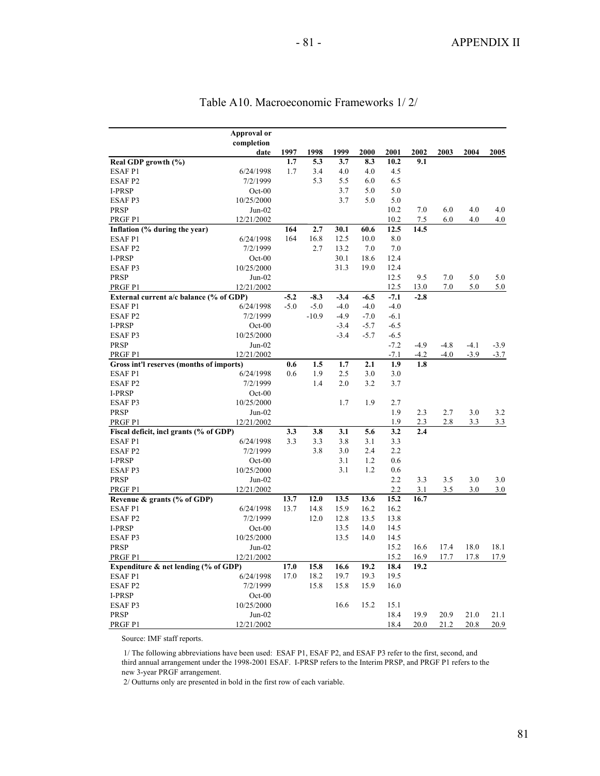|                                          | Approval or |        |         |        |        |        |        |        |        |        |
|------------------------------------------|-------------|--------|---------|--------|--------|--------|--------|--------|--------|--------|
|                                          | completion  |        |         |        |        |        |        |        |        |        |
|                                          | date        | 1997   | 1998    | 1999   | 2000   | 2001   | 2002   | 2003   | 2004   | 2005   |
| Real GDP growth (%)                      |             | 1.7    | 5.3     | 3.7    | 8.3    | 10.2   | 9.1    |        |        |        |
| <b>ESAFP1</b>                            | 6/24/1998   | 1.7    | 3.4     | 4.0    | 4.0    | 4.5    |        |        |        |        |
| ESAF <sub>P2</sub>                       | 7/2/1999    |        | 5.3     | 5.5    | 6.0    | 6.5    |        |        |        |        |
| <b>I-PRSP</b>                            | $Oct-00$    |        |         | 3.7    | 5.0    | 5.0    |        |        |        |        |
| ESAF <sub>P3</sub>                       | 10/25/2000  |        |         | 3.7    | 5.0    | 5.0    |        |        |        |        |
| <b>PRSP</b>                              | $Jun-02$    |        |         |        |        | 10.2   | 7.0    | 6.0    | 4.0    | 4.0    |
| PRGF P1                                  | 12/21/2002  |        |         |        |        | 10.2   | 7.5    | 6.0    | 4.0    | 4.0    |
| Inflation (% during the year)            |             | 164    | 2.7     | 30.1   | 60.6   | 12.5   | 14.5   |        |        |        |
| <b>ESAFP1</b>                            | 6/24/1998   | 164    | 16.8    | 12.5   | 10.0   | 8.0    |        |        |        |        |
| ESAF <sub>P2</sub>                       | 7/2/1999    |        | 2.7     | 13.2   | 7.0    | 7.0    |        |        |        |        |
| I-PRSP                                   | $Oct-00$    |        |         | 30.1   | 18.6   | 12.4   |        |        |        |        |
| ESAF P3                                  | 10/25/2000  |        |         | 31.3   | 19.0   | 12.4   |        |        |        |        |
| <b>PRSP</b>                              | $Jun-02$    |        |         |        |        | 12.5   | 9.5    | 7.0    | 5.0    | 5.0    |
| PRGF P1                                  | 12/21/2002  |        |         |        |        | 12.5   | 13.0   | 7.0    | 5.0    | 5.0    |
| External current a/c balance (% of GDP)  |             | $-5.2$ | $-8.3$  | $-3.4$ | $-6.5$ | $-7.1$ | $-2.8$ |        |        |        |
| <b>ESAFP1</b>                            | 6/24/1998   | $-5.0$ | $-5.0$  | $-4.0$ | $-4.0$ | $-4.0$ |        |        |        |        |
| <b>ESAFP2</b>                            | 7/2/1999    |        | $-10.9$ | $-4.9$ | $-7.0$ | $-6.1$ |        |        |        |        |
| I-PRSP                                   | $Oct-00$    |        |         | $-3.4$ | $-5.7$ | $-6.5$ |        |        |        |        |
| <b>ESAFP3</b>                            | 10/25/2000  |        |         | $-3.4$ | $-5.7$ | $-6.5$ |        |        |        |        |
| <b>PRSP</b>                              | $Jun-02$    |        |         |        |        | $-7.2$ | $-4.9$ | $-4.8$ | $-4.1$ | $-3.9$ |
| PRGF P1                                  | 12/21/2002  |        |         |        |        | $-7.1$ | $-4.2$ | $-4.0$ | $-3.9$ | $-3.7$ |
| Gross int'l reserves (months of imports) |             | 0.6    | 1.5     | 1.7    | 2.1    | 1.9    | 1.8    |        |        |        |
| <b>ESAFP1</b>                            | 6/24/1998   | 0.6    | 1.9     | 2.5    | 3.0    | 3.0    |        |        |        |        |
| <b>ESAFP2</b>                            | 7/2/1999    |        | 1.4     | 2.0    | 3.2    | 3.7    |        |        |        |        |
| I-PRSP                                   | $Oct-00$    |        |         |        |        |        |        |        |        |        |
| <b>ESAFP3</b>                            | 10/25/2000  |        |         | 1.7    | 1.9    | 2.7    |        |        |        |        |
| <b>PRSP</b>                              | $Jun-02$    |        |         |        |        | 1.9    | 2.3    | 2.7    | 3.0    | 3.2    |
| PRGF P1                                  | 12/21/2002  |        |         |        |        | 1.9    | 2.3    | 2.8    | 3.3    | 3.3    |
| Fiscal deficit, incl grants (% of GDP)   |             | 3.3    | 3.8     | 3.1    | 5.6    | 3.2    | 2.4    |        |        |        |
| <b>ESAFP1</b>                            | 6/24/1998   | 3.3    | 3.3     | 3.8    | 3.1    | 3.3    |        |        |        |        |
| ESAF <sub>P2</sub>                       | 7/2/1999    |        | 3.8     | 3.0    | 2.4    | 2.2    |        |        |        |        |
| I-PRSP                                   | $Oct-00$    |        |         | 3.1    | 1.2    | 0.6    |        |        |        |        |
| <b>ESAFP3</b>                            | 10/25/2000  |        |         | 3.1    | 1.2    | 0.6    |        |        |        |        |
| <b>PRSP</b>                              | Jun-02      |        |         |        |        | 2.2    | 3.3    | 3.5    | 3.0    | 3.0    |
| PRGF P1                                  | 12/21/2002  |        |         |        |        | 2.2    | 3.1    | 3.5    | 3.0    | 3.0    |
| Revenue & grants (% of GDP)              |             | 13.7   | 12.0    | 13.5   | 13.6   | 15.2   | 16.7   |        |        |        |
| <b>ESAFP1</b>                            | 6/24/1998   | 13.7   | 14.8    | 15.9   | 16.2   | 16.2   |        |        |        |        |
| ESAF <sub>P2</sub>                       | 7/2/1999    |        | 12.0    | 12.8   | 13.5   | 13.8   |        |        |        |        |
| I-PRSP                                   | $Oct-00$    |        |         | 13.5   | 14.0   | 14.5   |        |        |        |        |
| <b>ESAFP3</b>                            | 10/25/2000  |        |         | 13.5   | 14.0   | 14.5   |        |        |        |        |
| <b>PRSP</b>                              | $Jun-02$    |        |         |        |        | 15.2   | 16.6   | 17.4   | 18.0   | 18.1   |
| PRGF P1                                  | 12/21/2002  |        |         |        |        | 15.2   | 16.9   | 17.7   | 17.8   | 17.9   |
| Expenditure & net lending (% of GDP)     |             | 17.0   | 15.8    | 16.6   | 19.2   | 18.4   | 19.2   |        |        |        |
| <b>ESAFP1</b>                            | 6/24/1998   | 17.0   | 18.2    | 19.7   | 19.3   | 19.5   |        |        |        |        |
| ESAF <sub>P2</sub>                       | 7/2/1999    |        | 15.8    | 15.8   | 15.9   | 16.0   |        |        |        |        |
| I-PRSP                                   | $Oct-00$    |        |         |        |        |        |        |        |        |        |
| ESAF <sub>P3</sub>                       | 10/25/2000  |        |         | 16.6   | 15.2   | 15.1   |        |        |        |        |
| <b>PRSP</b>                              | $Jun-02$    |        |         |        |        | 18.4   | 19.9   | 20.9   | 21.0   | 21.1   |
| PRGF P1                                  | 12/21/2002  |        |         |        |        | 18.4   | 20.0   | 21.2   | 20.8   | 20.9   |

# Table A10. Macroeconomic Frameworks 1/ 2/

Source: IMF staff reports.

 1/ The following abbreviations have been used: ESAF P1, ESAF P2, and ESAF P3 refer to the first, second, and third annual arrangement under the 1998-2001 ESAF. I-PRSP refers to the Interim PRSP, and PRGF P1 refers to the new 3-year PRGF arrangement.

2/ Outturns only are presented in bold in the first row of each variable.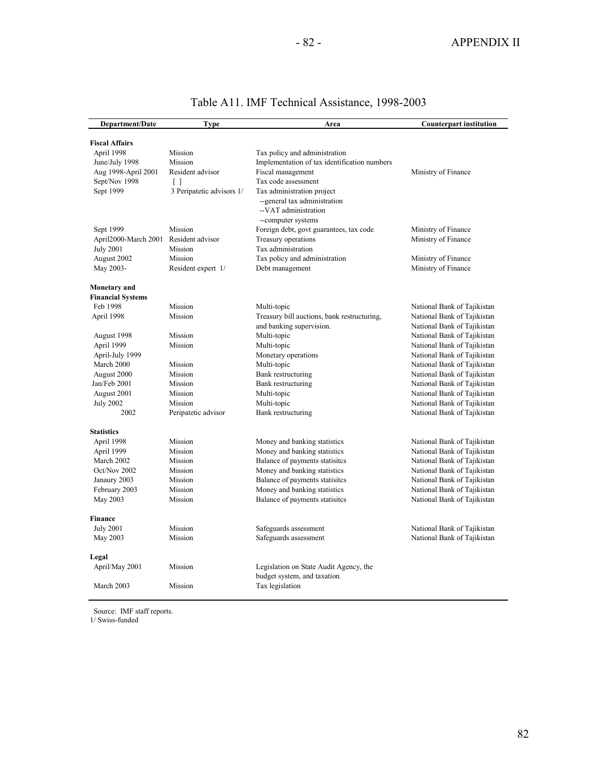| Department/Date          | <b>Type</b>               | Area                                         | <b>Counterpart institution</b> |
|--------------------------|---------------------------|----------------------------------------------|--------------------------------|
|                          |                           |                                              |                                |
| <b>Fiscal Affairs</b>    |                           |                                              |                                |
| April 1998               | Mission                   | Tax policy and administration                |                                |
| June/July 1998           | Mission                   | Implementation of tax identification numbers |                                |
| Aug 1998-April 2001      | Resident advisor          | Fiscal management                            | Ministry of Finance            |
| Sept/Nov 1998            | $\Box$                    | Tax code assessment                          |                                |
| Sept 1999                | 3 Peripatetic advisors 1/ | Tax administration project                   |                                |
|                          |                           | --general tax administration                 |                                |
|                          |                           | --VAT administration                         |                                |
|                          |                           | --computer systems                           |                                |
| Sept 1999                | Mission                   | Foreign debt, govt guarantees, tax code      | Ministry of Finance            |
| April2000-March 2001     | Resident advisor          | Treasury operations                          | Ministry of Finance            |
| July 2001                | Mission                   | Tax administration                           |                                |
| August 2002              | Mission                   | Tax policy and administration                | Ministry of Finance            |
| May 2003-                | Resident expert 1/        | Debt management                              | Ministry of Finance            |
| <b>Monetary</b> and      |                           |                                              |                                |
| <b>Financial Systems</b> |                           |                                              |                                |
| Feb 1998                 | Mission                   | Multi-topic                                  | National Bank of Tajikistan    |
| April 1998               | Mission                   | Treasury bill auctions, bank restructuring,  | National Bank of Tajikistan    |
|                          |                           | and banking supervision.                     | National Bank of Tajikistan    |
| August 1998              | Mission                   | Multi-topic                                  | National Bank of Tajikistan    |
| April 1999               | Mission                   | Multi-topic                                  | National Bank of Tajikistan    |
| April-July 1999          |                           | Monetary operations                          | National Bank of Tajikistan    |
| March 2000               | Mission                   | Multi-topic                                  | National Bank of Tajikistan    |
| August 2000              | Mission                   | Bank restructuring                           | National Bank of Tajikistan    |
| Jan/Feb 2001             | Mission                   | Bank restructuring                           | National Bank of Tajikistan    |
| August 2001              | Mission                   | Multi-topic                                  | National Bank of Tajikistan    |
| <b>July 2002</b>         | Mission                   | Multi-topic                                  | National Bank of Tajikistan    |
| 2002                     | Peripatetic advisor       | Bank restructuring                           | National Bank of Tajikistan    |
|                          |                           |                                              |                                |
| <b>Statistics</b>        |                           |                                              |                                |
| April 1998               | Mission                   | Money and banking statistics                 | National Bank of Tajikistan    |
| April 1999               | Mission                   | Money and banking statistics                 | National Bank of Tajikistan    |
| March 2002               | Mission                   | Balance of payments statisites               | National Bank of Tajikistan    |
| Oct/Nov 2002             | Mission                   | Money and banking statistics                 | National Bank of Tajikistan    |
| Janaury 2003             | Mission                   | Balance of payments statisites               | National Bank of Tajikistan    |
| February 2003            | Mission                   | Money and banking statistics                 | National Bank of Tajikistan    |
| May 2003                 | Mission                   | Balance of payments statisites               | National Bank of Tajikistan    |
| <b>Finance</b>           |                           |                                              |                                |
| <b>July 2001</b>         | Mission                   | Safeguards assessment                        | National Bank of Tajikistan    |
| May 2003                 | Mission                   | Safeguards assessment                        | National Bank of Tajikistan    |
|                          |                           |                                              |                                |
| Legal                    |                           |                                              |                                |
| April/May 2001           | Mission                   | Legislation on State Audit Agency, the       |                                |
|                          |                           | budget system, and taxation.                 |                                |
| March 2003               | Mission                   | Tax legislation                              |                                |

# Table A11. IMF Technical Assistance, 1998-2003

Source: IMF staff reports.

1/ Swiss-funded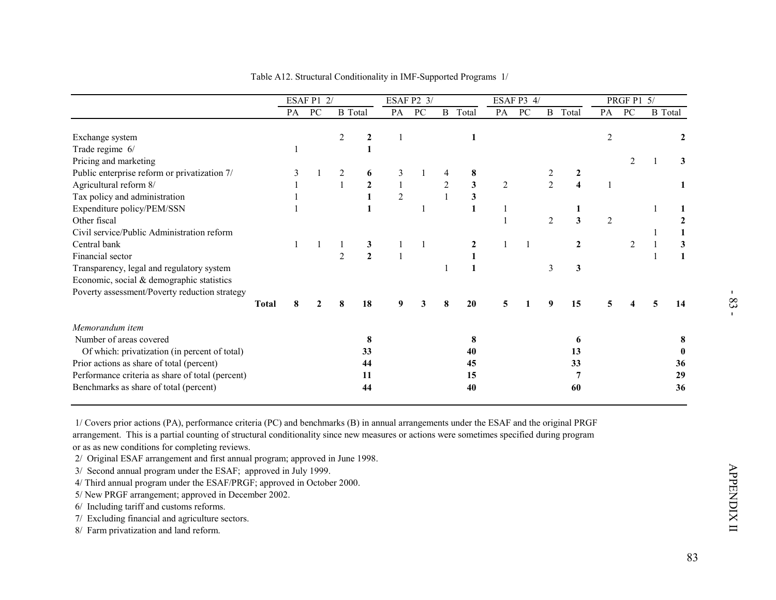|                                                  |              |              | <b>ESAF P1 2/</b> |                |                  |                | ESAF P2 3/      |                |                  |                | ESAF P3 4/   |                |                         |            | PRGF P1 5/      |   |                  |
|--------------------------------------------------|--------------|--------------|-------------------|----------------|------------------|----------------|-----------------|----------------|------------------|----------------|--------------|----------------|-------------------------|------------|-----------------|---|------------------|
|                                                  |              | PA           | $\overline{PC}$   | <b>B</b> Total |                  | PA             | $\overline{PC}$ |                | <b>B</b> Total   | PA             | PC           |                | <b>B</b> Total          | PA         | $\overline{PC}$ |   | <b>B</b> Total   |
| Exchange system                                  |              |              |                   | $\overline{2}$ | $\boldsymbol{2}$ | $\mathbf{1}$   |                 |                | $\mathbf{1}$     |                |              |                |                         | $\sqrt{2}$ |                 |   | $\boldsymbol{2}$ |
| Trade regime 6/                                  |              | $\mathbf{1}$ |                   |                | $\mathbf{1}$     |                |                 |                |                  |                |              |                |                         |            |                 |   |                  |
| Pricing and marketing                            |              |              |                   |                |                  |                |                 |                |                  |                |              |                |                         |            | 2               | 1 | 3                |
| Public enterprise reform or privatization 7/     |              | 3            |                   | 2              | 6                | 3              | 1               | 4              | 8                |                |              | $\overline{2}$ | $\boldsymbol{2}$        |            |                 |   |                  |
| Agricultural reform 8/                           |              | $\mathbf{1}$ |                   | $\mathbf{1}$   | $\boldsymbol{2}$ | $\mathbf{1}$   |                 | $\overline{2}$ | 3                | $\overline{2}$ |              | $\overline{2}$ | $\overline{\mathbf{4}}$ | 1          |                 |   | 1                |
| Tax policy and administration                    |              | 1            |                   |                | $\mathbf{1}$     | $\overline{2}$ |                 | $\mathbf{1}$   | 3                |                |              |                |                         |            |                 |   |                  |
| Expenditure policy/PEM/SSN                       |              | $\mathbf{1}$ |                   |                | 1                |                | $\mathbf{1}$    |                | $\mathbf{1}$     | $\mathbf{1}$   |              |                | 1                       |            |                 | 1 | 1                |
| Other fiscal                                     |              |              |                   |                |                  |                |                 |                |                  | $\mathbf{1}$   |              | $\overline{2}$ | $\overline{\mathbf{3}}$ | $\sqrt{2}$ |                 |   | $\mathbf 2$      |
| Civil service/Public Administration reform       |              |              |                   |                |                  |                |                 |                |                  |                |              |                |                         |            |                 | 1 | $\mathbf{1}$     |
| Central bank                                     |              | $\mathbf{1}$ | $\mathbf{1}$      | 1              | 3                | 1              | $\mathbf{1}$    |                | $\boldsymbol{2}$ |                | $\mathbf{1}$ |                | $\boldsymbol{2}$        |            | $\overline{2}$  | 1 | $\mathbf{3}$     |
| Financial sector                                 |              |              |                   | $\overline{2}$ | $\overline{2}$   | $\mathbf{1}$   |                 |                | 1                |                |              |                |                         |            |                 | 1 | $\mathbf{1}$     |
| Transparency, legal and regulatory system        |              |              |                   |                |                  |                |                 | 1              | $\mathbf{1}$     |                |              | 3              | 3                       |            |                 |   |                  |
| Economic, social & demographic statistics        |              |              |                   |                |                  |                |                 |                |                  |                |              |                |                         |            |                 |   |                  |
| Poverty assessment/Poverty reduction strategy    |              |              |                   |                |                  |                |                 |                |                  |                |              |                |                         |            |                 |   |                  |
|                                                  | <b>Total</b> | 8            |                   |                | 18               | 9              | 3               | 8              | 20               | 5              | 1            | 9              | 15                      | 5          |                 | 5 | 14               |
| Memorandum item                                  |              |              |                   |                |                  |                |                 |                |                  |                |              |                |                         |            |                 |   |                  |
| Number of areas covered                          |              |              |                   |                | 8                |                |                 |                | 8                |                |              |                | 6                       |            |                 |   | 8                |
| Of which: privatization (in percent of total)    |              |              |                   |                | 33               |                |                 |                | 40               |                |              |                | 13                      |            |                 |   | $\bf{0}$         |
| Prior actions as share of total (percent)        |              |              |                   |                | 44               |                |                 |                | 45               |                |              |                | 33                      |            |                 |   | 36               |
| Performance criteria as share of total (percent) |              |              |                   |                | 11               |                |                 |                | 15               |                |              |                | 7                       |            |                 |   | 29               |
| Benchmarks as share of total (percent)           |              |              |                   |                | 44               |                |                 |                | 40               |                |              |                | 60                      |            |                 |   | 36               |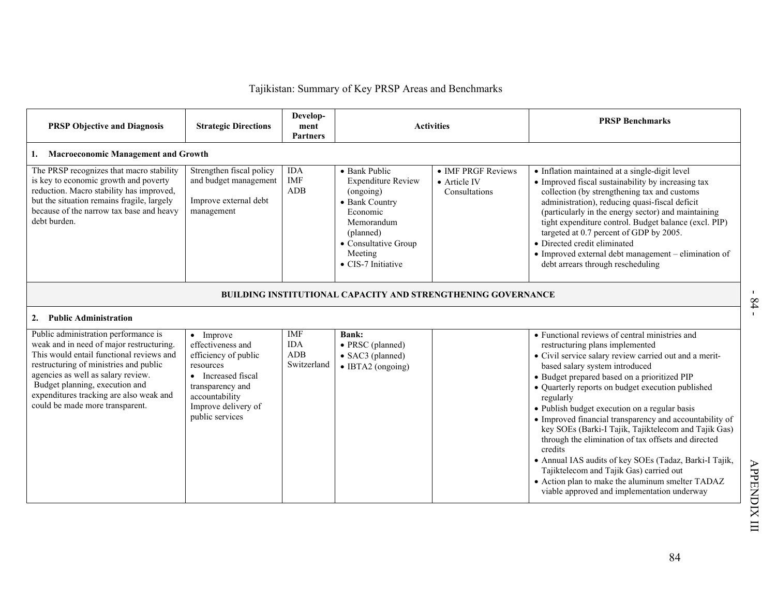|                                                                                                                                                                                                                                                                                                                              |                                                                                                                                                                                   |                                         | Tajikistan: Summary of Key PRSP Areas and Benchmarks                                                                                                                      |                                                     |                                                                                                                                                                                                                                                                                                                                                                                                                                                                                                                                                                                                                                                                                                                                               |
|------------------------------------------------------------------------------------------------------------------------------------------------------------------------------------------------------------------------------------------------------------------------------------------------------------------------------|-----------------------------------------------------------------------------------------------------------------------------------------------------------------------------------|-----------------------------------------|---------------------------------------------------------------------------------------------------------------------------------------------------------------------------|-----------------------------------------------------|-----------------------------------------------------------------------------------------------------------------------------------------------------------------------------------------------------------------------------------------------------------------------------------------------------------------------------------------------------------------------------------------------------------------------------------------------------------------------------------------------------------------------------------------------------------------------------------------------------------------------------------------------------------------------------------------------------------------------------------------------|
| <b>PRSP Objective and Diagnosis</b>                                                                                                                                                                                                                                                                                          | <b>Strategic Directions</b>                                                                                                                                                       | Develop-<br>ment<br><b>Partners</b>     |                                                                                                                                                                           | <b>Activities</b>                                   | <b>PRSP Benchmarks</b>                                                                                                                                                                                                                                                                                                                                                                                                                                                                                                                                                                                                                                                                                                                        |
| 1. Macroeconomic Management and Growth                                                                                                                                                                                                                                                                                       |                                                                                                                                                                                   |                                         |                                                                                                                                                                           |                                                     |                                                                                                                                                                                                                                                                                                                                                                                                                                                                                                                                                                                                                                                                                                                                               |
| The PRSP recognizes that macro stability<br>is key to economic growth and poverty<br>reduction. Macro stability has improved,<br>but the situation remains fragile, largely<br>because of the narrow tax base and heavy<br>debt burden.                                                                                      | Strengthen fiscal policy<br>and budget management<br>Improve external debt<br>management                                                                                          | <b>IDA</b><br><b>IMF</b><br>ADB         | • Bank Public<br><b>Expenditure Review</b><br>(ongoing)<br>• Bank Country<br>Economic<br>Memorandum<br>(planned)<br>• Consultative Group<br>Meeting<br>• CIS-7 Initiative | • IMF PRGF Reviews<br>• Article IV<br>Consultations | • Inflation maintained at a single-digit level<br>• Improved fiscal sustainability by increasing tax<br>collection (by strengthening tax and customs<br>administration), reducing quasi-fiscal deficit<br>(particularly in the energy sector) and maintaining<br>tight expenditure control. Budget balance (excl. PIP)<br>targeted at 0.7 percent of GDP by 2005.<br>· Directed credit eliminated<br>• Improved external debt management - elimination of<br>debt arrears through rescheduling                                                                                                                                                                                                                                                |
|                                                                                                                                                                                                                                                                                                                              |                                                                                                                                                                                   |                                         | <b>BUILDING INSTITUTIONAL CAPACITY AND STRENGTHENING GOVERNANCE</b>                                                                                                       |                                                     |                                                                                                                                                                                                                                                                                                                                                                                                                                                                                                                                                                                                                                                                                                                                               |
| 2. Public Administration                                                                                                                                                                                                                                                                                                     |                                                                                                                                                                                   |                                         |                                                                                                                                                                           |                                                     |                                                                                                                                                                                                                                                                                                                                                                                                                                                                                                                                                                                                                                                                                                                                               |
| Public administration performance is<br>weak and in need of major restructuring.<br>This would entail functional reviews and<br>restructuring of ministries and public<br>agencies as well as salary review.<br>Budget planning, execution and<br>expenditures tracking are also weak and<br>could be made more transparent. | $\bullet$ Improve<br>effectiveness and<br>efficiency of public<br>resources<br>• Increased fiscal<br>transparency and<br>accountability<br>Improve delivery of<br>public services | IMF<br><b>IDA</b><br>ADB<br>Switzerland | <b>Bank:</b><br>• PRSC (planned)<br>• SAC3 (planned)<br>• IBTA2 (ongoing)                                                                                                 |                                                     | • Functional reviews of central ministries and<br>restructuring plans implemented<br>• Civil service salary review carried out and a merit-<br>based salary system introduced<br>• Budget prepared based on a prioritized PIP<br>• Quarterly reports on budget execution published<br>regularly<br>• Publish budget execution on a regular basis<br>• Improved financial transparency and accountability of<br>key SOEs (Barki-I Tajik, Tajiktelecom and Tajik Gas)<br>through the elimination of tax offsets and directed<br>credits<br>• Annual IAS audits of key SOEs (Tadaz, Barki-I Tajik,<br>Tajiktelecom and Tajik Gas) carried out<br>• Action plan to make the aluminum smelter TADAZ<br>viable approved and implementation underway |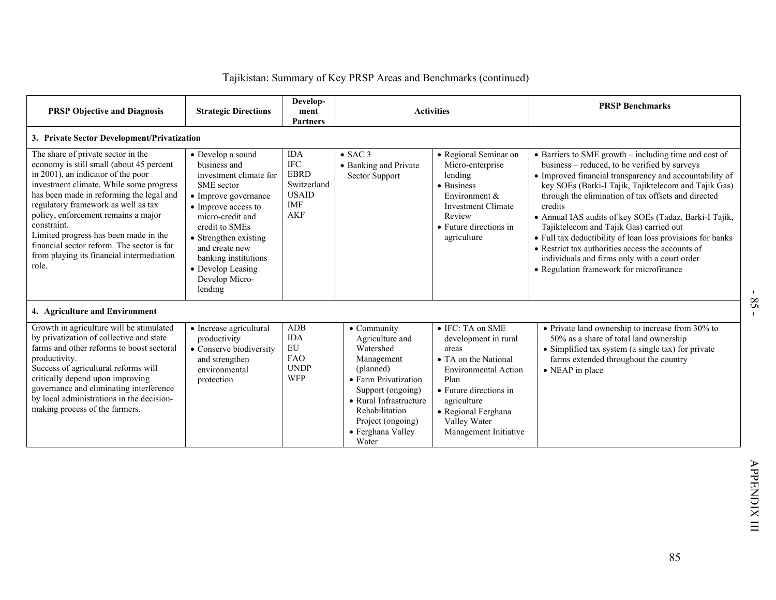| <b>PRSP Objective and Diagnosis</b>                                                                                                                                                                                                                                                                                                                                                                                                                   | <b>Strategic Directions</b>                                                                                                                                                                                                                                                         | Develop-<br>ment<br><b>Partners</b>                                                         |                                                                                                                                                                                                                            | <b>Activities</b>                                                                                                                                                                                                         | <b>PRSP Benchmarks</b>                                                                                                                                                                                                                                                                                                                                                                                                                                                                                                                                                                                          |
|-------------------------------------------------------------------------------------------------------------------------------------------------------------------------------------------------------------------------------------------------------------------------------------------------------------------------------------------------------------------------------------------------------------------------------------------------------|-------------------------------------------------------------------------------------------------------------------------------------------------------------------------------------------------------------------------------------------------------------------------------------|---------------------------------------------------------------------------------------------|----------------------------------------------------------------------------------------------------------------------------------------------------------------------------------------------------------------------------|---------------------------------------------------------------------------------------------------------------------------------------------------------------------------------------------------------------------------|-----------------------------------------------------------------------------------------------------------------------------------------------------------------------------------------------------------------------------------------------------------------------------------------------------------------------------------------------------------------------------------------------------------------------------------------------------------------------------------------------------------------------------------------------------------------------------------------------------------------|
| 3. Private Sector Development/Privatization                                                                                                                                                                                                                                                                                                                                                                                                           |                                                                                                                                                                                                                                                                                     |                                                                                             |                                                                                                                                                                                                                            |                                                                                                                                                                                                                           |                                                                                                                                                                                                                                                                                                                                                                                                                                                                                                                                                                                                                 |
| The share of private sector in the<br>economy is still small (about 45 percent<br>in 2001), an indicator of the poor<br>investment climate. While some progress<br>has been made in reforming the legal and<br>regulatory framework as well as tax<br>policy, enforcement remains a major<br>constraint.<br>Limited progress has been made in the<br>financial sector reform. The sector is far<br>from playing its financial intermediation<br>role. | • Develop a sound<br>business and<br>investment climate for<br>SME sector<br>• Improve governance<br>• Improve access to<br>micro-credit and<br>credit to SMEs<br>• Strengthen existing<br>and create new<br>banking institutions<br>• Develop Leasing<br>Develop Micro-<br>lending | <b>IDA</b><br><b>IFC</b><br><b>EBRD</b><br>Switzerland<br><b>USAID</b><br>IMF<br><b>AKF</b> | $\bullet$ SAC 3<br>• Banking and Private<br>Sector Support                                                                                                                                                                 | • Regional Seminar on<br>Micro-enterprise<br>lending<br>• Business<br>Environment &<br><b>Investment Climate</b><br>Review<br>• Future directions in<br>agriculture                                                       | • Barriers to SME growth – including time and cost of<br>business – reduced, to be verified by surveys<br>• Improved financial transparency and accountability of<br>key SOEs (Barki-I Tajik, Tajiktelecom and Tajik Gas)<br>through the elimination of tax offsets and directed<br>credits<br>• Annual IAS audits of key SOEs (Tadaz, Barki-I Tajik,<br>Tajiktelecom and Tajik Gas) carried out<br>• Full tax deductibility of loan loss provisions for banks<br>• Restrict tax authorities access the accounts of<br>individuals and firms only with a court order<br>• Regulation framework for microfinance |
| 4. Agriculture and Environment                                                                                                                                                                                                                                                                                                                                                                                                                        |                                                                                                                                                                                                                                                                                     |                                                                                             |                                                                                                                                                                                                                            |                                                                                                                                                                                                                           |                                                                                                                                                                                                                                                                                                                                                                                                                                                                                                                                                                                                                 |
| Growth in agriculture will be stimulated<br>by privatization of collective and state<br>farms and other reforms to boost sectoral<br>productivity.<br>Success of agricultural reforms will<br>critically depend upon improving<br>governance and eliminating interference<br>by local administrations in the decision-<br>making process of the farmers.                                                                                              | • Increase agricultural<br>productivity<br>• Conserve biodiversity<br>and strengthen<br>environmental<br>protection                                                                                                                                                                 | <b>ADB</b><br><b>IDA</b><br>EU<br><b>FAO</b><br><b>UNDP</b><br><b>WFP</b>                   | $\bullet$ Community<br>Agriculture and<br>Watershed<br>Management<br>(planned)<br>• Farm Privatization<br>Support (ongoing)<br>• Rural Infrastructure<br>Rehabilitation<br>Project (ongoing)<br>• Ferghana Valley<br>Water | • IFC: TA on SME<br>development in rural<br>areas<br>• TA on the National<br><b>Environmental Action</b><br>Plan<br>• Future directions in<br>agriculture<br>· Regional Ferghana<br>Valley Water<br>Management Initiative | $\bullet$ Private land ownership to increase from 30% to<br>50% as a share of total land ownership<br>• Simplified tax system (a single tax) for private<br>farms extended throughout the country<br>$\bullet$ NEAP in place                                                                                                                                                                                                                                                                                                                                                                                    |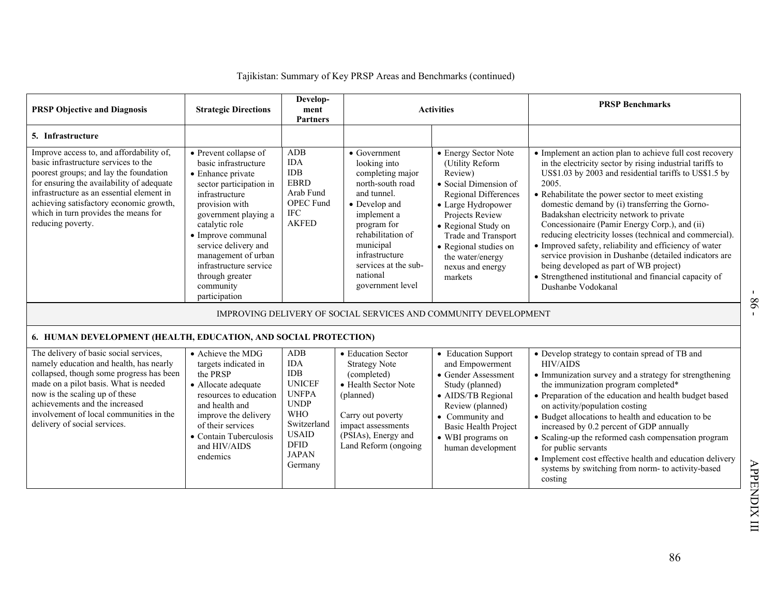| <b>PRSP Objective and Diagnosis</b>                                                                                                                                                                                                                                                                                          | <b>Strategic Directions</b>                                                                                                                                                                                                                                                                                                         | Develop-<br>ment<br><b>Partners</b>                                                                                                                                           |                                                                                                                                                                                                                                                        | <b>Activities</b>                                                                                                                                                                                                                                                             | <b>PRSP Benchmarks</b>                                                                                                                                                                                                                                                                                                                                                                                                                                                                                                                                                                                                                                                                               |
|------------------------------------------------------------------------------------------------------------------------------------------------------------------------------------------------------------------------------------------------------------------------------------------------------------------------------|-------------------------------------------------------------------------------------------------------------------------------------------------------------------------------------------------------------------------------------------------------------------------------------------------------------------------------------|-------------------------------------------------------------------------------------------------------------------------------------------------------------------------------|--------------------------------------------------------------------------------------------------------------------------------------------------------------------------------------------------------------------------------------------------------|-------------------------------------------------------------------------------------------------------------------------------------------------------------------------------------------------------------------------------------------------------------------------------|------------------------------------------------------------------------------------------------------------------------------------------------------------------------------------------------------------------------------------------------------------------------------------------------------------------------------------------------------------------------------------------------------------------------------------------------------------------------------------------------------------------------------------------------------------------------------------------------------------------------------------------------------------------------------------------------------|
| 5. Infrastructure                                                                                                                                                                                                                                                                                                            |                                                                                                                                                                                                                                                                                                                                     |                                                                                                                                                                               |                                                                                                                                                                                                                                                        |                                                                                                                                                                                                                                                                               |                                                                                                                                                                                                                                                                                                                                                                                                                                                                                                                                                                                                                                                                                                      |
| Improve access to, and affordability of,<br>basic infrastructure services to the<br>poorest groups; and lay the foundation<br>for ensuring the availability of adequate<br>infrastructure as an essential element in<br>achieving satisfactory economic growth,<br>which in turn provides the means for<br>reducing poverty. | $\bullet$ Prevent collapse of<br>basic infrastructure<br>• Enhance private<br>sector participation in<br>infrastructure<br>provision with<br>government playing a<br>catalytic role<br>• Improve communal<br>service delivery and<br>management of urban<br>infrastructure service<br>through greater<br>community<br>participation | <b>ADB</b><br><b>IDA</b><br><b>IDB</b><br><b>EBRD</b><br>Arab Fund<br><b>OPEC Fund</b><br>IFC<br><b>AKFED</b>                                                                 | $\bullet$ Government<br>looking into<br>completing major<br>north-south road<br>and tunnel.<br>• Develop and<br>implement a<br>program for<br>rehabilitation of<br>municipal<br>infrastructure<br>services at the sub-<br>national<br>government level | • Energy Sector Note<br>(Utility Reform<br>Review)<br>• Social Dimension of<br><b>Regional Differences</b><br>• Large Hydropower<br>Projects Review<br>• Regional Study on<br>Trade and Transport<br>• Regional studies on<br>the water/energy<br>nexus and energy<br>markets | • Implement an action plan to achieve full cost recovery<br>in the electricity sector by rising industrial tariffs to<br>US\$1.03 by 2003 and residential tariffs to US\$1.5 by<br>2005.<br>• Rehabilitate the power sector to meet existing<br>domestic demand by (i) transferring the Gorno-<br>Badakshan electricity network to private<br>Concessionaire (Pamir Energy Corp.), and (ii)<br>reducing electricity losses (technical and commercial).<br>• Improved safety, reliability and efficiency of water<br>service provision in Dushanbe (detailed indicators are<br>being developed as part of WB project)<br>• Strengthened institutional and financial capacity of<br>Dushanbe Vodokanal |
|                                                                                                                                                                                                                                                                                                                              |                                                                                                                                                                                                                                                                                                                                     |                                                                                                                                                                               |                                                                                                                                                                                                                                                        | IMPROVING DELIVERY OF SOCIAL SERVICES AND COMMUNITY DEVELOPMENT                                                                                                                                                                                                               |                                                                                                                                                                                                                                                                                                                                                                                                                                                                                                                                                                                                                                                                                                      |
| 6. HUMAN DEVELOPMENT (HEALTH, EDUCATION, AND SOCIAL PROTECTION)                                                                                                                                                                                                                                                              |                                                                                                                                                                                                                                                                                                                                     |                                                                                                                                                                               |                                                                                                                                                                                                                                                        |                                                                                                                                                                                                                                                                               |                                                                                                                                                                                                                                                                                                                                                                                                                                                                                                                                                                                                                                                                                                      |
| The delivery of basic social services,<br>namely education and health, has nearly<br>collapsed, though some progress has been<br>made on a pilot basis. What is needed<br>now is the scaling up of these<br>achievements and the increased<br>involvement of local communities in the<br>delivery of social services.        | • Achieve the MDG<br>targets indicated in<br>the PRSP<br>• Allocate adequate<br>resources to education<br>and health and<br>improve the delivery<br>of their services<br>• Contain Tuberculosis<br>and HIV/AIDS<br>endemics                                                                                                         | <b>ADB</b><br><b>IDA</b><br><b>IDB</b><br><b>UNICEF</b><br><b>UNFPA</b><br><b>UNDP</b><br><b>WHO</b><br>Switzerland<br><b>USAID</b><br><b>DFID</b><br><b>JAPAN</b><br>Germany | • Education Sector<br><b>Strategy Note</b><br>(completed)<br>• Health Sector Note<br>(planned)<br>Carry out poverty<br>impact assessments<br>(PSIAs), Energy and<br>Land Reform (ongoing                                                               | • Education Support<br>and Empowerment<br>• Gender Assessment<br>Study (planned)<br>• AIDS/TB Regional<br>Review (planned)<br>• Community and<br><b>Basic Health Project</b><br>• WBI programs on<br>human development                                                        | • Develop strategy to contain spread of TB and<br><b>HIV/AIDS</b><br>• Immunization survey and a strategy for strengthening<br>the immunization program completed*<br>• Preparation of the education and health budget based<br>on activity/population costing<br>• Budget allocations to health and education to be<br>increased by 0.2 percent of GDP annually<br>• Scaling-up the reformed cash compensation program<br>for public servants<br>• Implement cost effective health and education delivery<br>systems by switching from norm- to activity-based<br>costing                                                                                                                           |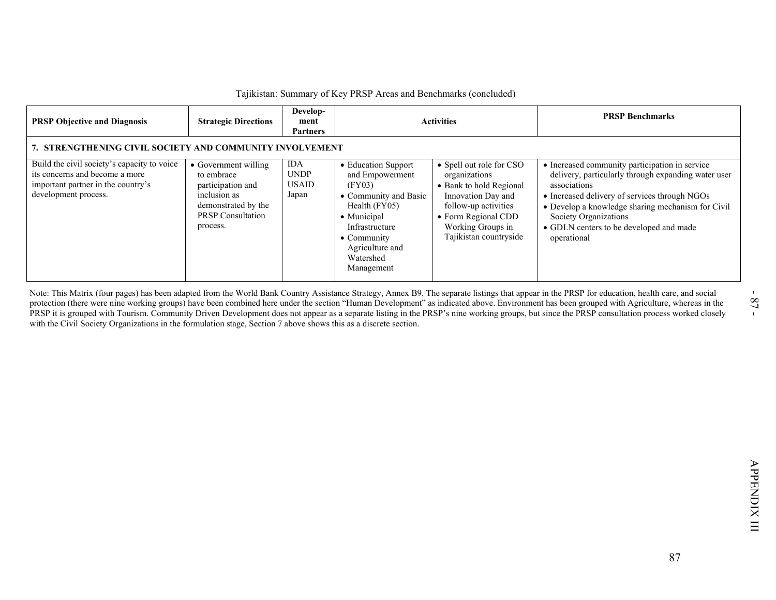| 7. STRENGTHENING CIVIL SOCIETY AND COMMUNITY INVOLVEMENT<br><b>IDA</b><br>• Education Support<br>• Spell out role for CSO<br>• Increased community participation in service<br>• Government willing<br><b>UNDP</b><br>its concerns and become a more<br>to embrace<br>and Empowerment<br>organizations<br><b>USAID</b><br>(FY03)<br>participation and<br>• Bank to hold Regional<br>associations<br>inclusion as<br>Japan<br>• Community and Basic<br>Innovation Day and<br>• Increased delivery of services through NGOs<br>demonstrated by the<br>Health (FY05)<br>follow-up activities<br><b>PRSP</b> Consultation<br>• Municipal<br>• Form Regional CDD<br>Society Organizations<br>process.<br>Working Groups in<br>Infrastructure<br>• GDLN centers to be developed and made<br>Tajikistan countryside<br>$\bullet$ Community<br>operational<br>Agriculture and<br>Watershed<br>Management | <b>PRSP Objective and Diagnosis</b>                                                                       | <b>Strategic Directions</b> | Develop-<br>ment<br><b>Partners</b> | <b>Activities</b> | <b>PRSP Benchmarks</b>                                                                                   |
|--------------------------------------------------------------------------------------------------------------------------------------------------------------------------------------------------------------------------------------------------------------------------------------------------------------------------------------------------------------------------------------------------------------------------------------------------------------------------------------------------------------------------------------------------------------------------------------------------------------------------------------------------------------------------------------------------------------------------------------------------------------------------------------------------------------------------------------------------------------------------------------------------|-----------------------------------------------------------------------------------------------------------|-----------------------------|-------------------------------------|-------------------|----------------------------------------------------------------------------------------------------------|
| Note: This Matrix (four pages) has been adapted from the World Bank Country Assistance Strategy, Annex B9. The separate listings that appear in the PRSP for education, health care, and social<br>protection (there were nine working groups) have been combined here under the section "Human Development" as indicated above. Environment has been grouped with Agriculture, whereas in the<br>PRSP it is grouped with Tourism. Community Driven Development does not appear as a separate listing in the PRSP's nine working groups, but since the PRSP consultation process worked closely<br>with the Civil Society Organizations in the formulation stage, Section 7 above shows this as a discrete section.                                                                                                                                                                              | Build the civil society's capacity to voice<br>important partner in the country's<br>development process. |                             |                                     |                   | delivery, particularly through expanding water user<br>• Develop a knowledge sharing mechanism for Civil |
|                                                                                                                                                                                                                                                                                                                                                                                                                                                                                                                                                                                                                                                                                                                                                                                                                                                                                                  |                                                                                                           |                             |                                     |                   |                                                                                                          |
|                                                                                                                                                                                                                                                                                                                                                                                                                                                                                                                                                                                                                                                                                                                                                                                                                                                                                                  |                                                                                                           |                             |                                     |                   |                                                                                                          |
|                                                                                                                                                                                                                                                                                                                                                                                                                                                                                                                                                                                                                                                                                                                                                                                                                                                                                                  |                                                                                                           |                             |                                     |                   |                                                                                                          |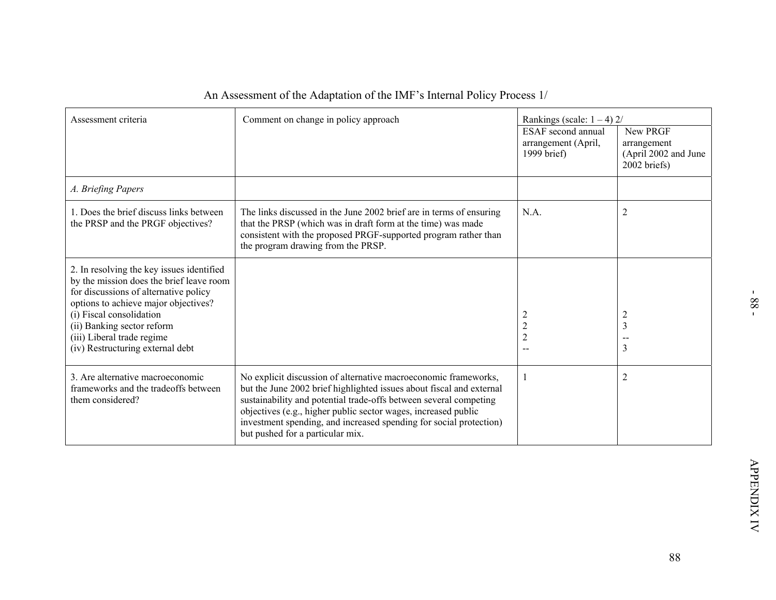| Assessment criteria                                                                                                                                                                                                                                                                                | Comment on change in policy approach                                                                                                                                                                                                                                                                                                                                                     | Rankings (scale: $1 - 4$ ) 2/                             |                                                                       |
|----------------------------------------------------------------------------------------------------------------------------------------------------------------------------------------------------------------------------------------------------------------------------------------------------|------------------------------------------------------------------------------------------------------------------------------------------------------------------------------------------------------------------------------------------------------------------------------------------------------------------------------------------------------------------------------------------|-----------------------------------------------------------|-----------------------------------------------------------------------|
|                                                                                                                                                                                                                                                                                                    |                                                                                                                                                                                                                                                                                                                                                                                          | ESAF second annual<br>arrangement (April,<br>1999 brief)  | New PRGF<br>arrangement<br>(April 2002 and June<br>2002 briefs)       |
| A. Briefing Papers                                                                                                                                                                                                                                                                                 |                                                                                                                                                                                                                                                                                                                                                                                          |                                                           |                                                                       |
| 1. Does the brief discuss links between<br>the PRSP and the PRGF objectives?                                                                                                                                                                                                                       | The links discussed in the June 2002 brief are in terms of ensuring<br>that the PRSP (which was in draft form at the time) was made<br>consistent with the proposed PRGF-supported program rather than<br>the program drawing from the PRSP.                                                                                                                                             | N.A.                                                      | $\overline{2}$                                                        |
| 2. In resolving the key issues identified<br>by the mission does the brief leave room<br>for discussions of alternative policy<br>options to achieve major objectives?<br>(i) Fiscal consolidation<br>(ii) Banking sector reform<br>(iii) Liberal trade regime<br>(iv) Restructuring external debt |                                                                                                                                                                                                                                                                                                                                                                                          | 2<br>$\sqrt{2}$<br>$\sqrt{2}$<br>$\overline{\phantom{a}}$ | $\overline{2}$<br>$\overline{\mathbf{3}}$<br>$\sim$<br>$\overline{3}$ |
| 3. Are alternative macroeconomic<br>frameworks and the tradeoffs between<br>them considered?                                                                                                                                                                                                       | No explicit discussion of alternative macroeconomic frameworks,<br>but the June 2002 brief highlighted issues about fiscal and external<br>sustainability and potential trade-offs between several competing<br>objectives (e.g., higher public sector wages, increased public<br>investment spending, and increased spending for social protection)<br>but pushed for a particular mix. | 1                                                         | $\overline{2}$                                                        |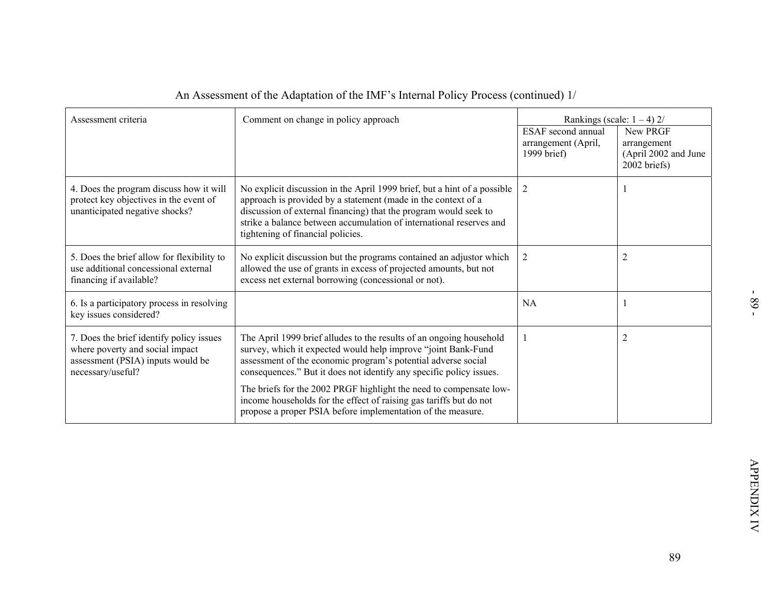| Assessment criteria                                                                                                                   | Comment on change in policy approach                                                                                                                                                                                                                                                                                      | Rankings (scale: $1 - 4$ ) 2/<br><b>ESAF</b> second annual | New PRGF                                            |
|---------------------------------------------------------------------------------------------------------------------------------------|---------------------------------------------------------------------------------------------------------------------------------------------------------------------------------------------------------------------------------------------------------------------------------------------------------------------------|------------------------------------------------------------|-----------------------------------------------------|
|                                                                                                                                       |                                                                                                                                                                                                                                                                                                                           | arrangement (April,<br>1999 brief)                         | arrangement<br>(April 2002 and June<br>2002 briefs) |
| 4. Does the program discuss how it will<br>protect key objectives in the event of<br>unanticipated negative shocks?                   | No explicit discussion in the April 1999 brief, but a hint of a possible<br>approach is provided by a statement (made in the context of a<br>discussion of external financing) that the program would seek to<br>strike a balance between accumulation of international reserves and<br>tightening of financial policies. | $\overline{2}$                                             | 1                                                   |
| 5. Does the brief allow for flexibility to<br>use additional concessional external<br>financing if available?                         | No explicit discussion but the programs contained an adjustor which<br>allowed the use of grants in excess of projected amounts, but not<br>excess net external borrowing (concessional or not).                                                                                                                          | $\overline{2}$                                             | $\overline{2}$                                      |
| 6. Is a participatory process in resolving<br>key issues considered?                                                                  |                                                                                                                                                                                                                                                                                                                           | <b>NA</b>                                                  | $\mathbf{1}$                                        |
| 7. Does the brief identify policy issues<br>where poverty and social impact<br>assessment (PSIA) inputs would be<br>necessary/useful? | The April 1999 brief alludes to the results of an ongoing household<br>survey, which it expected would help improve "joint Bank-Fund<br>assessment of the economic program's potential adverse social<br>consequences." But it does not identify any specific policy issues.                                              | 1                                                          | $\overline{2}$                                      |
|                                                                                                                                       | The briefs for the 2002 PRGF highlight the need to compensate low-<br>income households for the effect of raising gas tariffs but do not<br>propose a proper PSIA before implementation of the measure.                                                                                                                   |                                                            |                                                     |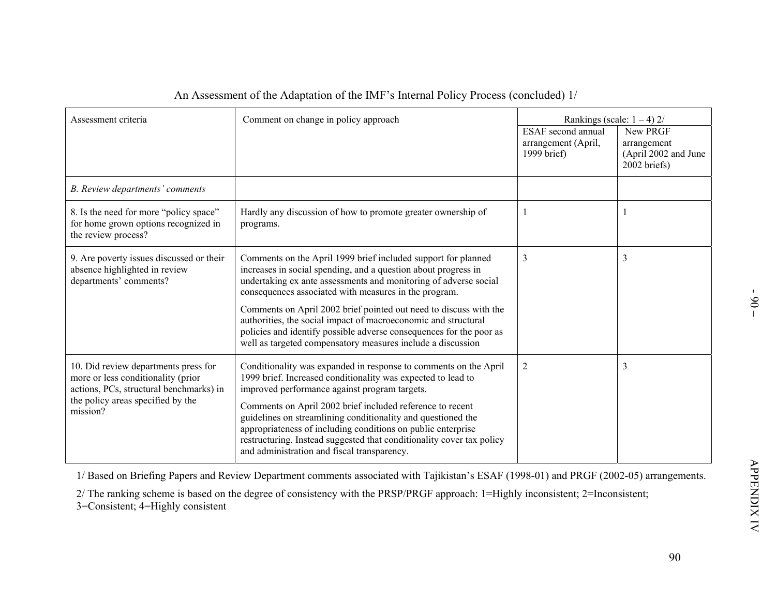|                                                                                                                       | An Assessment of the Adaptation of the IMF's Internal Policy Process (concluded) 1/                                                                                                                                                                                                                               |                                                                 |                                                                                                  |
|-----------------------------------------------------------------------------------------------------------------------|-------------------------------------------------------------------------------------------------------------------------------------------------------------------------------------------------------------------------------------------------------------------------------------------------------------------|-----------------------------------------------------------------|--------------------------------------------------------------------------------------------------|
| Assessment criteria                                                                                                   | Comment on change in policy approach                                                                                                                                                                                                                                                                              | <b>ESAF</b> second annual<br>arrangement (April,<br>1999 brief) | Rankings (scale: $1 - 4$ ) 2/<br>New PRGF<br>arrangement<br>(April 2002 and June<br>2002 briefs) |
| B. Review departments' comments                                                                                       |                                                                                                                                                                                                                                                                                                                   |                                                                 |                                                                                                  |
| 8. Is the need for more "policy space"<br>for home grown options recognized in<br>the review process?                 | Hardly any discussion of how to promote greater ownership of<br>programs.                                                                                                                                                                                                                                         |                                                                 | 1                                                                                                |
| 9. Are poverty issues discussed or their<br>absence highlighted in review<br>departments' comments?                   | Comments on the April 1999 brief included support for planned<br>increases in social spending, and a question about progress in<br>undertaking ex ante assessments and monitoring of adverse social<br>consequences associated with measures in the program.                                                      | 3                                                               | $\mathfrak{Z}$                                                                                   |
|                                                                                                                       | Comments on April 2002 brief pointed out need to discuss with the<br>authorities, the social impact of macroeconomic and structural<br>policies and identify possible adverse consequences for the poor as<br>well as targeted compensatory measures include a discussion                                         |                                                                 |                                                                                                  |
| 10. Did review departments press for<br>more or less conditionality (prior<br>actions, PCs, structural benchmarks) in | Conditionality was expanded in response to comments on the April<br>1999 brief. Increased conditionality was expected to lead to<br>improved performance against program targets.                                                                                                                                 | $\overline{2}$                                                  | $\mathfrak{Z}$                                                                                   |
| the policy areas specified by the<br>mission?                                                                         | Comments on April 2002 brief included reference to recent<br>guidelines on streamlining conditionality and questioned the<br>appropriateness of including conditions on public enterprise<br>restructuring. Instead suggested that conditionality cover tax policy<br>and administration and fiscal transparency. |                                                                 |                                                                                                  |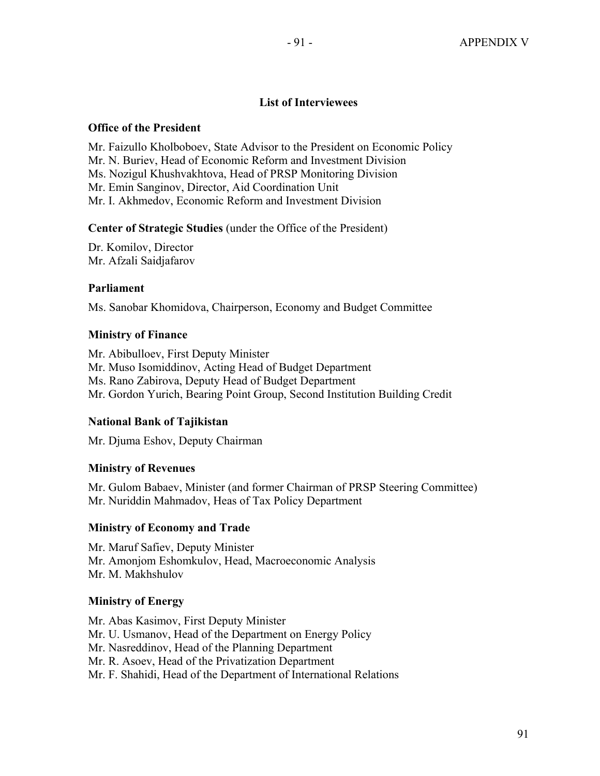# **List of Interviewees**

### **Office of the President**

Mr. Faizullo Kholboboev, State Advisor to the President on Economic Policy Mr. N. Buriev, Head of Economic Reform and Investment Division Ms. Nozigul Khushvakhtova, Head of PRSP Monitoring Division Mr. Emin Sanginov, Director, Aid Coordination Unit Mr. I. Akhmedov, Economic Reform and Investment Division

## **Center of Strategic Studies** (under the Office of the President)

Dr. Komilov, Director Mr. Afzali Saidjafarov

## **Parliament**

Ms. Sanobar Khomidova, Chairperson, Economy and Budget Committee

## **Ministry of Finance**

Mr. Abibulloev, First Deputy Minister Mr. Muso Isomiddinov, Acting Head of Budget Department Ms. Rano Zabirova, Deputy Head of Budget Department Mr. Gordon Yurich, Bearing Point Group, Second Institution Building Credit

# **National Bank of Tajikistan**

Mr. Djuma Eshov, Deputy Chairman

# **Ministry of Revenues**

Mr. Gulom Babaev, Minister (and former Chairman of PRSP Steering Committee) Mr. Nuriddin Mahmadov, Heas of Tax Policy Department

# **Ministry of Economy and Trade**

Mr. Maruf Safiev, Deputy Minister Mr. Amonjom Eshomkulov, Head, Macroeconomic Analysis Mr. M. Makhshulov

# **Ministry of Energy**

Mr. Abas Kasimov, First Deputy Minister Mr. U. Usmanov, Head of the Department on Energy Policy Mr. Nasreddinov, Head of the Planning Department Mr. R. Asoev, Head of the Privatization Department Mr. F. Shahidi, Head of the Department of International Relations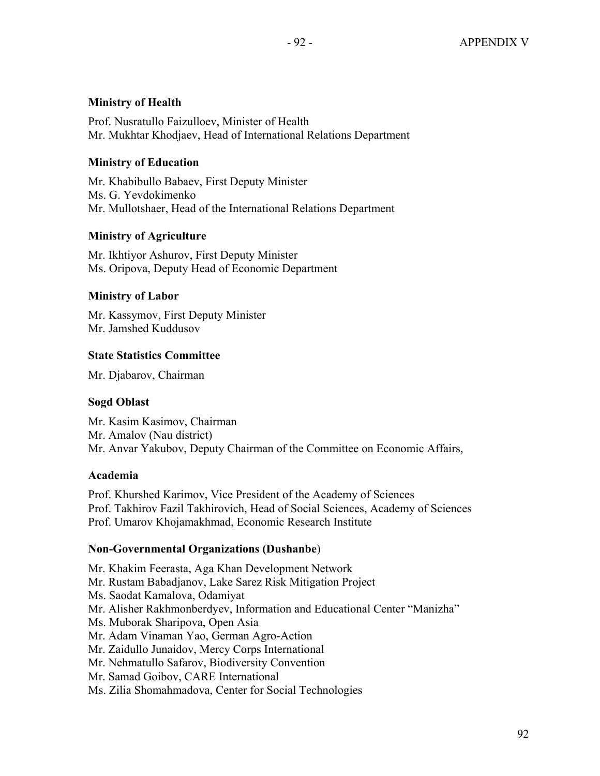## **Ministry of Health**

Prof. Nusratullo Faizulloev, Minister of Health Mr. Mukhtar Khodjaev, Head of International Relations Department

### **Ministry of Education**

Mr. Khabibullo Babaev, First Deputy Minister Ms. G. Yevdokimenko Mr. Mullotshaer, Head of the International Relations Department

## **Ministry of Agriculture**

Mr. Ikhtiyor Ashurov, First Deputy Minister Ms. Oripova, Deputy Head of Economic Department

## **Ministry of Labor**

Mr. Kassymov, First Deputy Minister Mr. Jamshed Kuddusov

## **State Statistics Committee**

Mr. Djabarov, Chairman

### **Sogd Oblast**

Mr. Kasim Kasimov, Chairman Mr. Amalov (Nau district) Mr. Anvar Yakubov, Deputy Chairman of the Committee on Economic Affairs,

### **Academia**

Prof. Khurshed Karimov, Vice President of the Academy of Sciences Prof. Takhirov Fazil Takhirovich, Head of Social Sciences, Academy of Sciences Prof. Umarov Khojamakhmad, Economic Research Institute

### **Non-Governmental Organizations (Dushanbe**)

Mr. Khakim Feerasta, Aga Khan Development Network Mr. Rustam Babadjanov, Lake Sarez Risk Mitigation Project Ms. Saodat Kamalova, Odamiyat Mr. Alisher Rakhmonberdyev, Information and Educational Center "Manizha" Ms. Muborak Sharipova, Open Asia Mr. Adam Vinaman Yao, German Agro-Action Mr. Zaidullo Junaidov, Mercy Corps International Mr. Nehmatullo Safarov, Biodiversity Convention Mr. Samad Goibov, CARE International Ms. Zilia Shomahmadova, Center for Social Technologies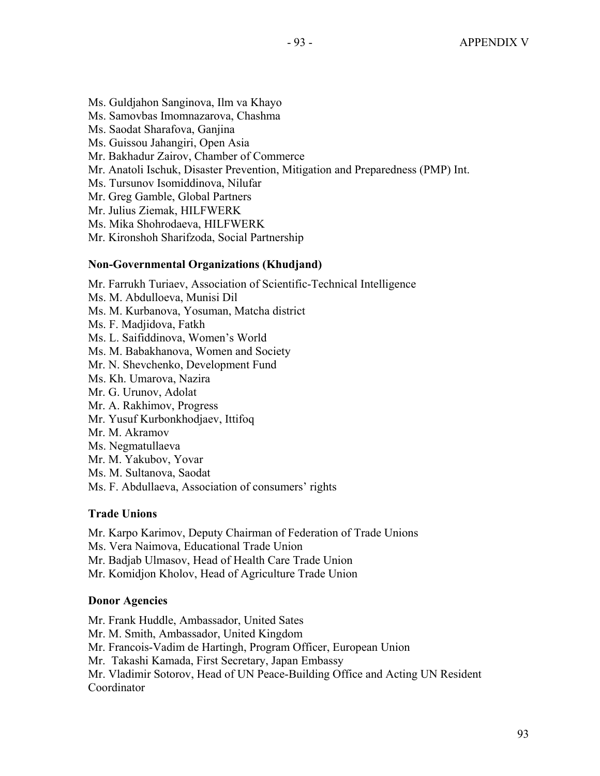- Ms. Guldjahon Sanginova, Ilm va Khayo
- Ms. Samovbas Imomnazarova, Chashma
- Ms. Saodat Sharafova, Ganjina
- Ms. Guissou Jahangiri, Open Asia
- Mr. Bakhadur Zairov, Chamber of Commerce
- Mr. Anatoli Ischuk, Disaster Prevention, Mitigation and Preparedness (PMP) Int.
- Ms. Tursunov Isomiddinova, Nilufar
- Mr. Greg Gamble, Global Partners
- Mr. Julius Ziemak, HILFWERK
- Ms. Mika Shohrodaeva, HILFWERK
- Mr. Kironshoh Sharifzoda, Social Partnership

### **Non-Governmental Organizations (Khudjand)**

Mr. Farrukh Turiaev, Association of Scientific-Technical Intelligence

- Ms. M. Abdulloeva, Munisi Dil
- Ms. M. Kurbanova, Yosuman, Matcha district
- Ms. F. Madjidova, Fatkh
- Ms. L. Saifiddinova, Women's World
- Ms. M. Babakhanova, Women and Society
- Mr. N. Shevchenko, Development Fund
- Ms. Kh. Umarova, Nazira
- Mr. G. Urunov, Adolat
- Mr. A. Rakhimov, Progress
- Mr. Yusuf Kurbonkhodjaev, Ittifoq
- Mr. M. Akramov
- Ms. Negmatullaeva
- Mr. M. Yakubov, Yovar
- Ms. M. Sultanova, Saodat
- Ms. F. Abdullaeva, Association of consumers' rights

# **Trade Unions**

Mr. Karpo Karimov, Deputy Chairman of Federation of Trade Unions

Ms. Vera Naimova, Educational Trade Union

Mr. Badjab Ulmasov, Head of Health Care Trade Union

Mr. Komidjon Kholov, Head of Agriculture Trade Union

# **Donor Agencies**

Mr. Frank Huddle, Ambassador, United Sates Mr. M. Smith, Ambassador, United Kingdom Mr. Francois-Vadim de Hartingh, Program Officer, European Union Mr. Takashi Kamada, First Secretary, Japan Embassy Mr. Vladimir Sotorov, Head of UN Peace-Building Office and Acting UN Resident Coordinator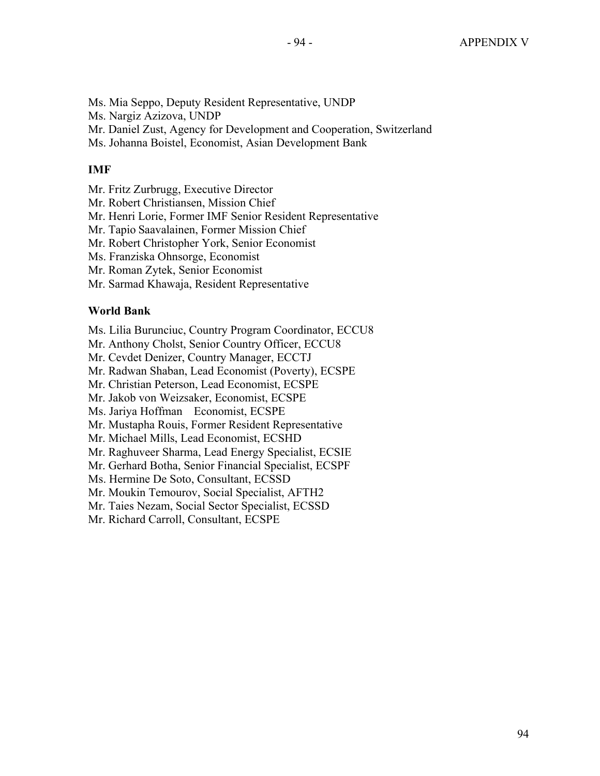- Ms. Mia Seppo, Deputy Resident Representative, UNDP
- Ms. Nargiz Azizova, UNDP
- Mr. Daniel Zust, Agency for Development and Cooperation, Switzerland
- Ms. Johanna Boistel, Economist, Asian Development Bank

# **IMF**

- Mr. Fritz Zurbrugg, Executive Director
- Mr. Robert Christiansen, Mission Chief
- Mr. Henri Lorie, Former IMF Senior Resident Representative
- Mr. Tapio Saavalainen, Former Mission Chief
- Mr. Robert Christopher York, Senior Economist
- Ms. Franziska Ohnsorge, Economist
- Mr. Roman Zytek, Senior Economist
- Mr. Sarmad Khawaja, Resident Representative

# **World Bank**

- Ms. Lilia Burunciuc, Country Program Coordinator, ECCU8
- Mr. Anthony Cholst, Senior Country Officer, ECCU8
- Mr. Cevdet Denizer, Country Manager, ECCTJ
- Mr. Radwan Shaban, Lead Economist (Poverty), ECSPE
- Mr. Christian Peterson, Lead Economist, ECSPE
- Mr. Jakob von Weizsaker, Economist, ECSPE
- Ms. Jariya Hoffman Economist, ECSPE
- Mr. Mustapha Rouis, Former Resident Representative
- Mr. Michael Mills, Lead Economist, ECSHD
- Mr. Raghuveer Sharma, Lead Energy Specialist, ECSIE
- Mr. Gerhard Botha, Senior Financial Specialist, ECSPF
- Ms. Hermine De Soto, Consultant, ECSSD
- Mr. Moukin Temourov, Social Specialist, AFTH2
- Mr. Taies Nezam, Social Sector Specialist, ECSSD
- Mr. Richard Carroll, Consultant, ECSPE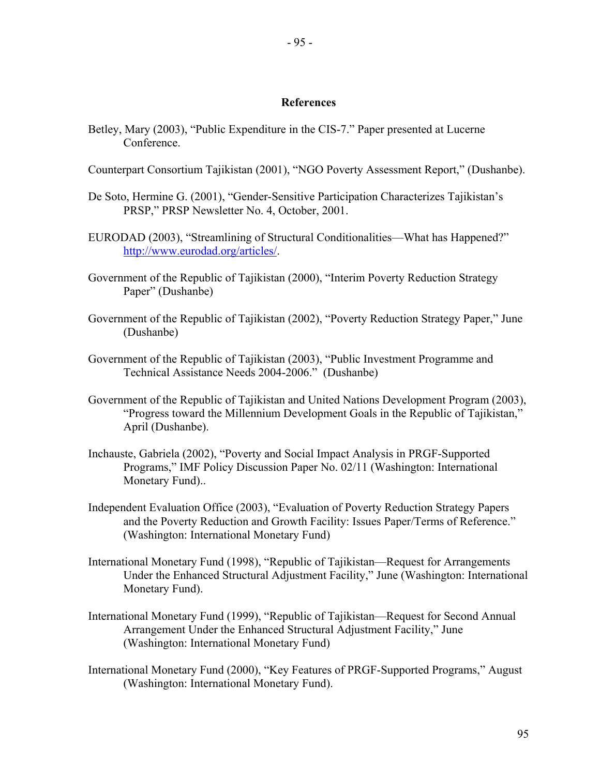- 95 -

#### **References**

- Betley, Mary (2003), "Public Expenditure in the CIS-7." Paper presented at Lucerne Conference.
- Counterpart Consortium Tajikistan (2001), "NGO Poverty Assessment Report," (Dushanbe).
- De Soto, Hermine G. (2001), "Gender-Sensitive Participation Characterizes Tajikistan's PRSP," PRSP Newsletter No. 4, October, 2001.
- EURODAD (2003), "Streamlining of Structural Conditionalities—What has Happened?" http://www.eurodad.org/articles/.
- Government of the Republic of Tajikistan (2000), "Interim Poverty Reduction Strategy Paper" (Dushanbe)
- Government of the Republic of Tajikistan (2002), "Poverty Reduction Strategy Paper," June (Dushanbe)
- Government of the Republic of Tajikistan (2003), "Public Investment Programme and Technical Assistance Needs 2004-2006." (Dushanbe)
- Government of the Republic of Tajikistan and United Nations Development Program (2003), "Progress toward the Millennium Development Goals in the Republic of Tajikistan," April (Dushanbe).
- Inchauste, Gabriela (2002), "Poverty and Social Impact Analysis in PRGF-Supported Programs," IMF Policy Discussion Paper No. 02/11 (Washington: International Monetary Fund)..
- Independent Evaluation Office (2003), "Evaluation of Poverty Reduction Strategy Papers and the Poverty Reduction and Growth Facility: Issues Paper/Terms of Reference." (Washington: International Monetary Fund)
- International Monetary Fund (1998), "Republic of Tajikistan—Request for Arrangements Under the Enhanced Structural Adjustment Facility," June (Washington: International Monetary Fund).
- International Monetary Fund (1999), "Republic of Tajikistan—Request for Second Annual Arrangement Under the Enhanced Structural Adjustment Facility," June (Washington: International Monetary Fund)
- International Monetary Fund (2000), "Key Features of PRGF-Supported Programs," August (Washington: International Monetary Fund).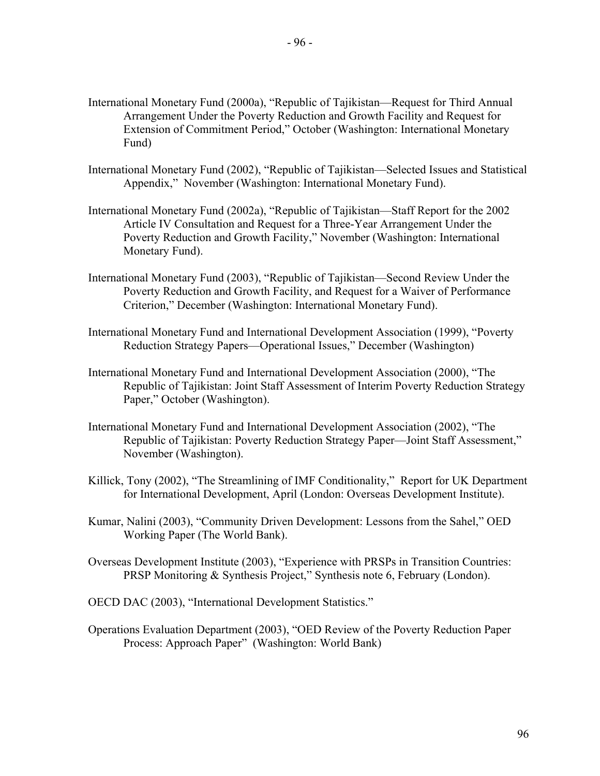- International Monetary Fund (2000a), "Republic of Tajikistan—Request for Third Annual Arrangement Under the Poverty Reduction and Growth Facility and Request for Extension of Commitment Period," October (Washington: International Monetary Fund)
- International Monetary Fund (2002), "Republic of Tajikistan—Selected Issues and Statistical Appendix," November (Washington: International Monetary Fund).
- International Monetary Fund (2002a), "Republic of Tajikistan—Staff Report for the 2002 Article IV Consultation and Request for a Three-Year Arrangement Under the Poverty Reduction and Growth Facility," November (Washington: International Monetary Fund).
- International Monetary Fund (2003), "Republic of Tajikistan—Second Review Under the Poverty Reduction and Growth Facility, and Request for a Waiver of Performance Criterion," December (Washington: International Monetary Fund).
- International Monetary Fund and International Development Association (1999), "Poverty Reduction Strategy Papers—Operational Issues," December (Washington)
- International Monetary Fund and International Development Association (2000), "The Republic of Tajikistan: Joint Staff Assessment of Interim Poverty Reduction Strategy Paper," October (Washington).
- International Monetary Fund and International Development Association (2002), "The Republic of Tajikistan: Poverty Reduction Strategy Paper—Joint Staff Assessment," November (Washington).
- Killick, Tony (2002), "The Streamlining of IMF Conditionality," Report for UK Department for International Development, April (London: Overseas Development Institute).
- Kumar, Nalini (2003), "Community Driven Development: Lessons from the Sahel," OED Working Paper (The World Bank).
- Overseas Development Institute (2003), "Experience with PRSPs in Transition Countries: PRSP Monitoring & Synthesis Project," Synthesis note 6, February (London).
- OECD DAC (2003), "International Development Statistics."
- Operations Evaluation Department (2003), "OED Review of the Poverty Reduction Paper Process: Approach Paper" (Washington: World Bank)